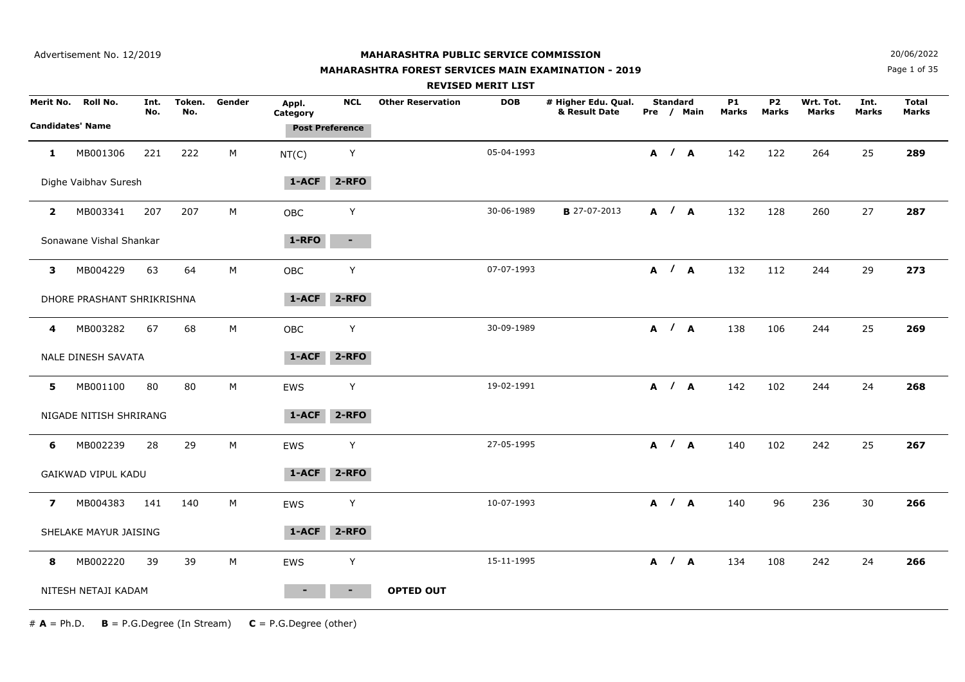## **MAHARASHTRA FOREST SERVICES MAIN EXAMINATION - 2019**

**N**  $20/06/2022$ 

Page 1 of 35

|                |                            |             |               |             |                   |                        |                          | <b>REVISED MERIT LIST</b> |                                      |                 |            |                    |                           |                           |                      |                              |
|----------------|----------------------------|-------------|---------------|-------------|-------------------|------------------------|--------------------------|---------------------------|--------------------------------------|-----------------|------------|--------------------|---------------------------|---------------------------|----------------------|------------------------------|
|                | Merit No. Roll No.         | Int.<br>No. | Token.<br>No. | Gender      | Appl.<br>Category | <b>NCL</b>             | <b>Other Reservation</b> | <b>DOB</b>                | # Higher Edu. Qual.<br>& Result Date | <b>Standard</b> | Pre / Main | <b>P1</b><br>Marks | <b>P2</b><br><b>Marks</b> | Wrt. Tot.<br><b>Marks</b> | Int.<br><b>Marks</b> | <b>Total</b><br><b>Marks</b> |
|                | <b>Candidates' Name</b>    |             |               |             |                   | <b>Post Preference</b> |                          |                           |                                      |                 |            |                    |                           |                           |                      |                              |
| 1              | MB001306                   | 221         | 222           | $M_{\odot}$ | NT(C)             | Υ                      |                          | 05-04-1993                |                                      |                 | A / A      | 142                | 122                       | 264                       | 25                   | 289                          |
|                | Dighe Vaibhav Suresh       |             |               |             | 1-ACF             | $2 - RFO$              |                          |                           |                                      |                 |            |                    |                           |                           |                      |                              |
| $\mathbf{2}$   | MB003341                   | 207         | 207           | M           | <b>OBC</b>        | Y                      |                          | 30-06-1989                | <b>B</b> 27-07-2013                  |                 | A / A      | 132                | 128                       | 260                       | 27                   | 287                          |
|                | Sonawane Vishal Shankar    |             |               |             | 1-RFO             | $\sim 100$             |                          |                           |                                      |                 |            |                    |                           |                           |                      |                              |
| 3              | MB004229                   | 63          | 64            | M           | OBC               | Y                      |                          | 07-07-1993                |                                      |                 | A / A      | 132                | 112                       | 244                       | 29                   | 273                          |
|                | DHORE PRASHANT SHRIKRISHNA |             |               |             | 1-ACF             | $2 - RFO$              |                          |                           |                                      |                 |            |                    |                           |                           |                      |                              |
| 4              | MB003282                   | 67          | 68            | M           | <b>OBC</b>        | Y                      |                          | 30-09-1989                |                                      |                 | A / A      | 138                | 106                       | 244                       | 25                   | 269                          |
|                | <b>NALE DINESH SAVATA</b>  |             |               |             | 1-ACF             | $2 - RFO$              |                          |                           |                                      |                 |            |                    |                           |                           |                      |                              |
| 5              | MB001100                   | 80          | 80            | M           | <b>EWS</b>        | Y                      |                          | 19-02-1991                |                                      |                 | A / A      | 142                | 102                       | 244                       | 24                   | 268                          |
|                | NIGADE NITISH SHRIRANG     |             |               |             | 1-ACF             | $2 - RFO$              |                          |                           |                                      |                 |            |                    |                           |                           |                      |                              |
| 6              | MB002239                   | 28          | 29            | $M_{\odot}$ | EWS               | Y                      |                          | 27-05-1995                |                                      |                 | A / A      | 140                | 102                       | 242                       | 25                   | 267                          |
|                | GAIKWAD VIPUL KADU         |             |               |             | 1-ACF             | $2 - RFO$              |                          |                           |                                      |                 |            |                    |                           |                           |                      |                              |
| $\overline{ }$ | MB004383                   | 141         | 140           | M           | <b>EWS</b>        | Y                      |                          | 10-07-1993                |                                      | A / A           |            | 140                | 96                        | 236                       | 30                   | 266                          |
|                | SHELAKE MAYUR JAISING      |             |               |             | 1-ACF             | $2 - RFO$              |                          |                           |                                      |                 |            |                    |                           |                           |                      |                              |
| 8              | MB002220                   | 39          | 39            | $M_{\odot}$ | EWS               | Υ                      |                          | 15-11-1995                |                                      |                 | A / A      | 134                | 108                       | 242                       | 24                   | 266                          |
|                | NITESH NETAJI KADAM        |             |               |             |                   | $\blacksquare$         | <b>OPTED OUT</b>         |                           |                                      |                 |            |                    |                           |                           |                      |                              |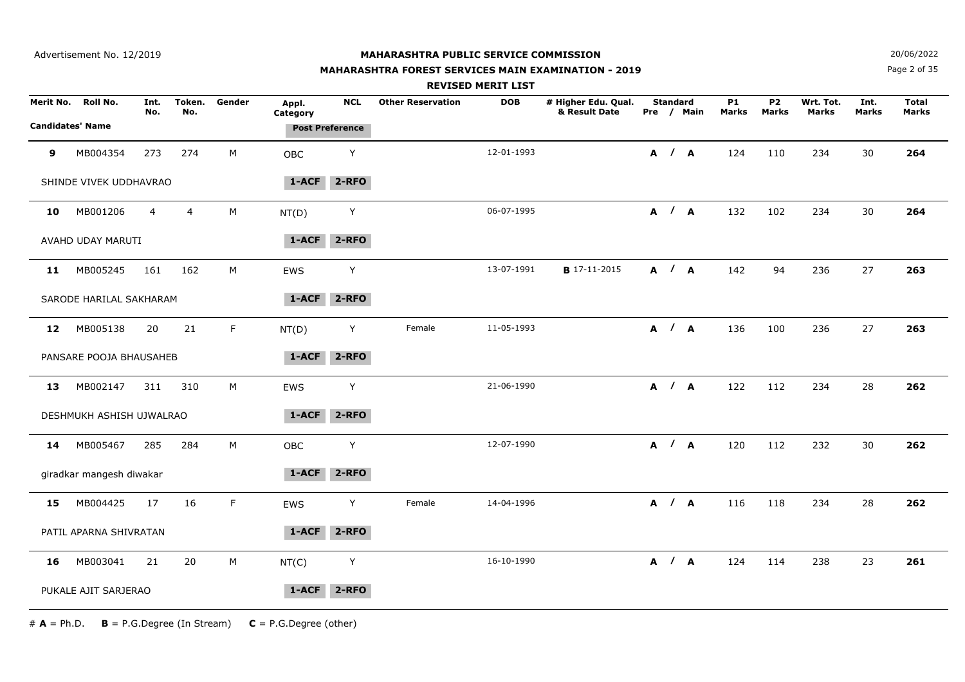#### **MAHARASHTRA FOREST SERVICES MAIN EXAMINATION - 2019**

**N**  $20/06/2022$ 

Page 2 of 35

|    |                                               |                |                |             |                   |                                      |                          | <b>REVISED MERIT LIST</b> |                                      |                 |            |                    |                                |                           |               |                       |  |
|----|-----------------------------------------------|----------------|----------------|-------------|-------------------|--------------------------------------|--------------------------|---------------------------|--------------------------------------|-----------------|------------|--------------------|--------------------------------|---------------------------|---------------|-----------------------|--|
|    | Merit No. Roll No.<br><b>Candidates' Name</b> | Int.<br>No.    | Token.<br>No.  | Gender      | Appl.<br>Category | <b>NCL</b><br><b>Post Preference</b> | <b>Other Reservation</b> | <b>DOB</b>                | # Higher Edu. Qual.<br>& Result Date | <b>Standard</b> | Pre / Main | <b>P1</b><br>Marks | P <sub>2</sub><br><b>Marks</b> | Wrt. Tot.<br><b>Marks</b> | Int.<br>Marks | <b>Total</b><br>Marks |  |
|    |                                               |                |                |             |                   |                                      |                          |                           |                                      |                 |            |                    |                                |                           |               |                       |  |
| 9  | MB004354                                      | 273            | 274            | M           | OBC               | Y                                    |                          | 12-01-1993                |                                      |                 | A / A      | 124                | 110                            | 234                       | 30            | 264                   |  |
|    | SHINDE VIVEK UDDHAVRAO                        |                |                |             | $1 - ACF$         | $2 - RFO$                            |                          |                           |                                      |                 |            |                    |                                |                           |               |                       |  |
| 10 | MB001206                                      | $\overline{4}$ | $\overline{4}$ | М           | NT(D)             | Y                                    |                          | 06-07-1995                |                                      |                 | A / A      | 132                | 102                            | 234                       | 30            | 264                   |  |
|    | AVAHD UDAY MARUTI                             |                |                |             | $1 - ACF$         | $2 - RFO$                            |                          |                           |                                      |                 |            |                    |                                |                           |               |                       |  |
| 11 | MB005245                                      | 161            | 162            | M           | EWS               | Υ                                    |                          | 13-07-1991                | <b>B</b> 17-11-2015                  |                 | A / A      | 142                | 94                             | 236                       | 27            | 263                   |  |
|    | SARODE HARILAL SAKHARAM                       |                |                |             | 1-ACF             | $2 - RFO$                            |                          |                           |                                      |                 |            |                    |                                |                           |               |                       |  |
| 12 | MB005138                                      | 20             | 21             | F.          | NT(D)             | Y                                    | Female                   | 11-05-1993                |                                      |                 | A / A      | 136                | 100                            | 236                       | 27            | 263                   |  |
|    | PANSARE POOJA BHAUSAHEB                       |                |                |             | 1-ACF             | 2-RFO                                |                          |                           |                                      |                 |            |                    |                                |                           |               |                       |  |
| 13 | MB002147                                      | 311            | 310            | М           | EWS               | Υ                                    |                          | 21-06-1990                |                                      |                 | A / A      | 122                | 112                            | 234                       | 28            | 262                   |  |
|    | DESHMUKH ASHISH UJWALRAO                      |                |                |             | 1-ACF             | $2 - RFO$                            |                          |                           |                                      |                 |            |                    |                                |                           |               |                       |  |
| 14 | MB005467                                      | 285            | 284            | $M_{\odot}$ | OBC               | Y                                    |                          | 12-07-1990                |                                      |                 | A / A      | 120                | 112                            | 232                       | 30            | 262                   |  |
|    | giradkar mangesh diwakar                      |                |                |             | 1-ACF             | $2 - RFO$                            |                          |                           |                                      |                 |            |                    |                                |                           |               |                       |  |
| 15 | MB004425                                      | 17             | 16             | F           | EWS               | Υ                                    | Female                   | 14-04-1996                |                                      |                 | A / A      | 116                | 118                            | 234                       | 28            | 262                   |  |
|    | PATIL APARNA SHIVRATAN                        |                |                |             | 1-ACF             | $2 - RFO$                            |                          |                           |                                      |                 |            |                    |                                |                           |               |                       |  |
| 16 | MB003041                                      | 21             | 20             | M           | NT(C)             | Υ                                    |                          | 16-10-1990                |                                      |                 | A / A      | 124                | 114                            | 238                       | 23            | 261                   |  |
|    | PUKALE AJIT SARJERAO                          |                |                |             | 1-ACF             | $2 - RFO$                            |                          |                           |                                      |                 |            |                    |                                |                           |               |                       |  |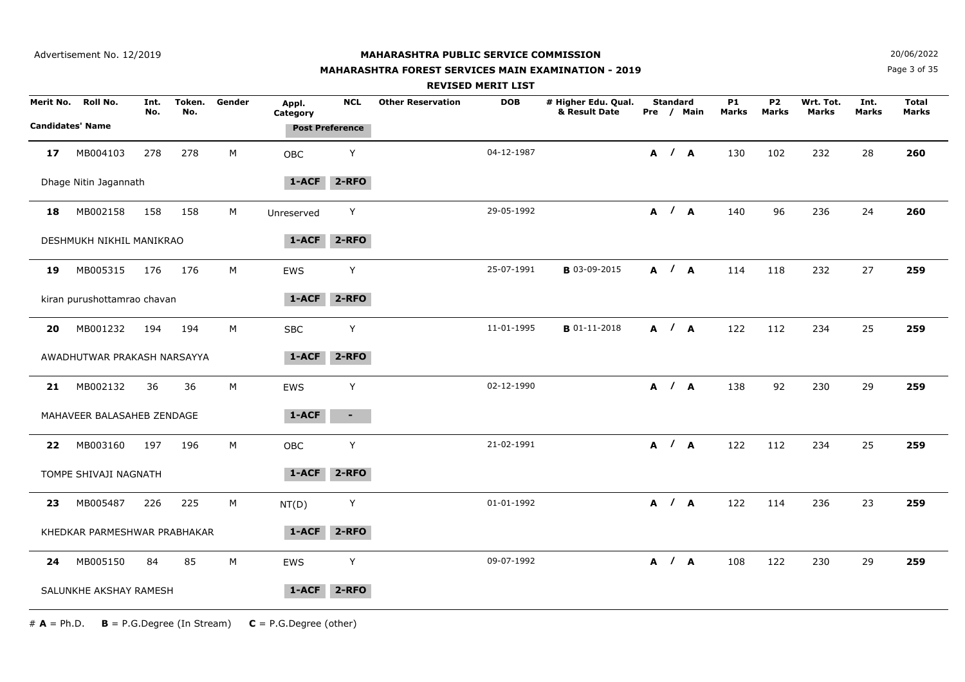## **MAHARASHTRA FOREST SERVICES MAIN EXAMINATION - 2019**

**N**  $20/06/2022$ 

Page 3 of 35

|    |                              |             |               |        |                   |                        | <b>REVISED MERIT LIST</b> |            |                                      |                 |            |                    |                           |                           |                      |                              |
|----|------------------------------|-------------|---------------|--------|-------------------|------------------------|---------------------------|------------|--------------------------------------|-----------------|------------|--------------------|---------------------------|---------------------------|----------------------|------------------------------|
|    | Merit No. Roll No.           | Int.<br>No. | Token.<br>No. | Gender | Appl.<br>Category | <b>NCL</b>             | <b>Other Reservation</b>  | <b>DOB</b> | # Higher Edu. Qual.<br>& Result Date | <b>Standard</b> | Pre / Main | <b>P1</b><br>Marks | <b>P2</b><br><b>Marks</b> | Wrt. Tot.<br><b>Marks</b> | Int.<br><b>Marks</b> | <b>Total</b><br><b>Marks</b> |
|    | <b>Candidates' Name</b>      |             |               |        |                   | <b>Post Preference</b> |                           |            |                                      |                 |            |                    |                           |                           |                      |                              |
| 17 | MB004103                     | 278         | 278           | M      | <b>OBC</b>        | Y                      |                           | 04-12-1987 |                                      | A / A           |            | 130                | 102                       | 232                       | 28                   | 260                          |
|    | Dhage Nitin Jagannath        |             |               |        | $1 - ACF$         | $2 - RFO$              |                           |            |                                      |                 |            |                    |                           |                           |                      |                              |
| 18 | MB002158                     | 158         | 158           | M      | Unreserved        | Y                      |                           | 29-05-1992 |                                      | A / A           |            | 140                | 96                        | 236                       | 24                   | 260                          |
|    | DESHMUKH NIKHIL MANIKRAO     |             |               |        | 1-ACF             | $2 - RFO$              |                           |            |                                      |                 |            |                    |                           |                           |                      |                              |
| 19 | MB005315                     | 176         | 176           | M      | EWS               | $\mathsf Y$            |                           | 25-07-1991 | <b>B</b> 03-09-2015                  | A / A           |            | 114                | 118                       | 232                       | 27                   | 259                          |
|    | kiran purushottamrao chavan  |             |               |        | 1-ACF             | $2 - RFO$              |                           |            |                                      |                 |            |                    |                           |                           |                      |                              |
| 20 | MB001232                     | 194         | 194           | M      | <b>SBC</b>        | Y                      |                           | 11-01-1995 | <b>B</b> 01-11-2018                  | A / A           |            | 122                | 112                       | 234                       | 25                   | 259                          |
|    | AWADHUTWAR PRAKASH NARSAYYA  |             |               |        | 1-ACF             | $2 - RFO$              |                           |            |                                      |                 |            |                    |                           |                           |                      |                              |
| 21 | MB002132                     | 36          | 36            | M      | EWS               | Υ                      |                           | 02-12-1990 |                                      | A / A           |            | 138                | 92                        | 230                       | 29                   | 259                          |
|    | MAHAVEER BALASAHEB ZENDAGE   |             |               |        | 1-ACF             | $\blacksquare$         |                           |            |                                      |                 |            |                    |                           |                           |                      |                              |
| 22 | MB003160                     | 197         | 196           | М      | OBC               | Y                      |                           | 21-02-1991 |                                      | A / A           |            | 122                | 112                       | 234                       | 25                   | 259                          |
|    | TOMPE SHIVAJI NAGNATH        |             |               |        | 1-ACF             | $2 - RFO$              |                           |            |                                      |                 |            |                    |                           |                           |                      |                              |
| 23 | MB005487                     | 226         | 225           | М      | NT(D)             | Y                      |                           | 01-01-1992 |                                      | A / A           |            | 122                | 114                       | 236                       | 23                   | 259                          |
|    | KHEDKAR PARMESHWAR PRABHAKAR |             |               |        | 1-ACF             | $2 - RFO$              |                           |            |                                      |                 |            |                    |                           |                           |                      |                              |
| 24 | MB005150                     | 84          | 85            | M      | <b>EWS</b>        | Y                      |                           | 09-07-1992 |                                      | A / A           |            | 108                | 122                       | 230                       | 29                   | 259                          |
|    | SALUNKHE AKSHAY RAMESH       |             |               |        | 1-ACF             | $2 - RFO$              |                           |            |                                      |                 |            |                    |                           |                           |                      |                              |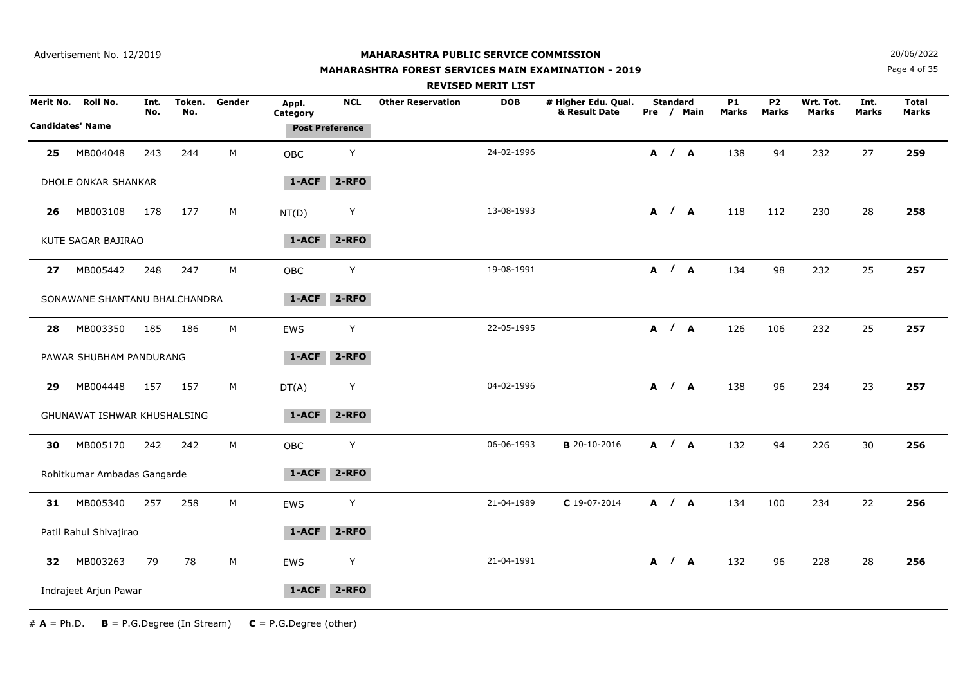## **MAHARASHTRA FOREST SERVICES MAIN EXAMINATION - 2019**

**N**  $20/06/2022$ 

Page 4 of 35

|                         |                               |             |               |        |                   |                        | <b>REVISED MERIT LIST</b>              |                                      |                 |            |                    |                           |                           |                      |                              |
|-------------------------|-------------------------------|-------------|---------------|--------|-------------------|------------------------|----------------------------------------|--------------------------------------|-----------------|------------|--------------------|---------------------------|---------------------------|----------------------|------------------------------|
| Merit No.               | Roll No.                      | Int.<br>No. | Token.<br>No. | Gender | Appl.<br>Category | <b>NCL</b>             | <b>Other Reservation</b><br><b>DOB</b> | # Higher Edu. Qual.<br>& Result Date | <b>Standard</b> | Pre / Main | <b>P1</b><br>Marks | <b>P2</b><br><b>Marks</b> | Wrt. Tot.<br><b>Marks</b> | Int.<br><b>Marks</b> | <b>Total</b><br><b>Marks</b> |
| <b>Candidates' Name</b> |                               |             |               |        |                   | <b>Post Preference</b> |                                        |                                      |                 |            |                    |                           |                           |                      |                              |
| 25                      | MB004048                      | 243         | 244           | М      | OBC               | Υ                      | 24-02-1996                             |                                      |                 | A / A      | 138                | 94                        | 232                       | 27                   | 259                          |
|                         | DHOLE ONKAR SHANKAR           |             |               |        | 1-ACF             | 2-RFO                  |                                        |                                      |                 |            |                    |                           |                           |                      |                              |
| 26                      | MB003108                      | 178         | 177           | м      | NT(D)             | Y                      | 13-08-1993                             |                                      |                 | A / A      | 118                | 112                       | 230                       | 28                   | 258                          |
|                         | KUTE SAGAR BAJIRAO            |             |               |        | 1-ACF             | $2 - RFO$              |                                        |                                      |                 |            |                    |                           |                           |                      |                              |
| 27                      | MB005442                      | 248         | 247           | М      | <b>OBC</b>        | Y                      | 19-08-1991                             |                                      |                 | A / A      | 134                | 98                        | 232                       | 25                   | 257                          |
|                         | SONAWANE SHANTANU BHALCHANDRA |             |               |        | 1-ACF             | $2 - RFO$              |                                        |                                      |                 |            |                    |                           |                           |                      |                              |
| 28                      | MB003350                      | 185         | 186           | М      | EWS               | Y                      | 22-05-1995                             |                                      |                 | A / A      | 126                | 106                       | 232                       | 25                   | 257                          |
|                         | PAWAR SHUBHAM PANDURANG       |             |               |        | $1 - ACF$         | $2 - RFO$              |                                        |                                      |                 |            |                    |                           |                           |                      |                              |
| 29                      | MB004448                      | 157         | 157           | М      | DT(A)             | Y                      | 04-02-1996                             |                                      |                 | A / A      | 138                | 96                        | 234                       | 23                   | 257                          |
|                         | GHUNAWAT ISHWAR KHUSHALSING   |             |               |        | 1-ACF             | $2 - RFO$              |                                        |                                      |                 |            |                    |                           |                           |                      |                              |
| 30                      | MB005170                      | 242         | 242           | М      | OBC               | Y                      | 06-06-1993                             | <b>B</b> 20-10-2016                  |                 | A / A      | 132                | 94                        | 226                       | 30                   | 256                          |
|                         | Rohitkumar Ambadas Gangarde   |             |               |        | 1-ACF             | $2 - RFO$              |                                        |                                      |                 |            |                    |                           |                           |                      |                              |
| 31                      | MB005340                      | 257         | 258           | М      | <b>EWS</b>        | Y                      | 21-04-1989                             | $C$ 19-07-2014                       |                 | A / A      | 134                | 100                       | 234                       | 22                   | 256                          |
|                         | Patil Rahul Shivajirao        |             |               |        | 1-ACF             | $2 - RFO$              |                                        |                                      |                 |            |                    |                           |                           |                      |                              |
| 32                      | MB003263                      | 79          | 78            | М      | <b>EWS</b>        | Y                      | 21-04-1991                             |                                      |                 | A / A      | 132                | 96                        | 228                       | 28                   | 256                          |
|                         | Indrajeet Arjun Pawar         |             |               |        | 1-ACF             | $2 - RFO$              |                                        |                                      |                 |            |                    |                           |                           |                      |                              |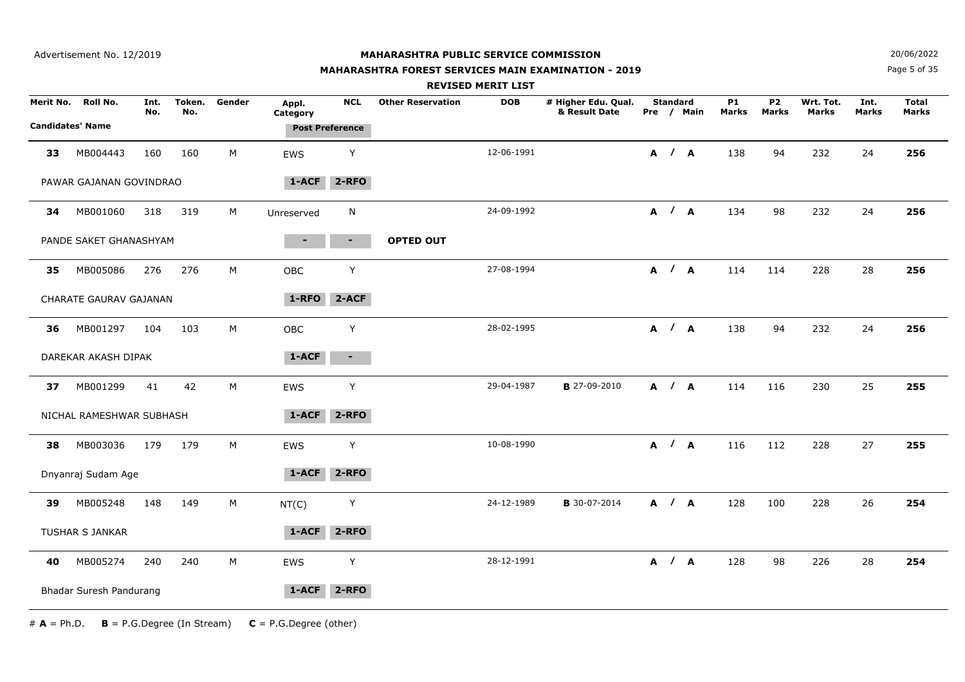## **MAHARASHTRA FOREST SERVICES MAIN EXAMINATION - 2019**

**N**  $20/06/2022$ 

Page 5 of 35

|    |                          |             |               |        |                   |                        |                          | <b>REVISED MERIT LIST</b> |                                      |                 |            |                           |                           |                    |                      |                              |
|----|--------------------------|-------------|---------------|--------|-------------------|------------------------|--------------------------|---------------------------|--------------------------------------|-----------------|------------|---------------------------|---------------------------|--------------------|----------------------|------------------------------|
|    | Merit No. Roll No.       | Int.<br>No. | Token.<br>No. | Gender | Appl.<br>Category | <b>NCL</b>             | <b>Other Reservation</b> | <b>DOB</b>                | # Higher Edu. Qual.<br>& Result Date | <b>Standard</b> | Pre / Main | <b>P1</b><br><b>Marks</b> | <b>P2</b><br><b>Marks</b> | Wrt. Tot.<br>Marks | Int.<br><b>Marks</b> | <b>Total</b><br><b>Marks</b> |
|    | <b>Candidates' Name</b>  |             |               |        |                   | <b>Post Preference</b> |                          |                           |                                      |                 |            |                           |                           |                    |                      |                              |
| 33 | MB004443                 | 160         | 160           | M      | <b>EWS</b>        | Y                      |                          | 12-06-1991                |                                      | A / A           |            | 138                       | 94                        | 232                | 24                   | 256                          |
|    | PAWAR GAJANAN GOVINDRAO  |             |               |        | $1-ACF$           | $2 - RFO$              |                          |                           |                                      |                 |            |                           |                           |                    |                      |                              |
| 34 | MB001060                 | 318         | 319           | M      | Unreserved        | N                      |                          | 24-09-1992                |                                      | A / A           |            | 134                       | 98                        | 232                | 24                   | 256                          |
|    | PANDE SAKET GHANASHYAM   |             |               |        |                   | $\blacksquare$         | <b>OPTED OUT</b>         |                           |                                      |                 |            |                           |                           |                    |                      |                              |
| 35 | MB005086                 | 276         | 276           | M      | OBC               | Υ                      |                          | 27-08-1994                |                                      | A / A           |            | 114                       | 114                       | 228                | 28                   | 256                          |
|    | CHARATE GAURAV GAJANAN   |             |               |        | 1-RFO             | 2-ACF                  |                          |                           |                                      |                 |            |                           |                           |                    |                      |                              |
| 36 | MB001297                 | 104         | 103           | M      | <b>OBC</b>        | Y                      |                          | 28-02-1995                |                                      | A / A           |            | 138                       | 94                        | 232                | 24                   | 256                          |
|    | DAREKAR AKASH DIPAK      |             |               |        | $1 - ACF$         | $\blacksquare$         |                          |                           |                                      |                 |            |                           |                           |                    |                      |                              |
| 37 | MB001299                 | 41          | 42            | M      | EWS               | Y                      |                          | 29-04-1987                | <b>B</b> 27-09-2010                  | A / A           |            | 114                       | 116                       | 230                | 25                   | 255                          |
|    | NICHAL RAMESHWAR SUBHASH |             |               |        | 1-ACF             | $2 - RFO$              |                          |                           |                                      |                 |            |                           |                           |                    |                      |                              |
| 38 | MB003036                 | 179         | 179           | М      | EWS               | Y                      |                          | 10-08-1990                |                                      |                 | A / A      | 116                       | 112                       | 228                | 27                   | 255                          |
|    | Dnyanraj Sudam Age       |             |               |        | 1-ACF             | $2 - RFO$              |                          |                           |                                      |                 |            |                           |                           |                    |                      |                              |
| 39 | MB005248                 | 148         | 149           | M      | NT(C)             | Υ                      |                          | 24-12-1989                | <b>B</b> 30-07-2014                  |                 | A / A      | 128                       | 100                       | 228                | 26                   | 254                          |
|    | TUSHAR S JANKAR          |             |               |        | $1 - ACF$         | $2 - RFO$              |                          |                           |                                      |                 |            |                           |                           |                    |                      |                              |
| 40 | MB005274                 | 240         | 240           | M      | <b>EWS</b>        | Y                      |                          | 28-12-1991                |                                      | A / A           |            | 128                       | 98                        | 226                | 28                   | 254                          |
|    | Bhadar Suresh Pandurang  |             |               |        | 1-ACF             | $2 - RFO$              |                          |                           |                                      |                 |            |                           |                           |                    |                      |                              |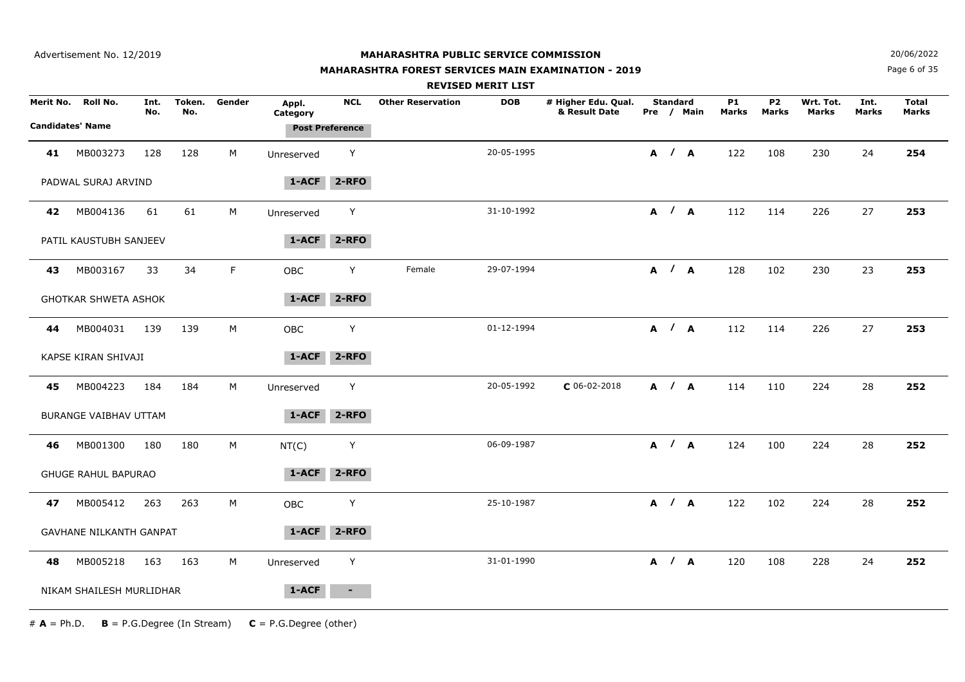## **MAHARASHTRA FOREST SERVICES MAIN EXAMINATION - 2019**

**N**  $20/06/2022$ 

Page 6 of 35

|           |                                     |             |               |        |                   |                                      |                          | <b>REVISED MERIT LIST</b> |                                      |                 |            |                    |                         |                    |               |                       |
|-----------|-------------------------------------|-------------|---------------|--------|-------------------|--------------------------------------|--------------------------|---------------------------|--------------------------------------|-----------------|------------|--------------------|-------------------------|--------------------|---------------|-----------------------|
| Merit No. | Roll No.<br><b>Candidates' Name</b> | Int.<br>No. | Token.<br>No. | Gender | Appl.<br>Category | <b>NCL</b><br><b>Post Preference</b> | <b>Other Reservation</b> | <b>DOB</b>                | # Higher Edu. Qual.<br>& Result Date | <b>Standard</b> | Pre / Main | <b>P1</b><br>Marks | P <sub>2</sub><br>Marks | Wrt. Tot.<br>Marks | Int.<br>Marks | <b>Total</b><br>Marks |
|           |                                     |             |               |        |                   |                                      |                          |                           |                                      |                 |            |                    |                         |                    |               |                       |
| 41        | MB003273                            | 128         | 128           | М      | Unreserved        | Y                                    |                          | 20-05-1995                |                                      |                 | A / A      | 122                | 108                     | 230                | 24            | 254                   |
|           | PADWAL SURAJ ARVIND                 |             |               |        | 1-ACF             | $2 - RFO$                            |                          |                           |                                      |                 |            |                    |                         |                    |               |                       |
| 42        | MB004136                            | 61          | 61            | M      | Unreserved        | Y                                    |                          | 31-10-1992                |                                      |                 | A / A      | 112                | 114                     | 226                | 27            | 253                   |
|           | PATIL KAUSTUBH SANJEEV              |             |               |        | $1 - ACF$         | $2 - RFO$                            |                          |                           |                                      |                 |            |                    |                         |                    |               |                       |
| 43        | MB003167                            | 33          | 34            | F      | <b>OBC</b>        | Y                                    | Female                   | 29-07-1994                |                                      |                 | A / A      | 128                | 102                     | 230                | 23            | 253                   |
|           | <b>GHOTKAR SHWETA ASHOK</b>         |             |               |        | 1-ACF             | $2 - RFO$                            |                          |                           |                                      |                 |            |                    |                         |                    |               |                       |
| 44        | MB004031                            | 139         | 139           | М      | OBC               | Y                                    |                          | 01-12-1994                |                                      |                 | A / A      | 112                | 114                     | 226                | 27            | 253                   |
|           | KAPSE KIRAN SHIVAJI                 |             |               |        | $1 - ACF$         | $2 - RFO$                            |                          |                           |                                      |                 |            |                    |                         |                    |               |                       |
| 45        | MB004223                            | 184         | 184           | M      | Unreserved        | Y                                    |                          | 20-05-1992                | $C$ 06-02-2018                       |                 | A / A      | 114                | 110                     | 224                | 28            | 252                   |
|           | BURANGE VAIBHAV UTTAM               |             |               |        | 1-ACF             | $2 - RFO$                            |                          |                           |                                      |                 |            |                    |                         |                    |               |                       |
| 46        | MB001300                            | 180         | 180           | М      | NT(C)             | Y                                    |                          | 06-09-1987                |                                      |                 | A / A      | 124                | 100                     | 224                | 28            | 252                   |
|           | <b>GHUGE RAHUL BAPURAO</b>          |             |               |        | 1-ACF             | $2 - RFO$                            |                          |                           |                                      |                 |            |                    |                         |                    |               |                       |
| 47        | MB005412                            | 263         | 263           | M      | <b>OBC</b>        | Y                                    |                          | 25-10-1987                |                                      |                 | A / A      | 122                | 102                     | 224                | 28            | 252                   |
|           | <b>GAVHANE NILKANTH GANPAT</b>      |             |               |        | 1-ACF             | $2 - RFO$                            |                          |                           |                                      |                 |            |                    |                         |                    |               |                       |
| 48        | MB005218                            | 163         | 163           | M      | Unreserved        | Y                                    |                          | 31-01-1990                |                                      |                 | A / A      | 120                | 108                     | 228                | 24            | 252                   |
|           | NIKAM SHAILESH MURLIDHAR            |             |               |        | 1-ACF             | $\sim$                               |                          |                           |                                      |                 |            |                    |                         |                    |               |                       |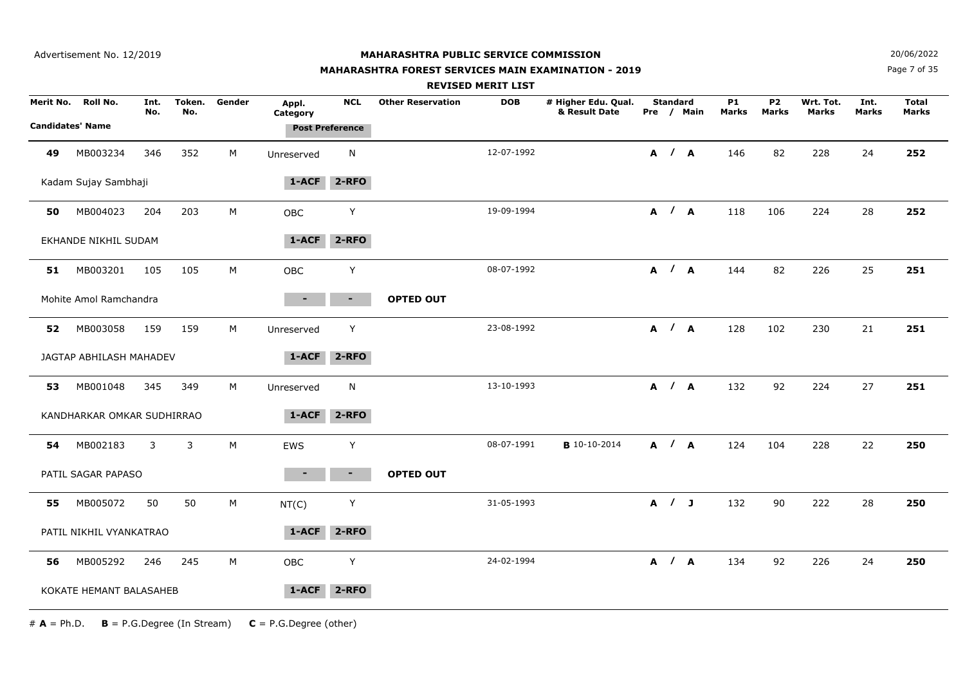## **MAHARASHTRA FOREST SERVICES MAIN EXAMINATION - 2019**

**N**  $20/06/2022$ 

Page 7 of 35

|           |                            |             |               |        |                   |                        |                          | <b>REVISED MERIT LIST</b> |                                      |                 |            |                    |                                |                           |               |                              |
|-----------|----------------------------|-------------|---------------|--------|-------------------|------------------------|--------------------------|---------------------------|--------------------------------------|-----------------|------------|--------------------|--------------------------------|---------------------------|---------------|------------------------------|
| Merit No. | Roll No.                   | Int.<br>No. | Token.<br>No. | Gender | Appl.<br>Category | <b>NCL</b>             | <b>Other Reservation</b> | <b>DOB</b>                | # Higher Edu. Qual.<br>& Result Date | <b>Standard</b> | Pre / Main | <b>P1</b><br>Marks | P <sub>2</sub><br><b>Marks</b> | Wrt. Tot.<br><b>Marks</b> | Int.<br>Marks | <b>Total</b><br><b>Marks</b> |
|           | <b>Candidates' Name</b>    |             |               |        |                   | <b>Post Preference</b> |                          |                           |                                      |                 |            |                    |                                |                           |               |                              |
| 49        | MB003234                   | 346         | 352           | M      | Unreserved        | N                      |                          | 12-07-1992                |                                      | A / A           |            | 146                | 82                             | 228                       | 24            | 252                          |
|           | Kadam Sujay Sambhaji       |             |               |        | 1-ACF             | 2-RFO                  |                          |                           |                                      |                 |            |                    |                                |                           |               |                              |
| 50        | MB004023                   | 204         | 203           | M      | OBC               | Y                      |                          | 19-09-1994                |                                      |                 | A / A      | 118                | 106                            | 224                       | 28            | 252                          |
|           | EKHANDE NIKHIL SUDAM       |             |               |        | 1-ACF             | $2 - RFO$              |                          |                           |                                      |                 |            |                    |                                |                           |               |                              |
| 51        | MB003201                   | 105         | 105           | M      | <b>OBC</b>        | Υ                      |                          | 08-07-1992                |                                      |                 | A / A      | 144                | 82                             | 226                       | 25            | 251                          |
|           | Mohite Amol Ramchandra     |             |               |        |                   | ۰.                     | <b>OPTED OUT</b>         |                           |                                      |                 |            |                    |                                |                           |               |                              |
| 52        | MB003058                   | 159         | 159           | М      | Unreserved        | Y                      |                          | 23-08-1992                |                                      | A / A           |            | 128                | 102                            | 230                       | 21            | 251                          |
|           | JAGTAP ABHILASH MAHADEV    |             |               |        | $1 - ACF$         | 2-RFO                  |                          |                           |                                      |                 |            |                    |                                |                           |               |                              |
| 53        | MB001048                   | 345         | 349           | М      | Unreserved        | N                      |                          | 13-10-1993                |                                      | A / A           |            | 132                | 92                             | 224                       | 27            | 251                          |
|           | KANDHARKAR OMKAR SUDHIRRAO |             |               |        | $1 - ACF$         | 2-RFO                  |                          |                           |                                      |                 |            |                    |                                |                           |               |                              |
| 54        | MB002183                   | 3           | 3             | M      | EWS               | Y                      |                          | 08-07-1991                | <b>B</b> 10-10-2014                  | A / A           |            | 124                | 104                            | 228                       | 22            | 250                          |
|           | PATIL SAGAR PAPASO         |             |               |        |                   |                        | <b>OPTED OUT</b>         |                           |                                      |                 |            |                    |                                |                           |               |                              |
| 55        | MB005072                   | 50          | 50            | M      | NT(C)             | Y                      |                          | 31-05-1993                |                                      | A / J           |            | 132                | 90                             | 222                       | 28            | 250                          |
|           | PATIL NIKHIL VYANKATRAO    |             |               |        | 1-ACF             | $2 - RFO$              |                          |                           |                                      |                 |            |                    |                                |                           |               |                              |
| 56        | MB005292                   | 246         | 245           | M      | <b>OBC</b>        | Υ                      |                          | 24-02-1994                |                                      | A / A           |            | 134                | 92                             | 226                       | 24            | 250                          |
|           | KOKATE HEMANT BALASAHEB    |             |               |        | 1-ACF             | $2 - RFO$              |                          |                           |                                      |                 |            |                    |                                |                           |               |                              |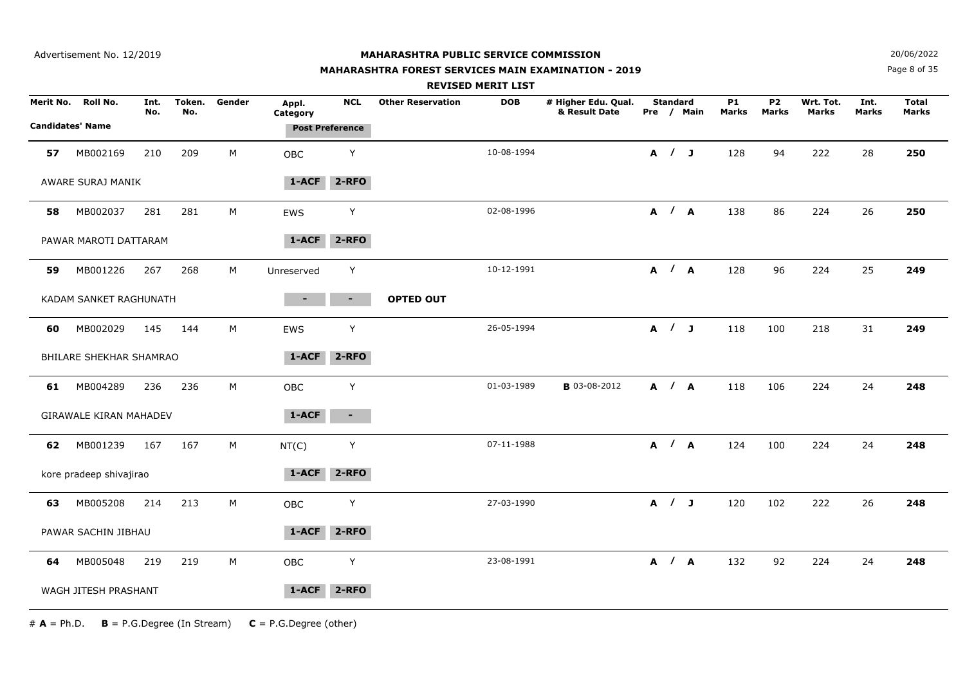## **MAHARASHTRA FOREST SERVICES MAIN EXAMINATION - 2019**

**N**  $20/06/2022$ 

Page 8 of 35

|    |                               |             |               |        |                   |                        |                          | <b>REVISED MERIT LIST</b> |                                      |                 |            |                    |                           |                           |                      |                       |
|----|-------------------------------|-------------|---------------|--------|-------------------|------------------------|--------------------------|---------------------------|--------------------------------------|-----------------|------------|--------------------|---------------------------|---------------------------|----------------------|-----------------------|
|    | Merit No. Roll No.            | Int.<br>No. | Token.<br>No. | Gender | Appl.<br>Category | <b>NCL</b>             | <b>Other Reservation</b> | <b>DOB</b>                | # Higher Edu. Qual.<br>& Result Date | <b>Standard</b> | Pre / Main | <b>P1</b><br>Marks | <b>P2</b><br><b>Marks</b> | Wrt. Tot.<br><b>Marks</b> | Int.<br><b>Marks</b> | <b>Total</b><br>Marks |
|    | <b>Candidates' Name</b>       |             |               |        |                   | <b>Post Preference</b> |                          |                           |                                      |                 |            |                    |                           |                           |                      |                       |
| 57 | MB002169                      | 210         | 209           | M      | <b>OBC</b>        | Y                      |                          | 10-08-1994                |                                      | A / J           |            | 128                | 94                        | 222                       | 28                   | 250                   |
|    | AWARE SURAJ MANIK             |             |               |        | $1 - ACF$         | $2 - RFO$              |                          |                           |                                      |                 |            |                    |                           |                           |                      |                       |
| 58 | MB002037                      | 281         | 281           | M      | <b>EWS</b>        | Y                      |                          | 02-08-1996                |                                      |                 | A / A      | 138                | 86                        | 224                       | 26                   | 250                   |
|    | PAWAR MAROTI DATTARAM         |             |               |        | 1-ACF             | $2 - RFO$              |                          |                           |                                      |                 |            |                    |                           |                           |                      |                       |
| 59 | MB001226                      | 267         | 268           | M      | Unreserved        | Y                      |                          | 10-12-1991                |                                      |                 | A / A      | 128                | 96                        | 224                       | 25                   | 249                   |
|    | KADAM SANKET RAGHUNATH        |             |               |        |                   | ٠.                     | <b>OPTED OUT</b>         |                           |                                      |                 |            |                    |                           |                           |                      |                       |
| 60 | MB002029                      | 145         | 144           | M      | EWS               | Y                      |                          | 26-05-1994                |                                      |                 | A / J      | 118                | 100                       | 218                       | 31                   | 249                   |
|    | BHILARE SHEKHAR SHAMRAO       |             |               |        | $1-ACF$           | $2 - RFO$              |                          |                           |                                      |                 |            |                    |                           |                           |                      |                       |
| 61 | MB004289                      | 236         | 236           | M      | <b>OBC</b>        | Y                      |                          | 01-03-1989                | <b>B</b> 03-08-2012                  | A / A           |            | 118                | 106                       | 224                       | 24                   | 248                   |
|    | <b>GIRAWALE KIRAN MAHADEV</b> |             |               |        | 1-ACF             | $\blacksquare$         |                          |                           |                                      |                 |            |                    |                           |                           |                      |                       |
| 62 | MB001239                      | 167         | 167           | M      | NT(C)             | Y                      |                          | 07-11-1988                |                                      | A / A           |            | 124                | 100                       | 224                       | 24                   | 248                   |
|    | kore pradeep shivajirao       |             |               |        | 1-ACF             | $2 - RFO$              |                          |                           |                                      |                 |            |                    |                           |                           |                      |                       |
| 63 | MB005208                      | 214         | 213           | M      | OBC               | Y                      |                          | 27-03-1990                |                                      | A / J           |            | 120                | 102                       | 222                       | 26                   | 248                   |
|    | PAWAR SACHIN JIBHAU           |             |               |        | 1-ACF             | $2 - RFO$              |                          |                           |                                      |                 |            |                    |                           |                           |                      |                       |
| 64 | MB005048                      | 219         | 219           | M      | <b>OBC</b>        | Y                      |                          | 23-08-1991                |                                      | A / A           |            | 132                | 92                        | 224                       | 24                   | 248                   |
|    | WAGH JITESH PRASHANT          |             |               |        | 1-ACF             | $2 - RFO$              |                          |                           |                                      |                 |            |                    |                           |                           |                      |                       |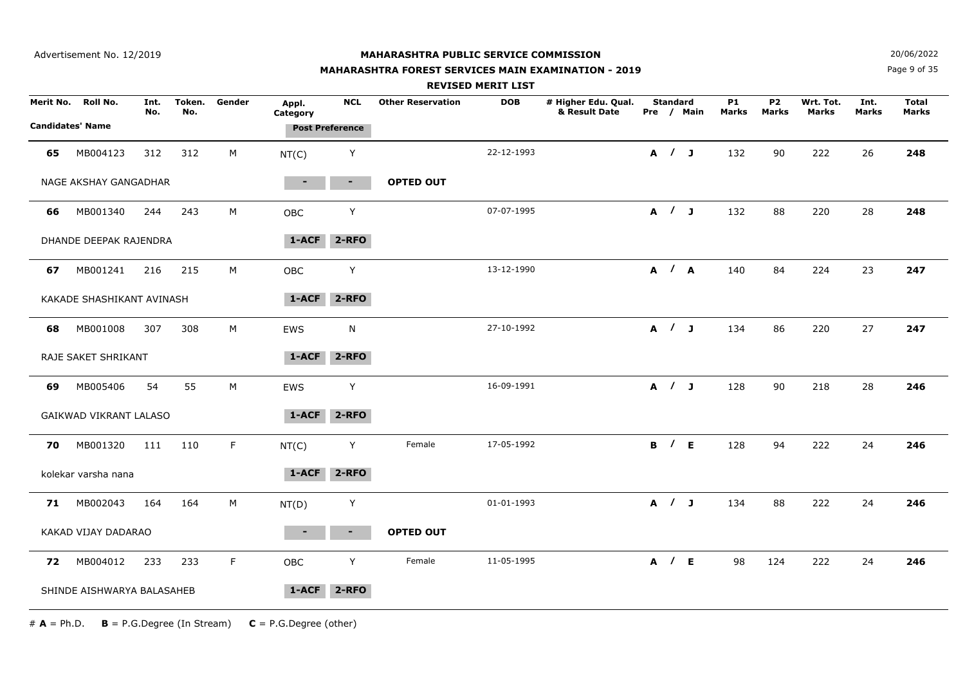Advertisement No. 12/2019

#### **MAHARASHTRA PUBLIC SERVICE COMMISSION**

## **MAHARASHTRA FOREST SERVICES MAIN EXAMINATION - 2019**

**N**  $20/06/2022$ 

Page 9 of 35

|    |                            |             |               |             |                   |                        |                          | <b>REVISED MERIT LIST</b> |                                      |                     |            |                    |                         |                    |                      |                              |
|----|----------------------------|-------------|---------------|-------------|-------------------|------------------------|--------------------------|---------------------------|--------------------------------------|---------------------|------------|--------------------|-------------------------|--------------------|----------------------|------------------------------|
|    | Merit No. Roll No.         | Int.<br>No. | Token.<br>No. | Gender      | Appl.<br>Category | <b>NCL</b>             | <b>Other Reservation</b> | <b>DOB</b>                | # Higher Edu. Qual.<br>& Result Date | <b>Standard</b>     | Pre / Main | <b>P1</b><br>Marks | P <sub>2</sub><br>Marks | Wrt. Tot.<br>Marks | Int.<br><b>Marks</b> | <b>Total</b><br><b>Marks</b> |
|    | <b>Candidates' Name</b>    |             |               |             |                   | <b>Post Preference</b> |                          |                           |                                      |                     |            |                    |                         |                    |                      |                              |
| 65 | MB004123                   | 312         | 312           | M           | NT(C)             | Y                      |                          | 22-12-1993                |                                      | A / J               |            | 132                | 90                      | 222                | 26                   | 248                          |
|    | NAGE AKSHAY GANGADHAR      |             |               |             | $\blacksquare$    | $\blacksquare$         | <b>OPTED OUT</b>         |                           |                                      |                     |            |                    |                         |                    |                      |                              |
| 66 | MB001340                   | 244         | 243           | M           | OBC               | Y                      |                          | 07-07-1995                |                                      | A / J               |            | 132                | 88                      | 220                | 28                   | 248                          |
|    | DHANDE DEEPAK RAJENDRA     |             |               |             | 1-ACF             | $2 - RFO$              |                          |                           |                                      |                     |            |                    |                         |                    |                      |                              |
| 67 | MB001241                   | 216         | 215           | M           | OBC               | Υ                      |                          | 13-12-1990                |                                      | A / A               |            | 140                | 84                      | 224                | 23                   | 247                          |
|    | KAKADE SHASHIKANT AVINASH  |             |               |             | 1-ACF             | $2 - RFO$              |                          |                           |                                      |                     |            |                    |                         |                    |                      |                              |
| 68 | MB001008                   | 307         | 308           | M           | EWS               | N                      |                          | 27-10-1992                |                                      | A / J               |            | 134                | 86                      | 220                | 27                   | 247                          |
|    | RAJE SAKET SHRIKANT        |             |               |             | $1-ACF$           | 2-RFO                  |                          |                           |                                      |                     |            |                    |                         |                    |                      |                              |
| 69 | MB005406                   | 54          | 55            | M           | EWS               | Υ                      |                          | 16-09-1991                |                                      | A / J               |            | 128                | 90                      | 218                | 28                   | 246                          |
|    | GAIKWAD VIKRANT LALASO     |             |               |             | 1-ACF             | 2-RFO                  |                          |                           |                                      |                     |            |                    |                         |                    |                      |                              |
| 70 | MB001320                   | 111         | 110           | $\mathsf F$ | NT(C)             | Y                      | Female                   | 17-05-1992                |                                      | <b>B</b> / <b>E</b> |            | 128                | 94                      | 222                | 24                   | 246                          |
|    | kolekar varsha nana        |             |               |             | 1-ACF             | $2 - RFO$              |                          |                           |                                      |                     |            |                    |                         |                    |                      |                              |
|    | 71 MB002043                | 164         | 164           | M           | NT(D)             | Υ                      |                          | 01-01-1993                |                                      | A / J               |            | 134                | 88                      | 222                | 24                   | 246                          |
|    | KAKAD VIJAY DADARAO        |             |               |             | $\blacksquare$    | $\blacksquare$         | <b>OPTED OUT</b>         |                           |                                      |                     |            |                    |                         |                    |                      |                              |
| 72 | MB004012                   | 233         | 233           | F           | <b>OBC</b>        | Y                      | Female                   | 11-05-1995                |                                      | A / E               |            | 98                 | 124                     | 222                | 24                   | 246                          |
|    | SHINDE AISHWARYA BALASAHEB |             |               |             | $1 - ACF$         | $2 - RFO$              |                          |                           |                                      |                     |            |                    |                         |                    |                      |                              |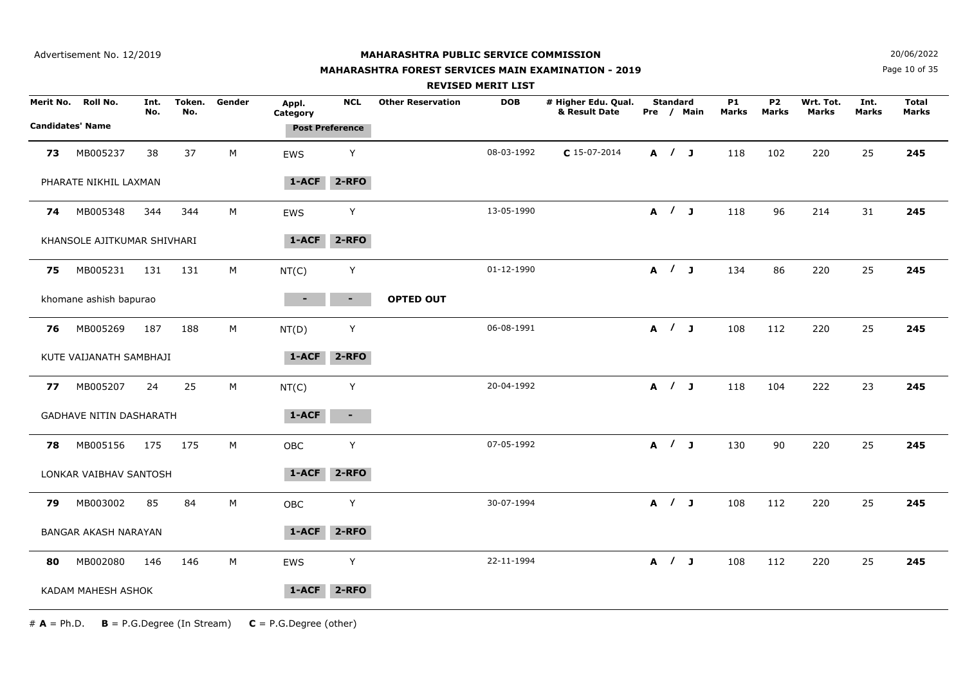## **MAHARASHTRA FOREST SERVICES MAIN EXAMINATION - 2019**

**N**  $20/06/2022$ 

Page 10 of 35

|    |                                               |             |               |             |                   |                                      |                          | <b>REVISED MERIT LIST</b> |                                      |                 |            |                    |                         |                           |               |                       |
|----|-----------------------------------------------|-------------|---------------|-------------|-------------------|--------------------------------------|--------------------------|---------------------------|--------------------------------------|-----------------|------------|--------------------|-------------------------|---------------------------|---------------|-----------------------|
|    | Merit No. Roll No.<br><b>Candidates' Name</b> | Int.<br>No. | Token.<br>No. | Gender      | Appl.<br>Category | <b>NCL</b><br><b>Post Preference</b> | <b>Other Reservation</b> | <b>DOB</b>                | # Higher Edu. Qual.<br>& Result Date | <b>Standard</b> | Pre / Main | <b>P1</b><br>Marks | P <sub>2</sub><br>Marks | Wrt. Tot.<br><b>Marks</b> | Int.<br>Marks | <b>Total</b><br>Marks |
| 73 | MB005237                                      | 38          | 37            | $M_{\odot}$ | EWS               | Y                                    |                          | 08-03-1992                | $C$ 15-07-2014                       | A / J           |            | 118                | 102                     | 220                       | 25            | 245                   |
|    | PHARATE NIKHIL LAXMAN                         |             |               |             | $1 - ACF$         | $2 - RFO$                            |                          |                           |                                      |                 |            |                    |                         |                           |               |                       |
| 74 | MB005348                                      | 344         | 344           | M           | EWS               | Y                                    |                          | 13-05-1990                |                                      | A / J           |            | 118                | 96                      | 214                       | 31            | 245                   |
|    | KHANSOLE AJITKUMAR SHIVHARI                   |             |               |             | 1-ACF             | 2-RFO                                |                          |                           |                                      |                 |            |                    |                         |                           |               |                       |
| 75 | MB005231                                      | 131         | 131           | M           | NT(C)             | Y                                    |                          | 01-12-1990                |                                      | A / J           |            | 134                | 86                      | 220                       | 25            | 245                   |
|    | khomane ashish bapurao                        |             |               |             |                   | ٠.                                   | <b>OPTED OUT</b>         |                           |                                      |                 |            |                    |                         |                           |               |                       |
| 76 | MB005269                                      | 187         | 188           | M           | NT(D)             | Υ                                    |                          | 06-08-1991                |                                      | A / J           |            | 108                | 112                     | 220                       | 25            | 245                   |
|    | KUTE VAIJANATH SAMBHAJI                       |             |               |             | 1-ACF             | $2 - RFO$                            |                          |                           |                                      |                 |            |                    |                         |                           |               |                       |
| 77 | MB005207                                      | 24          | 25            | M           | NT(C)             | Y                                    |                          | 20-04-1992                |                                      | A / J           |            | 118                | 104                     | 222                       | 23            | 245                   |
|    | GADHAVE NITIN DASHARATH                       |             |               |             | 1-ACF             | $\sim$                               |                          |                           |                                      |                 |            |                    |                         |                           |               |                       |
| 78 | MB005156                                      | 175         | 175           | M           | OBC               | Y                                    |                          | 07-05-1992                |                                      | A / J           |            | 130                | 90                      | 220                       | 25            | 245                   |
|    | LONKAR VAIBHAV SANTOSH                        |             |               |             | 1-ACF             | $2 - RFO$                            |                          |                           |                                      |                 |            |                    |                         |                           |               |                       |
| 79 | MB003002                                      | 85          | 84            | $M_{\odot}$ | OBC               | Y                                    |                          | 30-07-1994                |                                      | A / J           |            | 108                | 112                     | 220                       | 25            | 245                   |
|    | BANGAR AKASH NARAYAN                          |             |               |             | $1 - ACF$         | $2 - RFO$                            |                          |                           |                                      |                 |            |                    |                         |                           |               |                       |
| 80 | MB002080                                      | 146         | 146           | M           | <b>EWS</b>        | Y                                    |                          | 22-11-1994                |                                      | A / J           |            | 108                | 112                     | 220                       | 25            | 245                   |
|    | KADAM MAHESH ASHOK                            |             |               |             | 1-ACF             | $2 - RFO$                            |                          |                           |                                      |                 |            |                    |                         |                           |               |                       |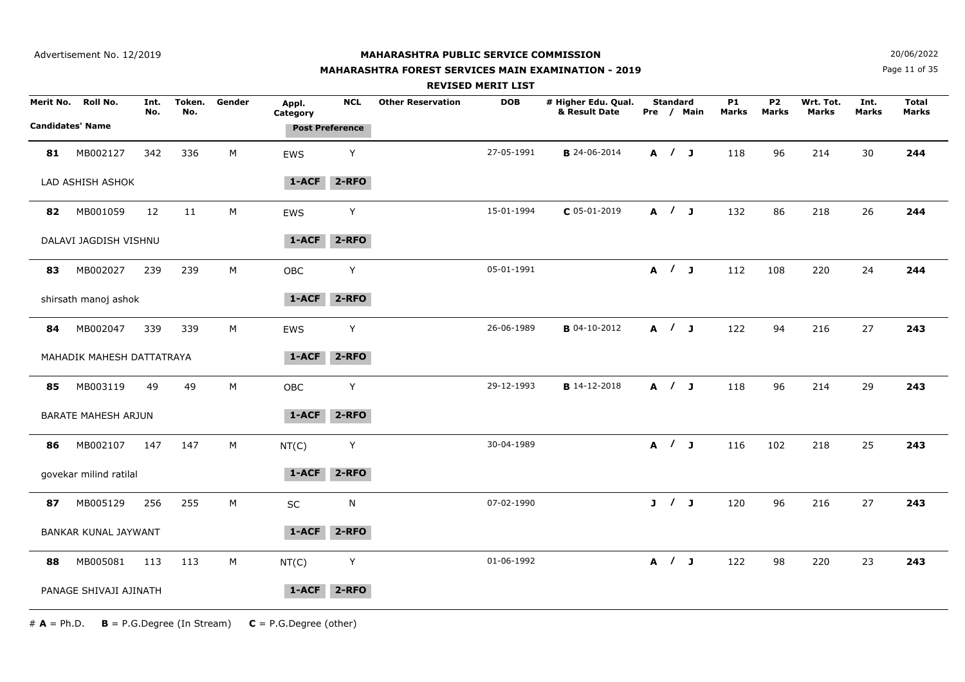## **MAHARASHTRA FOREST SERVICES MAIN EXAMINATION - 2019**

**N**  $20/06/2022$ 

Page 11 of 35

|    |                                               |             |               |        |                   |                                      | <b>REVISED MERIT LIST</b> |            |                                      |                 |            |                           |                           |                           |                      |                              |
|----|-----------------------------------------------|-------------|---------------|--------|-------------------|--------------------------------------|---------------------------|------------|--------------------------------------|-----------------|------------|---------------------------|---------------------------|---------------------------|----------------------|------------------------------|
|    | Merit No. Roll No.<br><b>Candidates' Name</b> | Int.<br>No. | Token.<br>No. | Gender | Appl.<br>Category | <b>NCL</b><br><b>Post Preference</b> | <b>Other Reservation</b>  | <b>DOB</b> | # Higher Edu. Qual.<br>& Result Date | <b>Standard</b> | Pre / Main | <b>P1</b><br><b>Marks</b> | <b>P2</b><br><b>Marks</b> | Wrt. Tot.<br><b>Marks</b> | Int.<br><b>Marks</b> | <b>Total</b><br><b>Marks</b> |
| 81 | MB002127                                      | 342         | 336           | M      | EWS               | Υ                                    |                           | 27-05-1991 | <b>B</b> 24-06-2014                  | A / J           |            | 118                       | 96                        | 214                       | 30                   | 244                          |
|    | LAD ASHISH ASHOK                              |             |               |        | $1-ACF$           | 2-RFO                                |                           |            |                                      |                 |            |                           |                           |                           |                      |                              |
| 82 | MB001059                                      | 12          | 11            | M      | <b>EWS</b>        | Υ                                    |                           | 15-01-1994 | $C$ 05-01-2019                       | A / J           |            | 132                       | 86                        | 218                       | 26                   | 244                          |
|    | DALAVI JAGDISH VISHNU                         |             |               |        | 1-ACF             | $2 - RFO$                            |                           |            |                                      |                 |            |                           |                           |                           |                      |                              |
| 83 | MB002027                                      | 239         | 239           | M      | OBC               | Υ                                    |                           | 05-01-1991 |                                      | A / J           |            | 112                       | 108                       | 220                       | 24                   | 244                          |
|    | shirsath manoj ashok                          |             |               |        | 1-ACF             | $2 - RFO$                            |                           |            |                                      |                 |            |                           |                           |                           |                      |                              |
| 84 | MB002047                                      | 339         | 339           | M      | EWS               | Y                                    |                           | 26-06-1989 | <b>B</b> 04-10-2012                  | A / J           |            | 122                       | 94                        | 216                       | 27                   | 243                          |
|    | MAHADIK MAHESH DATTATRAYA                     |             |               |        | 1-ACF             | $2 - RFO$                            |                           |            |                                      |                 |            |                           |                           |                           |                      |                              |
| 85 | MB003119                                      | 49          | 49            | M      | OBC               | Y                                    |                           | 29-12-1993 | <b>B</b> 14-12-2018                  | A / J           |            | 118                       | 96                        | 214                       | 29                   | 243                          |
|    | <b>BARATE MAHESH ARJUN</b>                    |             |               |        | 1-ACF             | $2 - RFO$                            |                           |            |                                      |                 |            |                           |                           |                           |                      |                              |
| 86 | MB002107                                      | 147         | 147           | M      | NT(C)             | Y                                    |                           | 30-04-1989 |                                      | A / J           |            | 116                       | 102                       | 218                       | 25                   | 243                          |
|    | govekar milind ratilal                        |             |               |        | 1-ACF             | $2 - RFO$                            |                           |            |                                      |                 |            |                           |                           |                           |                      |                              |
| 87 | MB005129                                      | 256         | 255           | M      | SC                | N                                    |                           | 07-02-1990 |                                      | J / J           |            | 120                       | 96                        | 216                       | 27                   | 243                          |
|    | BANKAR KUNAL JAYWANT                          |             |               |        | 1-ACF             | $2 - RFO$                            |                           |            |                                      |                 |            |                           |                           |                           |                      |                              |
| 88 | MB005081                                      | 113         | 113           | M      | NT(C)             | Υ                                    |                           | 01-06-1992 |                                      | A / J           |            | 122                       | 98                        | 220                       | 23                   | 243                          |
|    | PANAGE SHIVAJI AJINATH                        |             |               |        | 1-ACF             | $2 - RFO$                            |                           |            |                                      |                 |            |                           |                           |                           |                      |                              |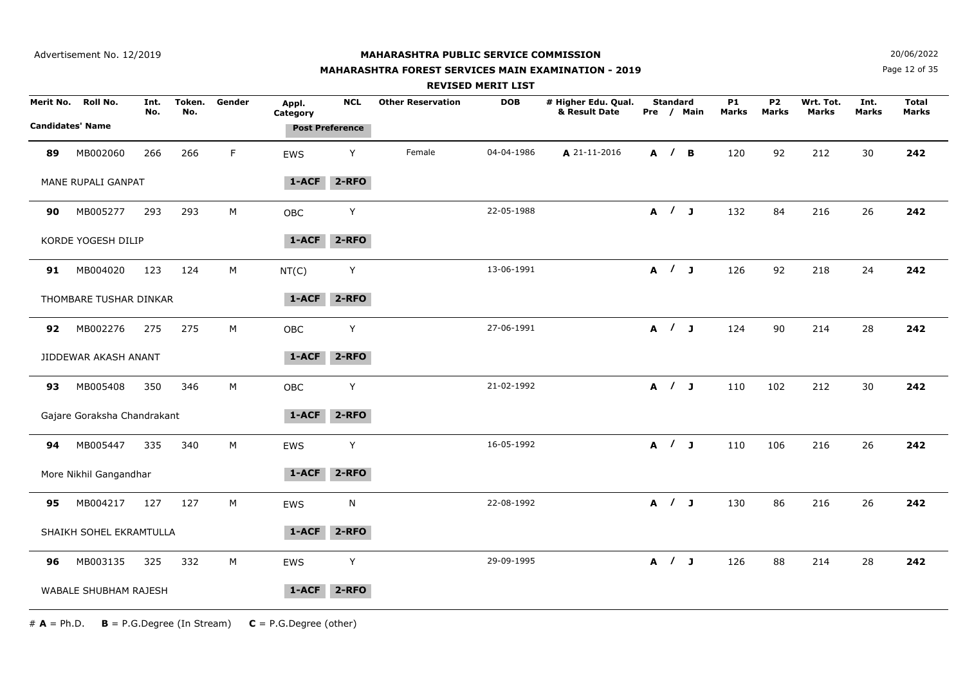Advertisement No. 12/2019

#### **MAHARASHTRA PUBLIC SERVICE COMMISSION**

## **MAHARASHTRA FOREST SERVICES MAIN EXAMINATION - 2019**

**N**  $20/06/2022$ 

Page 12 of 35

|                         |                             |             |               |        |                   |                        |                          | <b>REVISED MERIT LIST</b> |                                      |                 |            |                    |                           |                           |                      |                              |
|-------------------------|-----------------------------|-------------|---------------|--------|-------------------|------------------------|--------------------------|---------------------------|--------------------------------------|-----------------|------------|--------------------|---------------------------|---------------------------|----------------------|------------------------------|
| Merit No.               | Roll No.                    | Int.<br>No. | Token.<br>No. | Gender | Appl.<br>Category | <b>NCL</b>             | <b>Other Reservation</b> | <b>DOB</b>                | # Higher Edu. Qual.<br>& Result Date | <b>Standard</b> | Pre / Main | <b>P1</b><br>Marks | <b>P2</b><br><b>Marks</b> | Wrt. Tot.<br><b>Marks</b> | Int.<br><b>Marks</b> | <b>Total</b><br><b>Marks</b> |
| <b>Candidates' Name</b> |                             |             |               |        |                   | <b>Post Preference</b> |                          |                           |                                      |                 |            |                    |                           |                           |                      |                              |
| 89                      | MB002060                    | 266         | 266           | F.     | <b>EWS</b>        | Y                      | Female                   | 04-04-1986                | A 21-11-2016                         | A / B           |            | 120                | 92                        | 212                       | 30                   | 242                          |
|                         | MANE RUPALI GANPAT          |             |               |        | $1-ACF$           | $2 - RFO$              |                          |                           |                                      |                 |            |                    |                           |                           |                      |                              |
| 90                      | MB005277                    | 293         | 293           | М      | OBC               | Y                      |                          | 22-05-1988                |                                      |                 | A / J      | 132                | 84                        | 216                       | 26                   | 242                          |
|                         | KORDE YOGESH DILIP          |             |               |        | 1-ACF             | $2 - RFO$              |                          |                           |                                      |                 |            |                    |                           |                           |                      |                              |
| 91                      | MB004020                    | 123         | 124           | М      | NT(C)             | Y                      |                          | 13-06-1991                |                                      |                 | A / J      | 126                | 92                        | 218                       | 24                   | 242                          |
|                         | THOMBARE TUSHAR DINKAR      |             |               |        | 1-ACF             | $2 - RFO$              |                          |                           |                                      |                 |            |                    |                           |                           |                      |                              |
| 92                      | MB002276                    | 275         | 275           | М      | <b>OBC</b>        | Υ                      |                          | 27-06-1991                |                                      | A / J           |            | 124                | 90                        | 214                       | 28                   | 242                          |
|                         | JIDDEWAR AKASH ANANT        |             |               |        | 1-ACF             | 2-RFO                  |                          |                           |                                      |                 |            |                    |                           |                           |                      |                              |
| 93                      | MB005408                    | 350         | 346           | М      | OBC               | Υ                      |                          | 21-02-1992                |                                      | A / J           |            | 110                | 102                       | 212                       | 30                   | 242                          |
|                         | Gajare Goraksha Chandrakant |             |               |        | 1-ACF             | $2 - RFO$              |                          |                           |                                      |                 |            |                    |                           |                           |                      |                              |
| 94                      | MB005447                    | 335         | 340           | М      | EWS               | Y                      |                          | 16-05-1992                |                                      | A / J           |            | 110                | 106                       | 216                       | 26                   | 242                          |
|                         | More Nikhil Gangandhar      |             |               |        | 1-ACF             | $2 - RFO$              |                          |                           |                                      |                 |            |                    |                           |                           |                      |                              |
| 95                      | MB004217                    | 127         | 127           | М      | EWS               | N                      |                          | 22-08-1992                |                                      | A / J           |            | 130                | 86                        | 216                       | 26                   | 242                          |
|                         | SHAIKH SOHEL EKRAMTULLA     |             |               |        | 1-ACF             | $2 - RFO$              |                          |                           |                                      |                 |            |                    |                           |                           |                      |                              |
| 96                      | MB003135                    | 325         | 332           | М      | EWS               | Υ                      |                          | 29-09-1995                |                                      | A / J           |            | 126                | 88                        | 214                       | 28                   | 242                          |
|                         | WABALE SHUBHAM RAJESH       |             |               |        | 1-ACF             | $2 - RFO$              |                          |                           |                                      |                 |            |                    |                           |                           |                      |                              |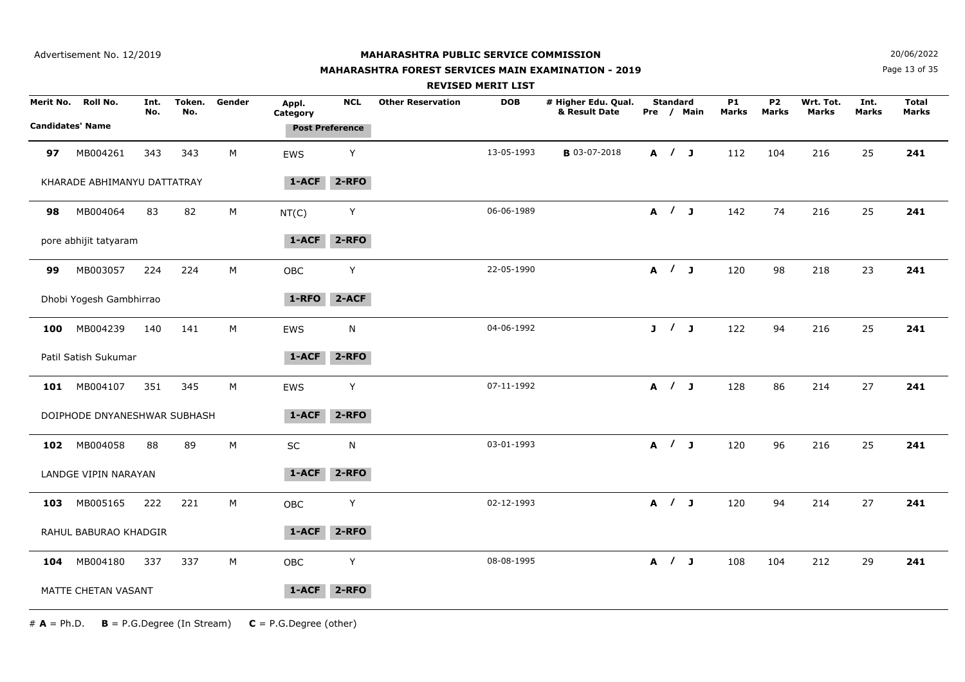#### **MAHARASHTRA FOREST SERVICES MAIN EXAMINATION - 2019**

**N**  $20/06/2022$ 

Page 13 of 35

|           |                                     |             |               |        |                   |                                      | <b>REVISED MERIT LIST</b>              |                                      |                 |            |                    |                                |                           |                      |                       |  |
|-----------|-------------------------------------|-------------|---------------|--------|-------------------|--------------------------------------|----------------------------------------|--------------------------------------|-----------------|------------|--------------------|--------------------------------|---------------------------|----------------------|-----------------------|--|
| Merit No. | Roll No.<br><b>Candidates' Name</b> | Int.<br>No. | Token.<br>No. | Gender | Appl.<br>Category | <b>NCL</b><br><b>Post Preference</b> | <b>Other Reservation</b><br><b>DOB</b> | # Higher Edu. Qual.<br>& Result Date | <b>Standard</b> | Pre / Main | <b>P1</b><br>Marks | P <sub>2</sub><br><b>Marks</b> | Wrt. Tot.<br><b>Marks</b> | Int.<br><b>Marks</b> | <b>Total</b><br>Marks |  |
| 97        | MB004261                            | 343         | 343           | M      | EWS               | Y                                    | 13-05-1993                             | <b>B</b> 03-07-2018                  | A / J           |            | 112                | 104                            | 216                       | 25                   | 241                   |  |
|           | KHARADE ABHIMANYU DATTATRAY         |             |               |        | 1-ACF             | $2 - RFO$                            |                                        |                                      |                 |            |                    |                                |                           |                      |                       |  |
| 98        | MB004064                            | 83          | 82            | M      | NT(C)             | Y                                    | 06-06-1989                             |                                      | A / J           |            | 142                | 74                             | 216                       | 25                   | 241                   |  |
|           | pore abhijit tatyaram               |             |               |        | $1 - ACF$         | $2 - RFO$                            |                                        |                                      |                 |            |                    |                                |                           |                      |                       |  |
| 99        | MB003057                            | 224         | 224           | M      | OBC               | Y                                    | 22-05-1990                             |                                      | A / J           |            | 120                | 98                             | 218                       | 23                   | 241                   |  |
|           | Dhobi Yogesh Gambhirrao             |             |               |        | 1-RFO             | $2-ACF$                              |                                        |                                      |                 |            |                    |                                |                           |                      |                       |  |
| 100       | MB004239                            | 140         | 141           | M      | EWS               | $\mathsf{N}$                         | 04-06-1992                             |                                      | J / J           |            | 122                | 94                             | 216                       | 25                   | 241                   |  |
|           | Patil Satish Sukumar                |             |               |        | $1-ACF$           | $2 - RFO$                            |                                        |                                      |                 |            |                    |                                |                           |                      |                       |  |
| 101       | MB004107                            | 351         | 345           | М      | EWS               | Υ                                    | 07-11-1992                             |                                      | A / J           |            | 128                | 86                             | 214                       | 27                   | 241                   |  |
|           | DOIPHODE DNYANESHWAR SUBHASH        |             |               |        | 1-ACF             | $2 - RFO$                            |                                        |                                      |                 |            |                    |                                |                           |                      |                       |  |
| 102       | MB004058                            | 88          | 89            | M      | $\sf SC$          | $\mathsf{N}$                         | 03-01-1993                             |                                      | A / J           |            | 120                | 96                             | 216                       | 25                   | 241                   |  |
|           | LANDGE VIPIN NARAYAN                |             |               |        | 1-ACF             | 2-RFO                                |                                        |                                      |                 |            |                    |                                |                           |                      |                       |  |
| 103       | MB005165                            | 222         | 221           | M      | OBC               | $\sf Y$                              | 02-12-1993                             |                                      | A / J           |            | 120                | 94                             | 214                       | 27                   | 241                   |  |
|           | RAHUL BABURAO KHADGIR               |             |               |        | 1-ACF             | $2 - RFO$                            |                                        |                                      |                 |            |                    |                                |                           |                      |                       |  |
| 104       | MB004180                            | 337         | 337           | M      | OBC               | Υ                                    | 08-08-1995                             |                                      | A / J           |            | 108                | 104                            | 212                       | 29                   | 241                   |  |
|           | MATTE CHETAN VASANT                 |             |               |        | 1-ACF             | $2 - RFO$                            |                                        |                                      |                 |            |                    |                                |                           |                      |                       |  |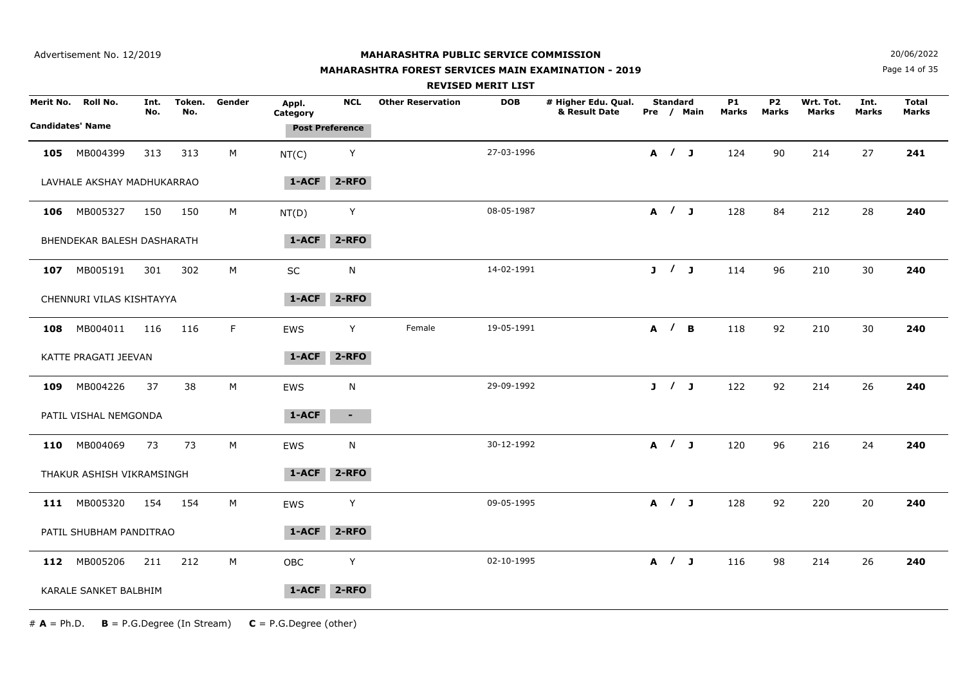## **MAHARASHTRA FOREST SERVICES MAIN EXAMINATION - 2019**

**N**  $20/06/2022$ 

Page 14 of 35

|           |                                     |             |               |        |                   |                                      |                          | <b>REVISED MERIT LIST</b> |                                      |                 |            |                    |                           |                           |                      |                              |
|-----------|-------------------------------------|-------------|---------------|--------|-------------------|--------------------------------------|--------------------------|---------------------------|--------------------------------------|-----------------|------------|--------------------|---------------------------|---------------------------|----------------------|------------------------------|
| Merit No. | Roll No.<br><b>Candidates' Name</b> | Int.<br>No. | Token.<br>No. | Gender | Appl.<br>Category | <b>NCL</b><br><b>Post Preference</b> | <b>Other Reservation</b> | <b>DOB</b>                | # Higher Edu. Qual.<br>& Result Date | <b>Standard</b> | Pre / Main | <b>P1</b><br>Marks | <b>P2</b><br><b>Marks</b> | Wrt. Tot.<br><b>Marks</b> | Int.<br><b>Marks</b> | <b>Total</b><br><b>Marks</b> |
| 105       | MB004399                            | 313         | 313           | М      | NT(C)             | Y                                    |                          | 27-03-1996                |                                      | A / J           |            | 124                | 90                        | 214                       | 27                   | 241                          |
|           | LAVHALE AKSHAY MADHUKARRAO          |             |               |        | 1-ACF             | $2 - RFO$                            |                          |                           |                                      |                 |            |                    |                           |                           |                      |                              |
| 106       | MB005327                            | 150         | 150           | M      | NT(D)             | Y                                    |                          | 08-05-1987                |                                      | A / J           |            | 128                | 84                        | 212                       | 28                   | 240                          |
|           | BHENDEKAR BALESH DASHARATH          |             |               |        | 1-ACF             | $2 - RFO$                            |                          |                           |                                      |                 |            |                    |                           |                           |                      |                              |
|           | 107 MB005191                        | 301         | 302           | M      | SC                | ${\sf N}$                            |                          | 14-02-1991                |                                      | J / J           |            | 114                | 96                        | 210                       | 30                   | 240                          |
|           | CHENNURI VILAS KISHTAYYA            |             |               |        | 1-ACF             | 2-RFO                                |                          |                           |                                      |                 |            |                    |                           |                           |                      |                              |
| 108       | MB004011                            | 116         | 116           | F.     | EWS               | Y                                    | Female                   | 19-05-1991                |                                      | A / B           |            | 118                | 92                        | 210                       | 30                   | 240                          |
|           | KATTE PRAGATI JEEVAN                |             |               |        | $1 - ACF$         | $2 - RFO$                            |                          |                           |                                      |                 |            |                    |                           |                           |                      |                              |
|           | 109 MB004226                        | 37          | 38            | M      | EWS               | N                                    |                          | 29-09-1992                |                                      | J / J           |            | 122                | 92                        | 214                       | 26                   | 240                          |
|           | PATIL VISHAL NEMGONDA               |             |               |        | 1-ACF             | $\sim$                               |                          |                           |                                      |                 |            |                    |                           |                           |                      |                              |
| 110       | MB004069                            | 73          | 73            | М      | EWS               | N                                    |                          | 30-12-1992                |                                      | A / J           |            | 120                | 96                        | 216                       | 24                   | 240                          |
|           | THAKUR ASHISH VIKRAMSINGH           |             |               |        | 1-ACF             | $2 - RFO$                            |                          |                           |                                      |                 |            |                    |                           |                           |                      |                              |
|           | 111 MB005320                        | 154         | 154           | M      | EWS               | Υ                                    |                          | 09-05-1995                |                                      | A / J           |            | 128                | 92                        | 220                       | 20                   | 240                          |
|           | PATIL SHUBHAM PANDITRAO             |             |               |        | 1-ACF             | $2 - RFO$                            |                          |                           |                                      |                 |            |                    |                           |                           |                      |                              |
|           | 112 MB005206                        | 211         | 212           | M      | <b>OBC</b>        | Y                                    |                          | 02-10-1995                |                                      | A / J           |            | 116                | 98                        | 214                       | 26                   | 240                          |
|           | KARALE SANKET BALBHIM               |             |               |        | 1-ACF             | $2 - RFO$                            |                          |                           |                                      |                 |            |                    |                           |                           |                      |                              |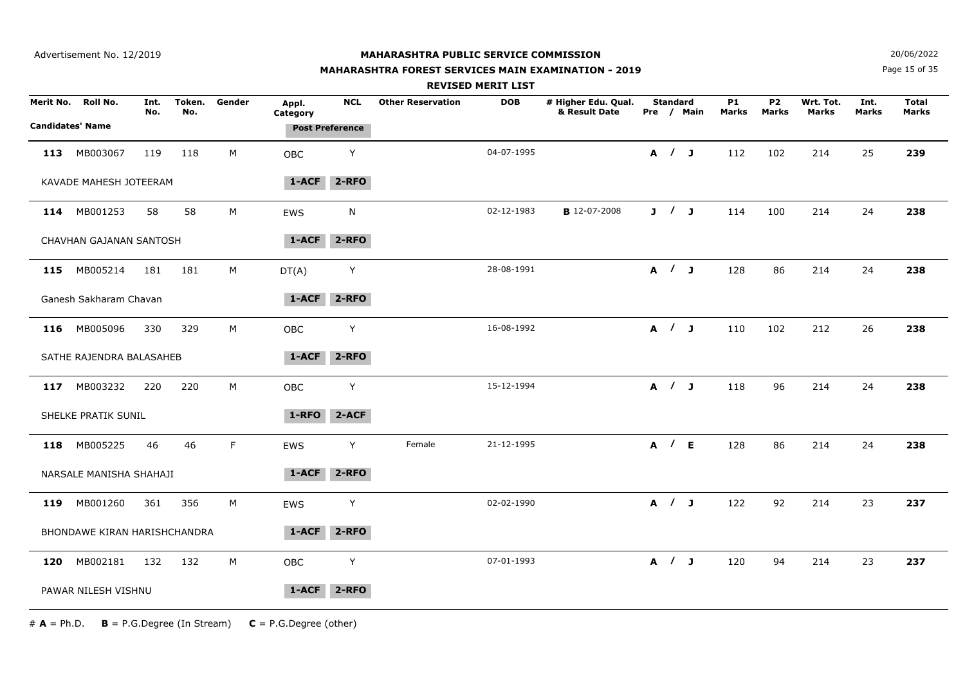#### **MAHARASHTRA FOREST SERVICES MAIN EXAMINATION - 2019**

**N**  $20/06/2022$ 

Page 15 of 35

|     |                              |             |               |             |                   |                        |                          | <b>REVISED MERIT LIST</b> |                                      |                 |            |                           |                                |                    |                      |                       |
|-----|------------------------------|-------------|---------------|-------------|-------------------|------------------------|--------------------------|---------------------------|--------------------------------------|-----------------|------------|---------------------------|--------------------------------|--------------------|----------------------|-----------------------|
|     | Merit No. Roll No.           | Int.<br>No. | Token.<br>No. | Gender      | Appl.<br>Category | <b>NCL</b>             | <b>Other Reservation</b> | <b>DOB</b>                | # Higher Edu. Qual.<br>& Result Date | <b>Standard</b> | Pre / Main | <b>P1</b><br><b>Marks</b> | P <sub>2</sub><br><b>Marks</b> | Wrt. Tot.<br>Marks | Int.<br><b>Marks</b> | <b>Total</b><br>Marks |
|     | <b>Candidates' Name</b>      |             |               |             |                   | <b>Post Preference</b> |                          |                           |                                      |                 |            |                           |                                |                    |                      |                       |
| 113 | MB003067                     | 119         | 118           | M           | <b>OBC</b>        | Υ                      |                          | 04-07-1995                |                                      | A / J           |            | 112                       | 102                            | 214                | 25                   | 239                   |
|     | KAVADE MAHESH JOTEERAM       |             |               |             | $1-ACF$           | $2 - RFO$              |                          |                           |                                      |                 |            |                           |                                |                    |                      |                       |
|     | 114 MB001253                 | 58          | 58            | M           | EWS               | N                      |                          | 02-12-1983                | <b>B</b> 12-07-2008                  | J / J           |            | 114                       | 100                            | 214                | 24                   | 238                   |
|     | CHAVHAN GAJANAN SANTOSH      |             |               |             | 1-ACF             | $2 - RFO$              |                          |                           |                                      |                 |            |                           |                                |                    |                      |                       |
|     | 115 MB005214                 | 181         | 181           | М           | DT(A)             | Y                      |                          | 28-08-1991                |                                      |                 | A / J      | 128                       | 86                             | 214                | 24                   | 238                   |
|     | Ganesh Sakharam Chavan       |             |               |             | 1-ACF             | $2 - RFO$              |                          |                           |                                      |                 |            |                           |                                |                    |                      |                       |
|     | 116 MB005096                 | 330         | 329           | М           | <b>OBC</b>        | Y                      |                          | 16-08-1992                |                                      | A / J           |            | 110                       | 102                            | 212                | 26                   | 238                   |
|     | SATHE RAJENDRA BALASAHEB     |             |               |             | 1-ACF             | $2 - RFO$              |                          |                           |                                      |                 |            |                           |                                |                    |                      |                       |
| 117 | MB003232                     | 220         | 220           | $M_{\odot}$ | OBC               | Y                      |                          | 15-12-1994                |                                      |                 | A / J      | 118                       | 96                             | 214                | 24                   | 238                   |
|     | SHELKE PRATIK SUNIL          |             |               |             | 1-RFO             | 2-ACF                  |                          |                           |                                      |                 |            |                           |                                |                    |                      |                       |
|     | 118 MB005225                 | 46          | 46            | F.          | EWS               | Y                      | Female                   | 21-12-1995                |                                      | A / E           |            | 128                       | 86                             | 214                | 24                   | 238                   |
|     | NARSALE MANISHA SHAHAJI      |             |               |             | 1-ACF             | 2-RFO                  |                          |                           |                                      |                 |            |                           |                                |                    |                      |                       |
| 119 | MB001260                     | 361         | 356           | М           | EWS               | Υ                      |                          | 02-02-1990                |                                      | A / J           |            | 122                       | 92                             | 214                | 23                   | 237                   |
|     | BHONDAWE KIRAN HARISHCHANDRA |             |               |             | 1-ACF             | $2 - RFO$              |                          |                           |                                      |                 |            |                           |                                |                    |                      |                       |
| 120 | MB002181                     | 132         | 132           | M           | OBC               | Υ                      |                          | 07-01-1993                |                                      | A / J           |            | 120                       | 94                             | 214                | 23                   | 237                   |
|     | PAWAR NILESH VISHNU          |             |               |             | $1 - ACF$         | $2 - RFO$              |                          |                           |                                      |                 |            |                           |                                |                    |                      |                       |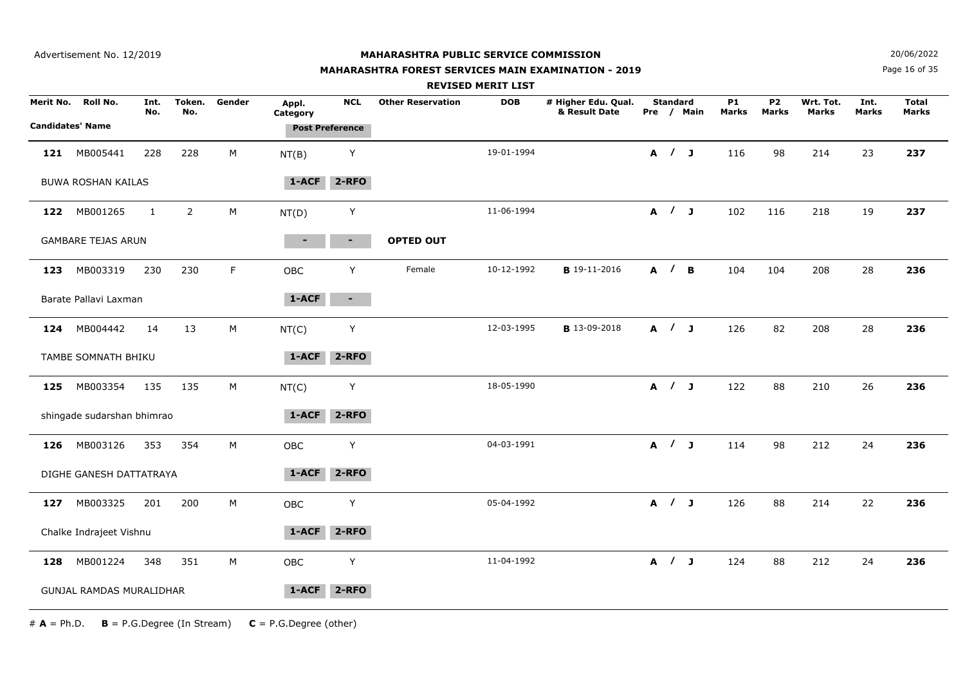#### **MAHARASHTRA FOREST SERVICES MAIN EXAMINATION - 2019**

**N**  $20/06/2022$ 

Page 16 of 35

|                         |                            |              |                |           |                        |                |                          | <b>REVISED MERIT LIST</b> |                                      |                 |            |                           |                           |                           |                      |                              |  |
|-------------------------|----------------------------|--------------|----------------|-----------|------------------------|----------------|--------------------------|---------------------------|--------------------------------------|-----------------|------------|---------------------------|---------------------------|---------------------------|----------------------|------------------------------|--|
| Merit No.               | Roll No.                   | Int.<br>No.  | Token.<br>No.  | Gender    | Appl.<br>Category      | <b>NCL</b>     | <b>Other Reservation</b> | <b>DOB</b>                | # Higher Edu. Qual.<br>& Result Date | <b>Standard</b> | Pre / Main | <b>P1</b><br><b>Marks</b> | <b>P2</b><br><b>Marks</b> | Wrt. Tot.<br><b>Marks</b> | Int.<br><b>Marks</b> | <b>Total</b><br><b>Marks</b> |  |
| <b>Candidates' Name</b> |                            |              |                |           | <b>Post Preference</b> |                |                          |                           |                                      |                 |            |                           |                           |                           |                      |                              |  |
| 121                     | MB005441                   | 228          | 228            | М         | NT(B)                  | Y              |                          | 19-01-1994                |                                      | A / J           |            | 116                       | 98                        | 214                       | 23                   | 237                          |  |
|                         | <b>BUWA ROSHAN KAILAS</b>  |              |                |           | $1-ACF$                | $2 - RFO$      |                          |                           |                                      |                 |            |                           |                           |                           |                      |                              |  |
| 122                     | MB001265                   | $\mathbf{1}$ | $\overline{2}$ | М         | NT(D)                  | Y              |                          | 11-06-1994                |                                      | A / J           |            | 102                       | 116                       | 218                       | 19                   | 237                          |  |
|                         | <b>GAMBARE TEJAS ARUN</b>  |              |                |           | $\blacksquare$         | $\blacksquare$ | <b>OPTED OUT</b>         |                           |                                      |                 |            |                           |                           |                           |                      |                              |  |
| 123                     | MB003319                   | 230          | 230            | F         | OBC                    | Y              | Female                   | 10-12-1992                | <b>B</b> 19-11-2016                  | A / B           |            | 104                       | 104                       | 208                       | 28                   | 236                          |  |
|                         | Barate Pallavi Laxman      |              |                |           | 1-ACF                  | $\sim$         |                          |                           |                                      |                 |            |                           |                           |                           |                      |                              |  |
| 124                     | MB004442                   | 14           | 13             | M         | NT(C)                  | Y              |                          | 12-03-1995                | <b>B</b> 13-09-2018                  | A / J           |            | 126                       | 82                        | 208                       | 28                   | 236                          |  |
|                         | TAMBE SOMNATH BHIKU        |              |                |           | 1-ACF                  | $2 - RFO$      |                          |                           |                                      |                 |            |                           |                           |                           |                      |                              |  |
| 125                     | MB003354                   | 135          | 135            | ${\sf M}$ | NT(C)                  | Y              |                          | 18-05-1990                |                                      | A / J           |            | 122                       | 88                        | 210                       | 26                   | 236                          |  |
|                         | shingade sudarshan bhimrao |              |                |           | $1 - ACF$              | $2 - RFO$      |                          |                           |                                      |                 |            |                           |                           |                           |                      |                              |  |
| 126                     | MB003126                   | 353          | 354            | М         | OBC                    | Y              |                          | 04-03-1991                |                                      | A / J           |            | 114                       | 98                        | 212                       | 24                   | 236                          |  |
|                         | DIGHE GANESH DATTATRAYA    |              |                |           | $1 - ACF$              | $2 - RFO$      |                          |                           |                                      |                 |            |                           |                           |                           |                      |                              |  |
| 127                     | MB003325                   | 201          | 200            | М         | OBC                    | Y              |                          | 05-04-1992                |                                      | A / J           |            | 126                       | 88                        | 214                       | 22                   | 236                          |  |
|                         | Chalke Indrajeet Vishnu    |              |                |           | 1-ACF                  | $2 - RFO$      |                          |                           |                                      |                 |            |                           |                           |                           |                      |                              |  |
| 128                     | MB001224                   | 348          | 351            | M         | OBC                    | Υ              |                          | 11-04-1992                |                                      | A / J           |            | 124                       | 88                        | 212                       | 24                   | 236                          |  |
|                         | GUNJAL RAMDAS MURALIDHAR   |              |                |           | $1 - ACF$              | $2 - RFO$      |                          |                           |                                      |                 |            |                           |                           |                           |                      |                              |  |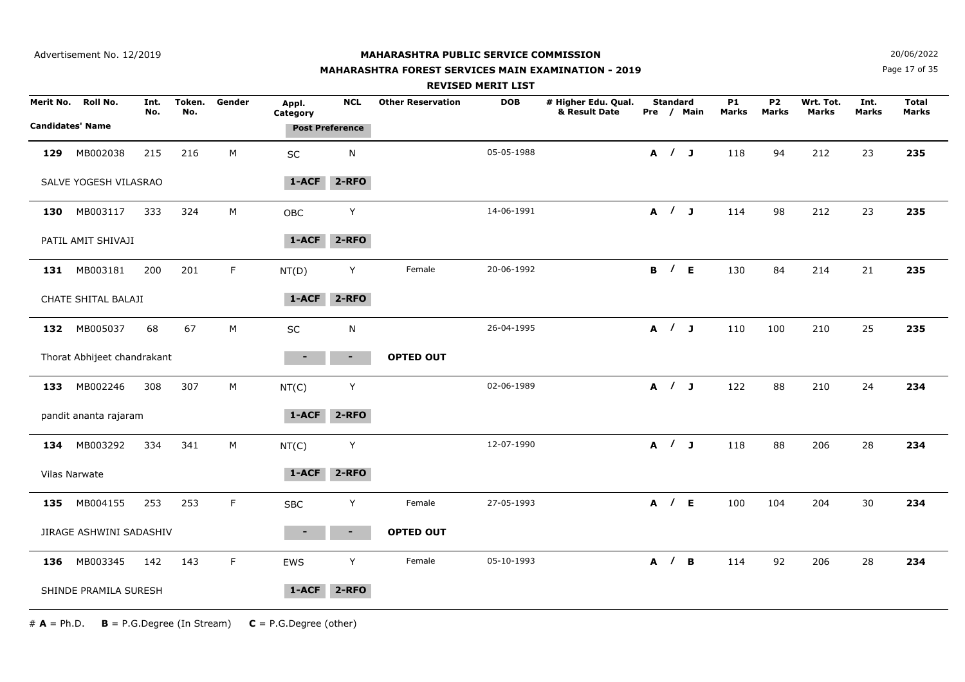#### **MAHARASHTRA FOREST SERVICES MAIN EXAMINATION - 2019**

**N**  $20/06/2022$ 

Page 17 of 35

|           |                                     |             |               |             |                   |                                      |                          | <b>REVISED MERIT LIST</b> |                                      |                     |            |                    |                         |                           |                      |                       |
|-----------|-------------------------------------|-------------|---------------|-------------|-------------------|--------------------------------------|--------------------------|---------------------------|--------------------------------------|---------------------|------------|--------------------|-------------------------|---------------------------|----------------------|-----------------------|
| Merit No. | Roll No.<br><b>Candidates' Name</b> | Int.<br>No. | Token.<br>No. | Gender      | Appl.<br>Category | <b>NCL</b><br><b>Post Preference</b> | <b>Other Reservation</b> | <b>DOB</b>                | # Higher Edu. Qual.<br>& Result Date | <b>Standard</b>     | Pre / Main | <b>P1</b><br>Marks | P <sub>2</sub><br>Marks | Wrt. Tot.<br><b>Marks</b> | Int.<br><b>Marks</b> | <b>Total</b><br>Marks |
| 129       | MB002038                            | 215         | 216           | M           | SC                | N                                    |                          | 05-05-1988                |                                      | A / J               |            | 118                | 94                      | 212                       | 23                   | 235                   |
|           | SALVE YOGESH VILASRAO               |             |               |             | $1 - ACF$         | $2 - RFO$                            |                          |                           |                                      |                     |            |                    |                         |                           |                      |                       |
| 130       | MB003117                            | 333         | 324           | M           | <b>OBC</b>        | Y                                    |                          | 14-06-1991                |                                      | A / J               |            | 114                | 98                      | 212                       | 23                   | 235                   |
|           | PATIL AMIT SHIVAJI                  |             |               |             | 1-ACF             | $2 - RFO$                            |                          |                           |                                      |                     |            |                    |                         |                           |                      |                       |
|           | 131 MB003181                        | 200         | 201           | $\mathsf F$ | NT(D)             | Y                                    | Female                   | 20-06-1992                |                                      | <b>B</b> / <b>E</b> |            | 130                | 84                      | 214                       | 21                   | 235                   |
|           | CHATE SHITAL BALAJI                 |             |               |             | 1-ACF             | $2 - RFO$                            |                          |                           |                                      |                     |            |                    |                         |                           |                      |                       |
|           | 132 MB005037                        | 68          | 67            | ${\sf M}$   | SC                | N                                    |                          | 26-04-1995                |                                      | A / J               |            | 110                | 100                     | 210                       | 25                   | 235                   |
|           | Thorat Abhijeet chandrakant         |             |               |             | ٠                 | $\blacksquare$                       | <b>OPTED OUT</b>         |                           |                                      |                     |            |                    |                         |                           |                      |                       |
| 133       | MB002246                            | 308         | 307           | М           | NT(C)             | Y                                    |                          | 02-06-1989                |                                      | A / J               |            | 122                | 88                      | 210                       | 24                   | 234                   |
|           | pandit ananta rajaram               |             |               |             | $1 - ACF$         | $2 - RFO$                            |                          |                           |                                      |                     |            |                    |                         |                           |                      |                       |
| 134       | MB003292                            | 334         | 341           | M           | NT(C)             | Y                                    |                          | 12-07-1990                |                                      | A / J               |            | 118                | 88                      | 206                       | 28                   | 234                   |
|           | Vilas Narwate                       |             |               |             | $1 - ACF$         | 2-RFO                                |                          |                           |                                      |                     |            |                    |                         |                           |                      |                       |
| 135       | MB004155                            | 253         | 253           | $\mathsf F$ | <b>SBC</b>        | Y                                    | Female                   | 27-05-1993                |                                      | A / E               |            | 100                | 104                     | 204                       | 30                   | 234                   |
|           | JIRAGE ASHWINI SADASHIV             |             |               |             |                   | н.                                   | <b>OPTED OUT</b>         |                           |                                      |                     |            |                    |                         |                           |                      |                       |
| 136       | MB003345                            | 142         | 143           | F.          | EWS               | Y                                    | Female                   | 05-10-1993                |                                      | A / B               |            | 114                | 92                      | 206                       | 28                   | 234                   |
|           | SHINDE PRAMILA SURESH               |             |               |             | $1 - ACF$         | $2 - RFO$                            |                          |                           |                                      |                     |            |                    |                         |                           |                      |                       |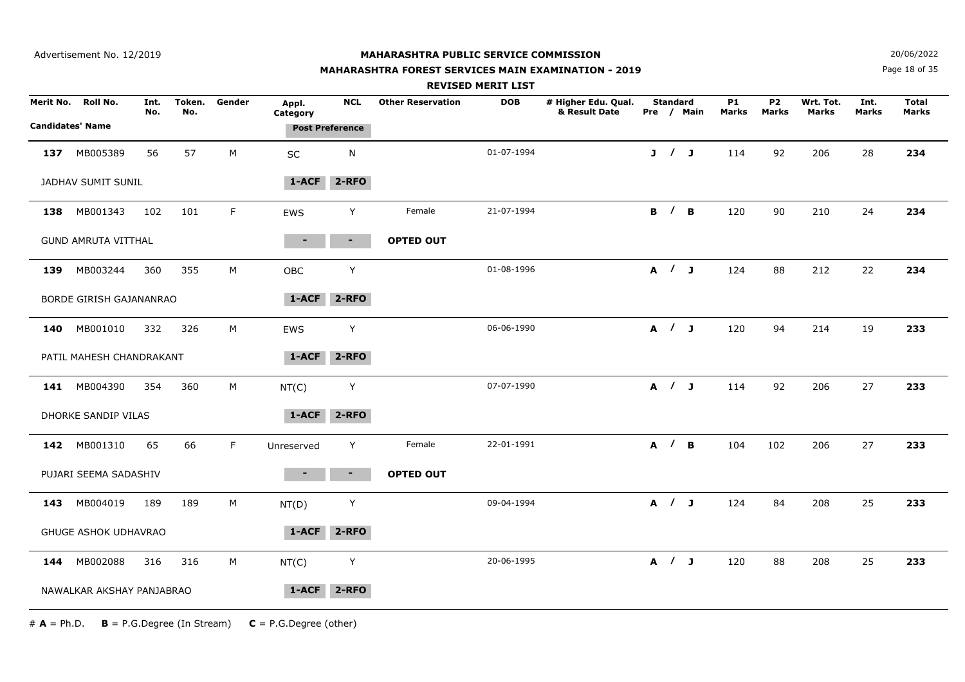#### **MAHARASHTRA FOREST SERVICES MAIN EXAMINATION - 2019**

**N**  $20/06/2022$ 

Page 18 of 35

|           |                            |             |               |        |                   |                        |                          | <b>REVISED MERIT LIST</b> |                                      |                 |            |                    |                           |                           |                      |                       |  |
|-----------|----------------------------|-------------|---------------|--------|-------------------|------------------------|--------------------------|---------------------------|--------------------------------------|-----------------|------------|--------------------|---------------------------|---------------------------|----------------------|-----------------------|--|
| Merit No. | Roll No.                   | Int.<br>No. | Token.<br>No. | Gender | Appl.<br>Category | <b>NCL</b>             | <b>Other Reservation</b> | <b>DOB</b>                | # Higher Edu. Qual.<br>& Result Date | <b>Standard</b> | Pre / Main | <b>P1</b><br>Marks | <b>P2</b><br><b>Marks</b> | Wrt. Tot.<br><b>Marks</b> | Int.<br><b>Marks</b> | <b>Total</b><br>Marks |  |
|           | <b>Candidates' Name</b>    |             |               |        |                   | <b>Post Preference</b> |                          |                           |                                      |                 |            |                    |                           |                           |                      |                       |  |
| 137       | MB005389                   | 56          | 57            | М      | SC                | $\mathsf{N}$           |                          | 01-07-1994                |                                      | J / J           |            | 114                | 92                        | 206                       | 28                   | 234                   |  |
|           | JADHAV SUMIT SUNIL         |             |               |        | 1-ACF             | $2 - RFO$              |                          |                           |                                      |                 |            |                    |                           |                           |                      |                       |  |
| 138       | MB001343                   | 102         | 101           | F      | EWS               | Y                      | Female                   | 21-07-1994                |                                      | B / B           |            | 120                | 90                        | 210                       | 24                   | 234                   |  |
|           | <b>GUND AMRUTA VITTHAL</b> |             |               |        | ۰.                | $\blacksquare$         | <b>OPTED OUT</b>         |                           |                                      |                 |            |                    |                           |                           |                      |                       |  |
| 139       | MB003244                   | 360         | 355           | М      | OBC               | Y                      |                          | 01-08-1996                |                                      | A / J           |            | 124                | 88                        | 212                       | 22                   | 234                   |  |
|           | BORDE GIRISH GAJANANRAO    |             |               |        | 1-ACF             | $2 - RFO$              |                          |                           |                                      |                 |            |                    |                           |                           |                      |                       |  |
| 140       | MB001010                   | 332         | 326           | М      | EWS               | Y                      |                          | 06-06-1990                |                                      | A / J           |            | 120                | 94                        | 214                       | 19                   | 233                   |  |
|           | PATIL MAHESH CHANDRAKANT   |             |               |        | $1-ACF$           | $2 - RFO$              |                          |                           |                                      |                 |            |                    |                           |                           |                      |                       |  |
| 141       | MB004390                   | 354         | 360           | M      | NT(C)             | Y                      |                          | 07-07-1990                |                                      | A / J           |            | 114                | 92                        | 206                       | 27                   | 233                   |  |
|           | DHORKE SANDIP VILAS        |             |               |        | $1 - ACF$         | $2 - RFO$              |                          |                           |                                      |                 |            |                    |                           |                           |                      |                       |  |
|           | 142 MB001310               | 65          | 66            | F      | Unreserved        | Y                      | Female                   | 22-01-1991                |                                      | A / B           |            | 104                | 102                       | 206                       | 27                   | 233                   |  |
|           | PUJARI SEEMA SADASHIV      |             |               |        |                   | $\sim$                 | <b>OPTED OUT</b>         |                           |                                      |                 |            |                    |                           |                           |                      |                       |  |
| 143       | MB004019                   | 189         | 189           | M      | NT(D)             | Y                      |                          | 09-04-1994                |                                      | A / J           |            | 124                | 84                        | 208                       | 25                   | 233                   |  |
|           | GHUGE ASHOK UDHAVRAO       |             |               |        | $1 - ACF$         | $2 - RFO$              |                          |                           |                                      |                 |            |                    |                           |                           |                      |                       |  |
| 144       | MB002088                   | 316         | 316           | M      | NT(C)             | Y                      |                          | 20-06-1995                |                                      | A / J           |            | 120                | 88                        | 208                       | 25                   | 233                   |  |
|           | NAWALKAR AKSHAY PANJABRAO  |             |               |        | $1 - ACF$         | $2 - RFO$              |                          |                           |                                      |                 |            |                    |                           |                           |                      |                       |  |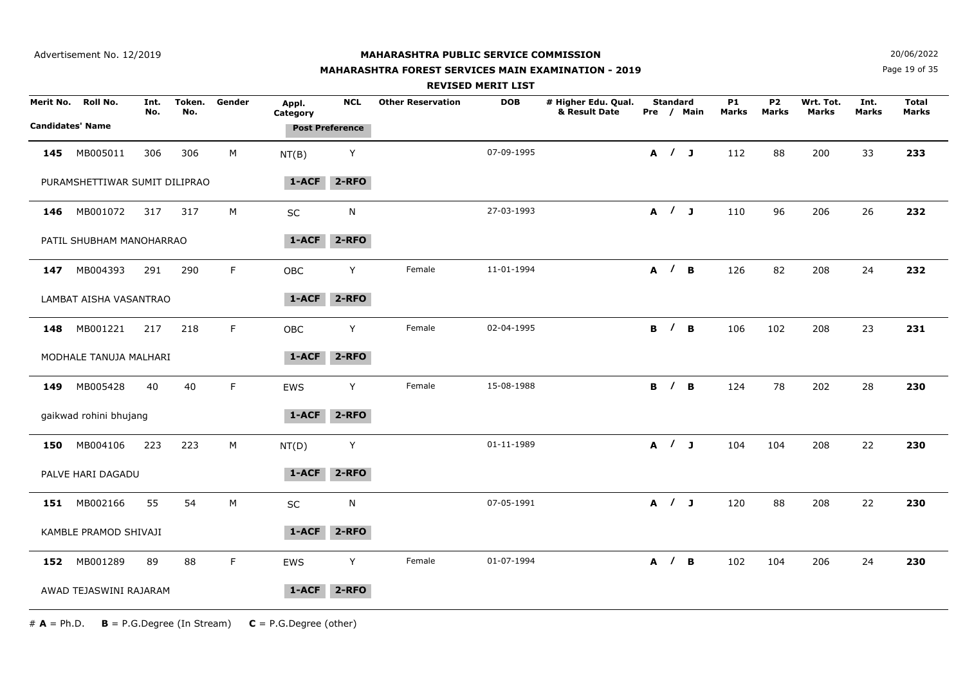## **MAHARASHTRA FOREST SERVICES MAIN EXAMINATION - 2019**

**N**  $20/06/2022$ 

Page 19 of 35

|     |                               |             |               |        |                   |                        |                          | <b>REVISED MERIT LIST</b> |                                      |                     |            |                    |                           |                           |                      |                              |
|-----|-------------------------------|-------------|---------------|--------|-------------------|------------------------|--------------------------|---------------------------|--------------------------------------|---------------------|------------|--------------------|---------------------------|---------------------------|----------------------|------------------------------|
|     | Merit No. Roll No.            | Int.<br>No. | Token.<br>No. | Gender | Appl.<br>Category | <b>NCL</b>             | <b>Other Reservation</b> | <b>DOB</b>                | # Higher Edu. Qual.<br>& Result Date | <b>Standard</b>     | Pre / Main | <b>P1</b><br>Marks | <b>P2</b><br><b>Marks</b> | Wrt. Tot.<br><b>Marks</b> | Int.<br><b>Marks</b> | <b>Total</b><br><b>Marks</b> |
|     | <b>Candidates' Name</b>       |             |               |        |                   | <b>Post Preference</b> |                          |                           |                                      |                     |            |                    |                           |                           |                      |                              |
| 145 | MB005011                      | 306         | 306           | M      | NT(B)             | Y                      |                          | 07-09-1995                |                                      | A / J               |            | 112                | 88                        | 200                       | 33                   | 233                          |
|     | PURAMSHETTIWAR SUMIT DILIPRAO |             |               |        | 1-ACF             | $2 - RFO$              |                          |                           |                                      |                     |            |                    |                           |                           |                      |                              |
|     | 146 MB001072                  | 317         | 317           | M      | SC                | ${\sf N}$              |                          | 27-03-1993                |                                      | A / J               |            | 110                | 96                        | 206                       | 26                   | 232                          |
|     | PATIL SHUBHAM MANOHARRAO      |             |               |        | 1-ACF             | $2 - RFO$              |                          |                           |                                      |                     |            |                    |                           |                           |                      |                              |
|     | 147 MB004393                  | 291         | 290           | F.     | OBC               | Y                      | Female                   | 11-01-1994                |                                      | A / B               |            | 126                | 82                        | 208                       | 24                   | 232                          |
|     | LAMBAT AISHA VASANTRAO        |             |               |        | 1-ACF             | $2 - RFO$              |                          |                           |                                      |                     |            |                    |                           |                           |                      |                              |
| 148 | MB001221                      | 217         | 218           | F.     | OBC               | Y                      | Female                   | 02-04-1995                |                                      | <b>B</b> / <b>B</b> |            | 106                | 102                       | 208                       | 23                   | 231                          |
|     | MODHALE TANUJA MALHARI        |             |               |        | $1-ACF$           | $2 - RFO$              |                          |                           |                                      |                     |            |                    |                           |                           |                      |                              |
|     | 149 MB005428                  | 40          | 40            | F.     | EWS               | Y                      | Female                   | 15-08-1988                |                                      | <b>B</b> / <b>B</b> |            | 124                | 78                        | 202                       | 28                   | 230                          |
|     | gaikwad rohini bhujang        |             |               |        | 1-ACF             | $2 - RFO$              |                          |                           |                                      |                     |            |                    |                           |                           |                      |                              |
| 150 | MB004106                      | 223         | 223           | М      | NT(D)             | Y                      |                          | 01-11-1989                |                                      | A / J               |            | 104                | 104                       | 208                       | 22                   | 230                          |
|     | PALVE HARI DAGADU             |             |               |        | 1-ACF             | $2 - RFO$              |                          |                           |                                      |                     |            |                    |                           |                           |                      |                              |
|     | 151 MB002166                  | 55          | 54            | M      | SC                | N                      |                          | 07-05-1991                |                                      | A / J               |            | 120                | 88                        | 208                       | 22                   | 230                          |
|     | KAMBLE PRAMOD SHIVAJI         |             |               |        | $1 - ACF$         | $2 - RFO$              |                          |                           |                                      |                     |            |                    |                           |                           |                      |                              |
|     | 152 MB001289                  | 89          | 88            | F.     | EWS               | Y                      | Female                   | 01-07-1994                |                                      | A / B               |            | 102                | 104                       | 206                       | 24                   | 230                          |
|     | AWAD TEJASWINI RAJARAM        |             |               |        | 1-ACF             | $2 - RFO$              |                          |                           |                                      |                     |            |                    |                           |                           |                      |                              |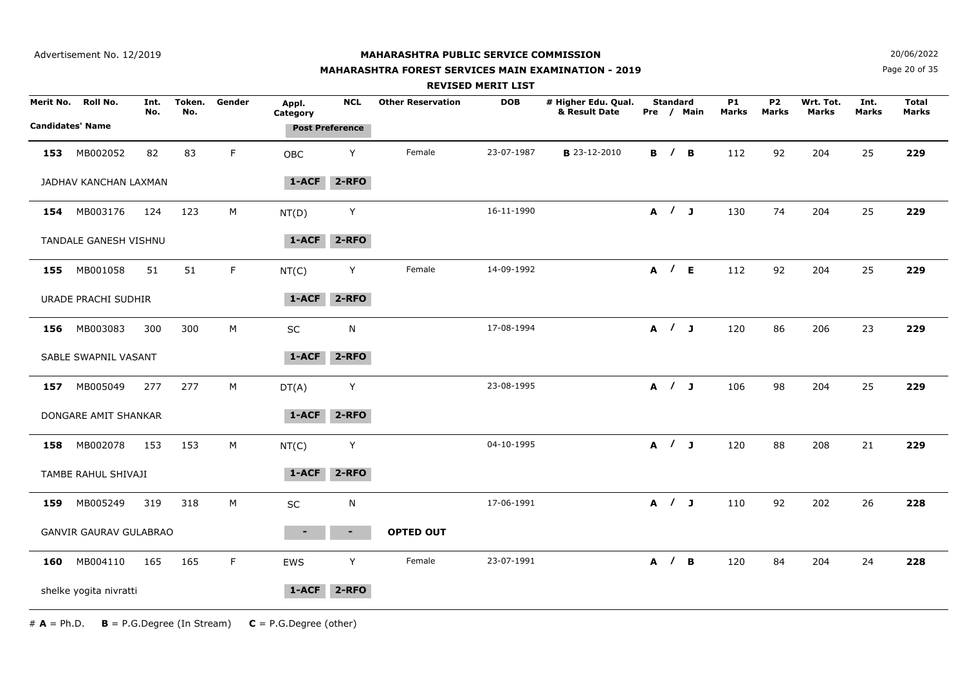#### **MAHARASHTRA FOREST SERVICES MAIN EXAMINATION - 2019**

**N**  $20/06/2022$ 

Page 20 of 35

|     |                               |             |               |        |                   |                        |                          | <b>REVISED MERIT LIST</b> |                                      |                     |            |                           |                                |                           |                      |                       |  |
|-----|-------------------------------|-------------|---------------|--------|-------------------|------------------------|--------------------------|---------------------------|--------------------------------------|---------------------|------------|---------------------------|--------------------------------|---------------------------|----------------------|-----------------------|--|
|     | Merit No. Roll No.            | Int.<br>No. | Token.<br>No. | Gender | Appl.<br>Category | <b>NCL</b>             | <b>Other Reservation</b> | <b>DOB</b>                | # Higher Edu. Qual.<br>& Result Date | <b>Standard</b>     | Pre / Main | <b>P1</b><br><b>Marks</b> | P <sub>2</sub><br><b>Marks</b> | Wrt. Tot.<br><b>Marks</b> | Int.<br><b>Marks</b> | <b>Total</b><br>Marks |  |
|     | <b>Candidates' Name</b>       |             |               |        |                   | <b>Post Preference</b> |                          |                           |                                      |                     |            |                           |                                |                           |                      |                       |  |
|     | 153 MB002052                  | 82          | 83            | F.     | OBC               | Y                      | Female                   | 23-07-1987                | <b>B</b> 23-12-2010                  | <b>B</b> / <b>B</b> |            | 112                       | 92                             | 204                       | 25                   | 229                   |  |
|     | JADHAV KANCHAN LAXMAN         |             |               |        | $1-ACF$           | $2 - RFO$              |                          |                           |                                      |                     |            |                           |                                |                           |                      |                       |  |
|     | 154 MB003176                  | 124         | 123           | M      | NT(D)             | Υ                      |                          | 16-11-1990                |                                      | A / J               |            | 130                       | 74                             | 204                       | 25                   | 229                   |  |
|     | TANDALE GANESH VISHNU         |             |               |        | 1-ACF             | $2 - RFO$              |                          |                           |                                      |                     |            |                           |                                |                           |                      |                       |  |
|     | 155 MB001058                  | 51          | 51            | F.     | NT(C)             | Y                      | Female                   | 14-09-1992                |                                      | A / E               |            | 112                       | 92                             | 204                       | 25                   | 229                   |  |
|     | URADE PRACHI SUDHIR           |             |               |        | 1-ACF             | $2 - RFO$              |                          |                           |                                      |                     |            |                           |                                |                           |                      |                       |  |
|     | 156 MB003083                  | 300         | 300           | M      | <b>SC</b>         | N                      |                          | 17-08-1994                |                                      | A / J               |            | 120                       | 86                             | 206                       | 23                   | 229                   |  |
|     | SABLE SWAPNIL VASANT          |             |               |        | 1-ACF             | $2 - RFO$              |                          |                           |                                      |                     |            |                           |                                |                           |                      |                       |  |
|     | 157 MB005049                  | 277         | 277           | M      | DT(A)             | Y                      |                          | 23-08-1995                |                                      | A / J               |            | 106                       | 98                             | 204                       | 25                   | 229                   |  |
|     | DONGARE AMIT SHANKAR          |             |               |        | 1-ACF             | 2-RFO                  |                          |                           |                                      |                     |            |                           |                                |                           |                      |                       |  |
|     | 158 MB002078                  | 153         | 153           | M      | NT(C)             | Y                      |                          | 04-10-1995                |                                      | A / J               |            | 120                       | 88                             | 208                       | 21                   | 229                   |  |
|     | TAMBE RAHUL SHIVAJI           |             |               |        | 1-ACF             | 2-RFO                  |                          |                           |                                      |                     |            |                           |                                |                           |                      |                       |  |
|     | 159 MB005249                  | 319         | 318           | М      | SC                | N                      |                          | 17-06-1991                |                                      | A / J               |            | 110                       | 92                             | 202                       | 26                   | 228                   |  |
|     | <b>GANVIR GAURAV GULABRAO</b> |             |               |        |                   | ٠.                     | <b>OPTED OUT</b>         |                           |                                      |                     |            |                           |                                |                           |                      |                       |  |
| 160 | MB004110                      | 165         | 165           | F      | EWS               | Y                      | Female                   | 23-07-1991                |                                      | A / B               |            | 120                       | 84                             | 204                       | 24                   | 228                   |  |
|     | shelke yogita nivratti        |             |               |        | 1-ACF             | $2 - RFO$              |                          |                           |                                      |                     |            |                           |                                |                           |                      |                       |  |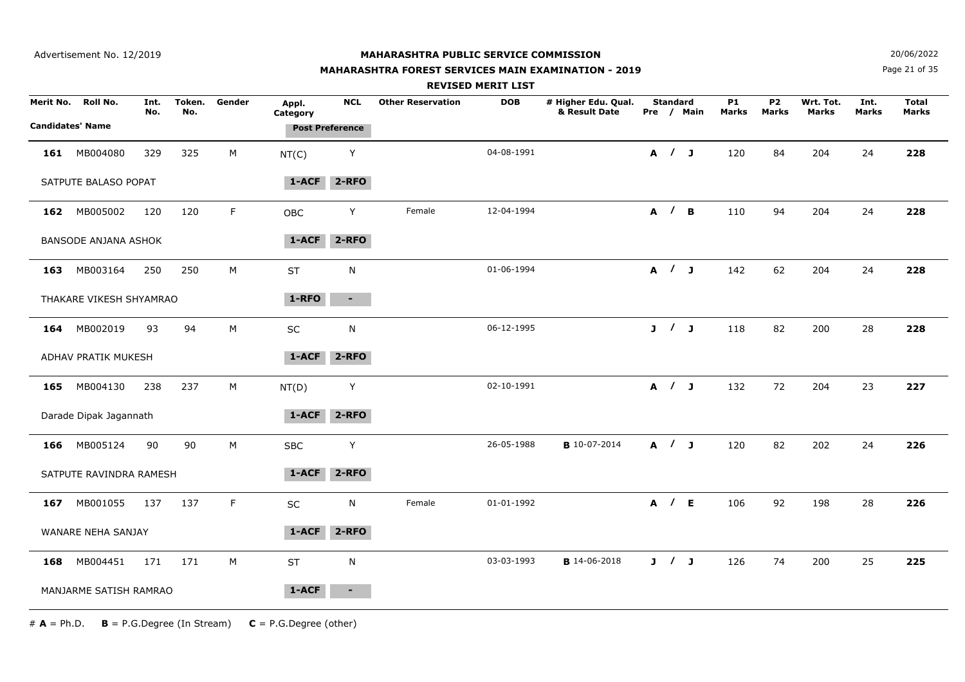#### **MAHARASHTRA FOREST SERVICES MAIN EXAMINATION - 2019**

**N**  $20/06/2022$ 

Page 21 of 35

|           |                                     |             |               |        |                   |                                      |                          | <b>REVISED MERIT LIST</b> |                                      |                 |            |                    |                                |                           |               |                       |
|-----------|-------------------------------------|-------------|---------------|--------|-------------------|--------------------------------------|--------------------------|---------------------------|--------------------------------------|-----------------|------------|--------------------|--------------------------------|---------------------------|---------------|-----------------------|
| Merit No. | Roll No.<br><b>Candidates' Name</b> | Int.<br>No. | Token.<br>No. | Gender | Appl.<br>Category | <b>NCL</b><br><b>Post Preference</b> | <b>Other Reservation</b> | <b>DOB</b>                | # Higher Edu. Qual.<br>& Result Date | <b>Standard</b> | Pre / Main | <b>P1</b><br>Marks | P <sub>2</sub><br><b>Marks</b> | Wrt. Tot.<br><b>Marks</b> | Int.<br>Marks | <b>Total</b><br>Marks |
| 161       | MB004080                            | 329         | 325           | M      | NT(C)             | Y                                    |                          | 04-08-1991                |                                      | A / J           |            | 120                | 84                             | 204                       | 24            | 228                   |
|           | SATPUTE BALASO POPAT                |             |               |        | 1-ACF             | $2 - RFO$                            |                          |                           |                                      |                 |            |                    |                                |                           |               |                       |
|           | 162 MB005002                        | 120         | 120           | F.     | OBC               | Y                                    | Female                   | 12-04-1994                |                                      |                 | A / B      | 110                | 94                             | 204                       | 24            | 228                   |
|           | BANSODE ANJANA ASHOK                |             |               |        | 1-ACF             | $2 - RFO$                            |                          |                           |                                      |                 |            |                    |                                |                           |               |                       |
| 163       | MB003164                            | 250         | 250           | M      | <b>ST</b>         | ${\sf N}$                            |                          | 01-06-1994                |                                      |                 | A / J      | 142                | 62                             | 204                       | 24            | 228                   |
|           | THAKARE VIKESH SHYAMRAO             |             |               |        | 1-RFO             | $\sim$                               |                          |                           |                                      |                 |            |                    |                                |                           |               |                       |
|           | 164 MB002019                        | 93          | 94            | M      | SC                | ${\sf N}$                            |                          | 06-12-1995                |                                      | J / J           |            | 118                | 82                             | 200                       | 28            | 228                   |
|           | ADHAV PRATIK MUKESH                 |             |               |        | $1 - ACF$         | $2 - RFO$                            |                          |                           |                                      |                 |            |                    |                                |                           |               |                       |
| 165       | MB004130                            | 238         | 237           | M      | NT(D)             | Y                                    |                          | 02-10-1991                |                                      | A / J           |            | 132                | 72                             | 204                       | 23            | 227                   |
|           | Darade Dipak Jagannath              |             |               |        | 1-ACF             | $2 - RFO$                            |                          |                           |                                      |                 |            |                    |                                |                           |               |                       |
|           | 166 MB005124                        | 90          | 90            | M      | <b>SBC</b>        | Y                                    |                          | 26-05-1988                | <b>B</b> 10-07-2014                  | A / J           |            | 120                | 82                             | 202                       | 24            | 226                   |
|           | SATPUTE RAVINDRA RAMESH             |             |               |        | 1-ACF             | $2 - RFO$                            |                          |                           |                                      |                 |            |                    |                                |                           |               |                       |
| 167       | MB001055                            | 137         | 137           | F      | SC                | ${\sf N}$                            | Female                   | 01-01-1992                |                                      | A / E           |            | 106                | 92                             | 198                       | 28            | 226                   |
|           | WANARE NEHA SANJAY                  |             |               |        | 1-ACF             | $2 - RFO$                            |                          |                           |                                      |                 |            |                    |                                |                           |               |                       |
| 168       | MB004451                            | 171         | 171           | M      | <b>ST</b>         | ${\sf N}$                            |                          | 03-03-1993                | <b>B</b> 14-06-2018                  | J / J           |            | 126                | 74                             | 200                       | 25            | 225                   |
|           | MANJARME SATISH RAMRAO              |             |               |        | 1-ACF             | $\blacksquare$                       |                          |                           |                                      |                 |            |                    |                                |                           |               |                       |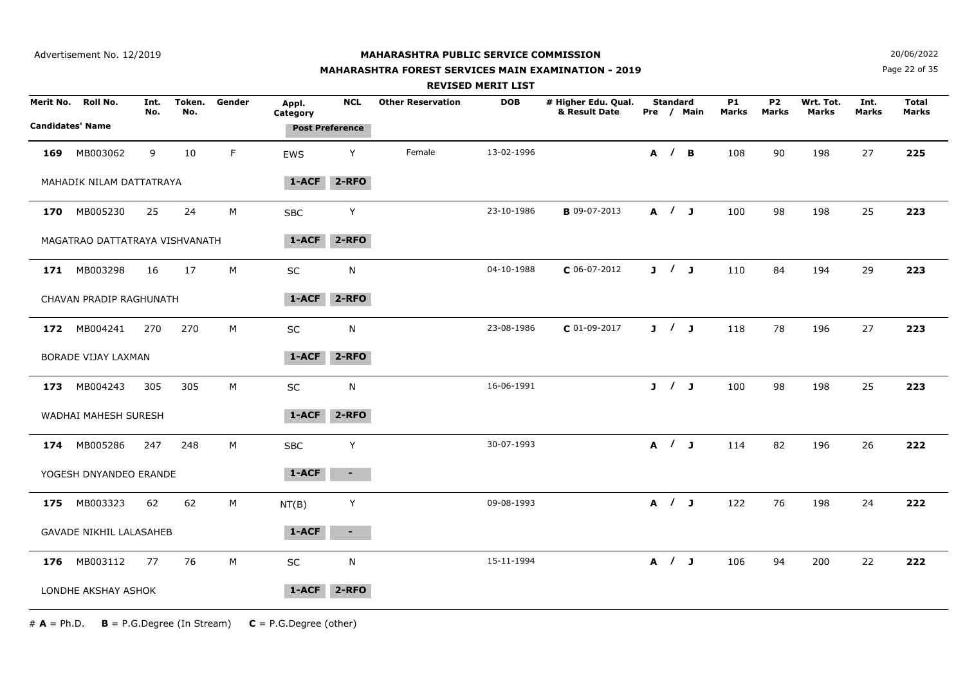## **MAHARASHTRA FOREST SERVICES MAIN EXAMINATION - 2019**

**N**  $20/06/2022$ 

Page 22 of 35

|                                      |                                |             |               |        |                   |                                      |                          | <b>REVISED MERIT LIST</b> |                                      |                 |            |                    |                    |                    |               |                              |
|--------------------------------------|--------------------------------|-------------|---------------|--------|-------------------|--------------------------------------|--------------------------|---------------------------|--------------------------------------|-----------------|------------|--------------------|--------------------|--------------------|---------------|------------------------------|
| Merit No.<br><b>Candidates' Name</b> | Roll No.                       | Int.<br>No. | Token.<br>No. | Gender | Appl.<br>Category | <b>NCL</b><br><b>Post Preference</b> | <b>Other Reservation</b> | <b>DOB</b>                | # Higher Edu. Qual.<br>& Result Date | <b>Standard</b> | Pre / Main | <b>P1</b><br>Marks | <b>P2</b><br>Marks | Wrt. Tot.<br>Marks | Int.<br>Marks | <b>Total</b><br><b>Marks</b> |
| 169                                  | MB003062                       | 9           | 10            | F      | <b>EWS</b>        | Y                                    | Female                   | 13-02-1996                |                                      | A / B           |            | 108                | 90                 | 198                | 27            | 225                          |
|                                      | MAHADIK NILAM DATTATRAYA       |             |               |        | 1-ACF             | $2 - RFO$                            |                          |                           |                                      |                 |            |                    |                    |                    |               |                              |
|                                      | 170 MB005230                   | 25          | 24            | М      | <b>SBC</b>        | Y                                    |                          | 23-10-1986                | <b>B</b> 09-07-2013                  | A / J           |            | 100                | 98                 | 198                | 25            | 223                          |
|                                      | MAGATRAO DATTATRAYA VISHVANATH |             |               |        | 1-ACF             | 2-RFO                                |                          |                           |                                      |                 |            |                    |                    |                    |               |                              |
|                                      | 171 MB003298                   | 16          | 17            | M      | SC                | N                                    |                          | 04-10-1988                | $C$ 06-07-2012                       | J / J           |            | 110                | 84                 | 194                | 29            | 223                          |
|                                      | CHAVAN PRADIP RAGHUNATH        |             |               |        | 1-ACF             | 2-RFO                                |                          |                           |                                      |                 |            |                    |                    |                    |               |                              |
|                                      | 172 MB004241                   | 270         | 270           | М      | SC                | N                                    |                          | 23-08-1986                | $C$ 01-09-2017                       | J / J           |            | 118                | 78                 | 196                | 27            | 223                          |
|                                      | BORADE VIJAY LAXMAN            |             |               |        | 1-ACF             | 2-RFO                                |                          |                           |                                      |                 |            |                    |                    |                    |               |                              |
|                                      | 173 MB004243                   | 305         | 305           | M      | <b>SC</b>         | N                                    |                          | 16-06-1991                |                                      | J / J           |            | 100                | 98                 | 198                | 25            | 223                          |
|                                      | WADHAI MAHESH SURESH           |             |               |        | 1-ACF             | $2 - RFO$                            |                          |                           |                                      |                 |            |                    |                    |                    |               |                              |
| 174                                  | MB005286                       | 247         | 248           | М      | <b>SBC</b>        | Y                                    |                          | 30-07-1993                |                                      | A / J           |            | 114                | 82                 | 196                | 26            | 222                          |
|                                      | YOGESH DNYANDEO ERANDE         |             |               |        | 1-ACF             | ۰.                                   |                          |                           |                                      |                 |            |                    |                    |                    |               |                              |
|                                      | 175 MB003323                   | 62          | 62            | M      | NT(B)             | Y                                    |                          | 09-08-1993                |                                      | A / J           |            | 122                | 76                 | 198                | 24            | 222                          |
|                                      | <b>GAVADE NIKHIL LALASAHEB</b> |             |               |        | 1-ACF             | $\sim$                               |                          |                           |                                      |                 |            |                    |                    |                    |               |                              |
|                                      | 176 MB003112                   | 77          | 76            | M      | SC                | N                                    |                          | 15-11-1994                |                                      | A / J           |            | 106                | 94                 | 200                | 22            | 222                          |
|                                      | LONDHE AKSHAY ASHOK            |             |               |        | 1-ACF             | $2 - RFO$                            |                          |                           |                                      |                 |            |                    |                    |                    |               |                              |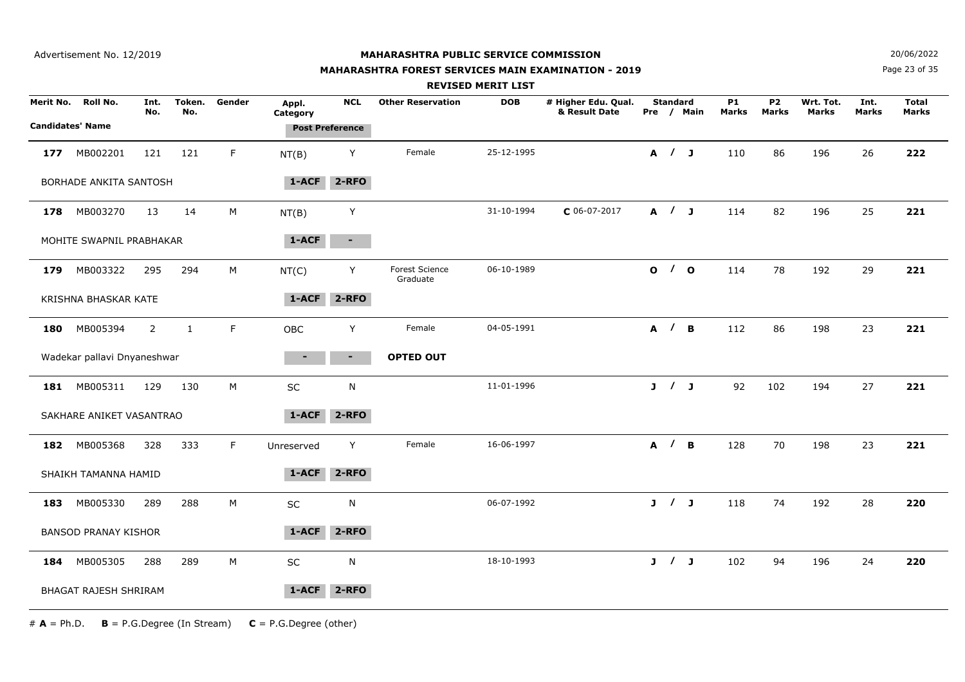Advertisement No. 12/2019

## **MAHARASHTRA PUBLIC SERVICE COMMISSION**

#### **MAHARASHTRA FOREST SERVICES MAIN EXAMINATION - 2019**

**N**  $20/06/2022$ 

Page 23 of 35

|                         |                             |                |               |        |                   |                        |                                   | <b>REVISED MERIT LIST</b> |                                      |                 |            |                    |                           |                           |                      |                       |
|-------------------------|-----------------------------|----------------|---------------|--------|-------------------|------------------------|-----------------------------------|---------------------------|--------------------------------------|-----------------|------------|--------------------|---------------------------|---------------------------|----------------------|-----------------------|
| Merit No.               | Roll No.                    | Int.<br>No.    | Token.<br>No. | Gender | Appl.<br>Category | <b>NCL</b>             | <b>Other Reservation</b>          | <b>DOB</b>                | # Higher Edu. Qual.<br>& Result Date | <b>Standard</b> | Pre / Main | <b>P1</b><br>Marks | <b>P2</b><br><b>Marks</b> | Wrt. Tot.<br><b>Marks</b> | Int.<br><b>Marks</b> | <b>Total</b><br>Marks |
| <b>Candidates' Name</b> |                             |                |               |        |                   | <b>Post Preference</b> |                                   |                           |                                      |                 |            |                    |                           |                           |                      |                       |
| 177                     | MB002201                    | 121            | 121           | F      | NT(B)             | Y                      | Female                            | 25-12-1995                |                                      | A / J           |            | 110                | 86                        | 196                       | 26                   | 222                   |
|                         | BORHADE ANKITA SANTOSH      |                |               |        | $1-ACF$           | $2 - RFO$              |                                   |                           |                                      |                 |            |                    |                           |                           |                      |                       |
| 178                     | MB003270                    | 13             | 14            | M      | NT(B)             | Y                      |                                   | 31-10-1994                | $C$ 06-07-2017                       | A / J           |            | 114                | 82                        | 196                       | 25                   | 221                   |
|                         | MOHITE SWAPNIL PRABHAKAR    |                |               |        | 1-ACF             | $\sim$                 |                                   |                           |                                      |                 |            |                    |                           |                           |                      |                       |
| 179                     | MB003322                    | 295            | 294           | М      | NT(C)             | Y                      | <b>Forest Science</b><br>Graduate | 06-10-1989                |                                      | 0/0             |            | 114                | 78                        | 192                       | 29                   | 221                   |
|                         | KRISHNA BHASKAR KATE        |                |               |        | 1-ACF             | $2 - RFO$              |                                   |                           |                                      |                 |            |                    |                           |                           |                      |                       |
| 180                     | MB005394                    | $\overline{2}$ | $\mathbf{1}$  | F      | OBC               | Y                      | Female                            | 04-05-1991                |                                      | A / B           |            | 112                | 86                        | 198                       | 23                   | 221                   |
|                         | Wadekar pallavi Dnyaneshwar |                |               |        | $\blacksquare$    | $\blacksquare$         | <b>OPTED OUT</b>                  |                           |                                      |                 |            |                    |                           |                           |                      |                       |
| 181                     | MB005311                    | 129            | 130           | M      | $\sf SC$          | N                      |                                   | 11-01-1996                |                                      | J / J           |            | 92                 | 102                       | 194                       | 27                   | 221                   |
|                         | SAKHARE ANIKET VASANTRAO    |                |               |        | $1 - ACF$         | 2-RFO                  |                                   |                           |                                      |                 |            |                    |                           |                           |                      |                       |
| 182                     | MB005368                    | 328            | 333           | F      | Unreserved        | Y                      | Female                            | 16-06-1997                |                                      | A / B           |            | 128                | 70                        | 198                       | 23                   | 221                   |
|                         | SHAIKH TAMANNA HAMID        |                |               |        | 1-ACF             | 2-RFO                  |                                   |                           |                                      |                 |            |                    |                           |                           |                      |                       |
| 183                     | MB005330                    | 289            | 288           | М      | $\sf SC$          | N                      |                                   | 06-07-1992                |                                      | J / J           |            | 118                | 74                        | 192                       | 28                   | 220                   |
|                         | <b>BANSOD PRANAY KISHOR</b> |                |               |        | 1-ACF             | $2 - RFO$              |                                   |                           |                                      |                 |            |                    |                           |                           |                      |                       |
| 184                     | MB005305                    | 288            | 289           | М      | SC                | N                      |                                   | 18-10-1993                |                                      | J / J           |            | 102                | 94                        | 196                       | 24                   | 220                   |
|                         | BHAGAT RAJESH SHRIRAM       |                |               |        | 1-ACF             | $2 - RFO$              |                                   |                           |                                      |                 |            |                    |                           |                           |                      |                       |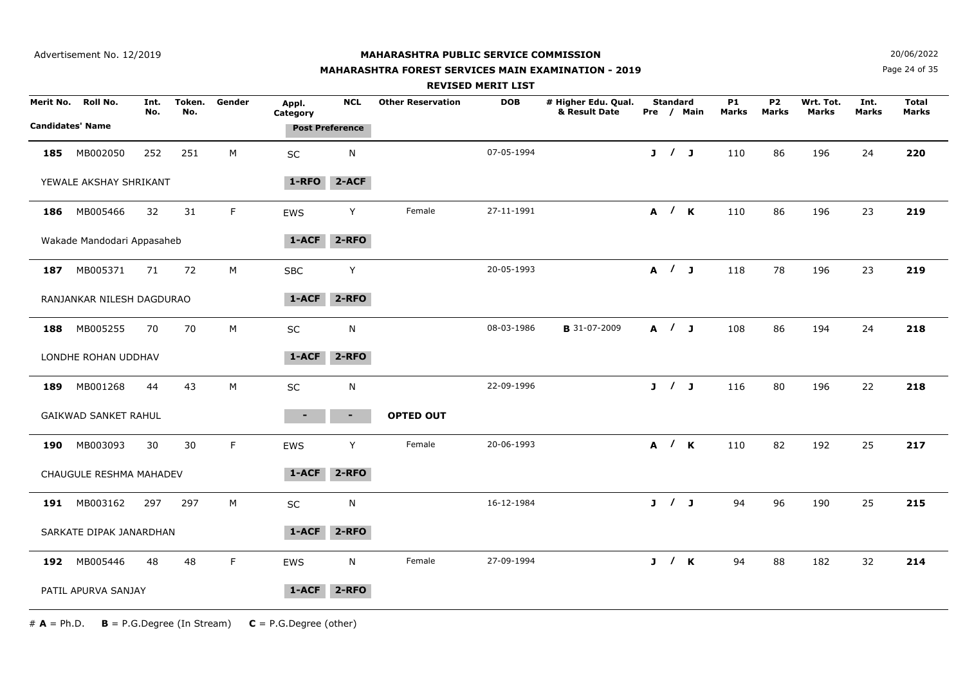#### **MAHARASHTRA FOREST SERVICES MAIN EXAMINATION - 2019**

**N**  $20/06/2022$ 

Page 24 of 35

|           |                                     |             |               |        |                   |                        |                          | <b>REVISED MERIT LIST</b> |                                      |                 |            |                           |                                |                           |                      |                       |
|-----------|-------------------------------------|-------------|---------------|--------|-------------------|------------------------|--------------------------|---------------------------|--------------------------------------|-----------------|------------|---------------------------|--------------------------------|---------------------------|----------------------|-----------------------|
| Merit No. | Roll No.<br><b>Candidates' Name</b> | Int.<br>No. | Token.<br>No. | Gender | Appl.<br>Category | <b>NCL</b>             | <b>Other Reservation</b> | <b>DOB</b>                | # Higher Edu. Qual.<br>& Result Date | <b>Standard</b> | Pre / Main | <b>P1</b><br><b>Marks</b> | P <sub>2</sub><br><b>Marks</b> | Wrt. Tot.<br><b>Marks</b> | Int.<br><b>Marks</b> | <b>Total</b><br>Marks |
|           |                                     |             |               |        |                   | <b>Post Preference</b> |                          |                           |                                      |                 |            |                           |                                |                           |                      |                       |
| 185       | MB002050                            | 252         | 251           | М      | SC                | N                      |                          | 07-05-1994                |                                      | J / J           |            | 110                       | 86                             | 196                       | 24                   | 220                   |
|           | YEWALE AKSHAY SHRIKANT              |             |               |        | 1-RFO             | $2-ACF$                |                          |                           |                                      |                 |            |                           |                                |                           |                      |                       |
| 186       | MB005466                            | 32          | 31            | F.     | EWS               | Y                      | Female                   | 27-11-1991                |                                      | A / K           |            | 110                       | 86                             | 196                       | 23                   | 219                   |
|           | Wakade Mandodari Appasaheb          |             |               |        | 1-ACF             | $2 - RFO$              |                          |                           |                                      |                 |            |                           |                                |                           |                      |                       |
| 187       | MB005371                            | 71          | 72            | М      | <b>SBC</b>        | Y                      |                          | 20-05-1993                |                                      | A / J           |            | 118                       | 78                             | 196                       | 23                   | 219                   |
|           | RANJANKAR NILESH DAGDURAO           |             |               |        | 1-ACF             | $2 - RFO$              |                          |                           |                                      |                 |            |                           |                                |                           |                      |                       |
| 188       | MB005255                            | 70          | 70            | M      | <b>SC</b>         | N                      |                          | 08-03-1986                | <b>B</b> 31-07-2009                  | A / J           |            | 108                       | 86                             | 194                       | 24                   | 218                   |
|           | LONDHE ROHAN UDDHAV                 |             |               |        | 1-ACF             | $2 - RFO$              |                          |                           |                                      |                 |            |                           |                                |                           |                      |                       |
| 189       | MB001268                            | 44          | 43            | М      | SC                | N                      |                          | 22-09-1996                |                                      | J / J           |            | 116                       | 80                             | 196                       | 22                   | 218                   |
|           | <b>GAIKWAD SANKET RAHUL</b>         |             |               |        | $\blacksquare$    | $\blacksquare$         | <b>OPTED OUT</b>         |                           |                                      |                 |            |                           |                                |                           |                      |                       |
| 190       | MB003093                            | 30          | 30            | F.     | EWS               | Y                      | Female                   | 20-06-1993                |                                      | A / K           |            | 110                       | 82                             | 192                       | 25                   | 217                   |
|           | CHAUGULE RESHMA MAHADEV             |             |               |        | 1-ACF             | $2 - RFO$              |                          |                           |                                      |                 |            |                           |                                |                           |                      |                       |
| 191       | MB003162                            | 297         | 297           | м      | SC                | N                      |                          | 16-12-1984                |                                      | J / J           |            | 94                        | 96                             | 190                       | 25                   | 215                   |
|           | SARKATE DIPAK JANARDHAN             |             |               |        | 1-ACF             | $2 - RFO$              |                          |                           |                                      |                 |            |                           |                                |                           |                      |                       |
| 192       | MB005446                            | 48          | 48            | F      | EWS               | N                      | Female                   | 27-09-1994                |                                      | J / K           |            | 94                        | 88                             | 182                       | 32                   | 214                   |
|           | PATIL APURVA SANJAY                 |             |               |        | 1-ACF             | $2 - RFO$              |                          |                           |                                      |                 |            |                           |                                |                           |                      |                       |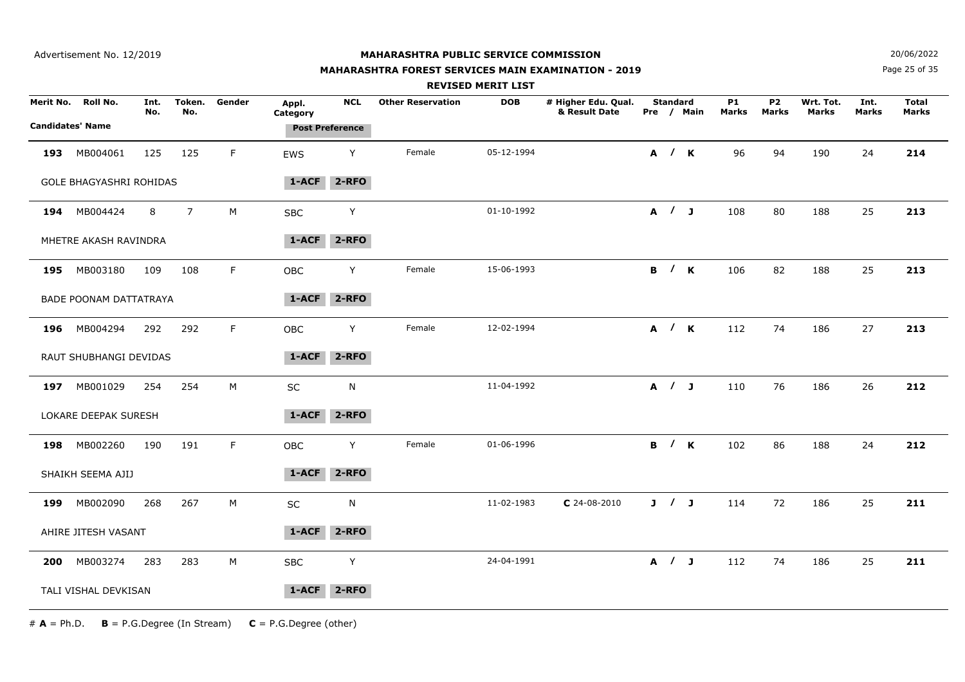## **MAHARASHTRA FOREST SERVICES MAIN EXAMINATION - 2019**

**N**  $20/06/2022$ 

Page 25 of 35

|           |                                     |             |                |             |                   |                                      |                          | <b>REVISED MERIT LIST</b> |                                      |                     |                     |             |                         |                           |               |                       |
|-----------|-------------------------------------|-------------|----------------|-------------|-------------------|--------------------------------------|--------------------------|---------------------------|--------------------------------------|---------------------|---------------------|-------------|-------------------------|---------------------------|---------------|-----------------------|
| Merit No. | Roll No.<br><b>Candidates' Name</b> | Int.<br>No. | Token.<br>No.  | Gender      | Appl.<br>Category | <b>NCL</b><br><b>Post Preference</b> | <b>Other Reservation</b> | <b>DOB</b>                | # Higher Edu. Qual.<br>& Result Date | <b>Standard</b>     | Pre / Main          | P1<br>Marks | P <sub>2</sub><br>Marks | Wrt. Tot.<br><b>Marks</b> | Int.<br>Marks | <b>Total</b><br>Marks |
| 193       | MB004061                            | 125         | 125            | F.          | EWS               | Y                                    | Female                   | 05-12-1994                |                                      |                     | A / K               | 96          | 94                      | 190                       | 24            | 214                   |
|           | <b>GOLE BHAGYASHRI ROHIDAS</b>      |             |                |             | 1-ACF             | $2 - RFO$                            |                          |                           |                                      |                     |                     |             |                         |                           |               |                       |
|           | 194 MB004424                        | 8           | $\overline{7}$ | M           | <b>SBC</b>        | Υ                                    |                          | 01-10-1992                |                                      | A / J               |                     | 108         | 80                      | 188                       | 25            | 213                   |
|           | MHETRE AKASH RAVINDRA               |             |                |             | 1-ACF             | $2 - RFO$                            |                          |                           |                                      |                     |                     |             |                         |                           |               |                       |
|           | 195 MB003180                        | 109         | 108            | F.          | OBC               | Y                                    | Female                   | 15-06-1993                |                                      |                     | <b>B</b> / <b>K</b> | 106         | 82                      | 188                       | 25            | 213                   |
|           | BADE POONAM DATTATRAYA              |             |                |             | 1-ACF             | 2-RFO                                |                          |                           |                                      |                     |                     |             |                         |                           |               |                       |
| 196       | MB004294                            | 292         | 292            | F.          | OBC               | Y                                    | Female                   | 12-02-1994                |                                      |                     | A / K               | 112         | 74                      | 186                       | 27            | 213                   |
|           | RAUT SHUBHANGI DEVIDAS              |             |                |             | 1-ACF             | 2-RFO                                |                          |                           |                                      |                     |                     |             |                         |                           |               |                       |
|           | 197 MB001029                        | 254         | 254            | $M_{\odot}$ | $\sf SC$          | N                                    |                          | 11-04-1992                |                                      | A / J               |                     | 110         | 76                      | 186                       | 26            | 212                   |
|           | LOKARE DEEPAK SURESH                |             |                |             | 1-ACF             | $2 - RFO$                            |                          |                           |                                      |                     |                     |             |                         |                           |               |                       |
| 198       | MB002260                            | 190         | 191            | F.          | OBC               | Y                                    | Female                   | 01-06-1996                |                                      | <b>B</b> / <b>K</b> |                     | 102         | 86                      | 188                       | 24            | 212                   |
|           | SHAIKH SEEMA AJIJ                   |             |                |             | 1-ACF             | $2 - RFO$                            |                          |                           |                                      |                     |                     |             |                         |                           |               |                       |
| 199       | MB002090                            | 268         | 267            | М           | SC                | N                                    |                          | 11-02-1983                | $C$ 24-08-2010                       | J / J               |                     | 114         | 72                      | 186                       | 25            | 211                   |
|           | AHIRE JITESH VASANT                 |             |                |             | $1 - ACF$         | $2 - RFO$                            |                          |                           |                                      |                     |                     |             |                         |                           |               |                       |
| 200       | MB003274                            | 283         | 283            | M           | <b>SBC</b>        | Y                                    |                          | 24-04-1991                |                                      | A / J               |                     | 112         | 74                      | 186                       | 25            | 211                   |
|           | TALI VISHAL DEVKISAN                |             |                |             | 1-ACF             | $2 - RFO$                            |                          |                           |                                      |                     |                     |             |                         |                           |               |                       |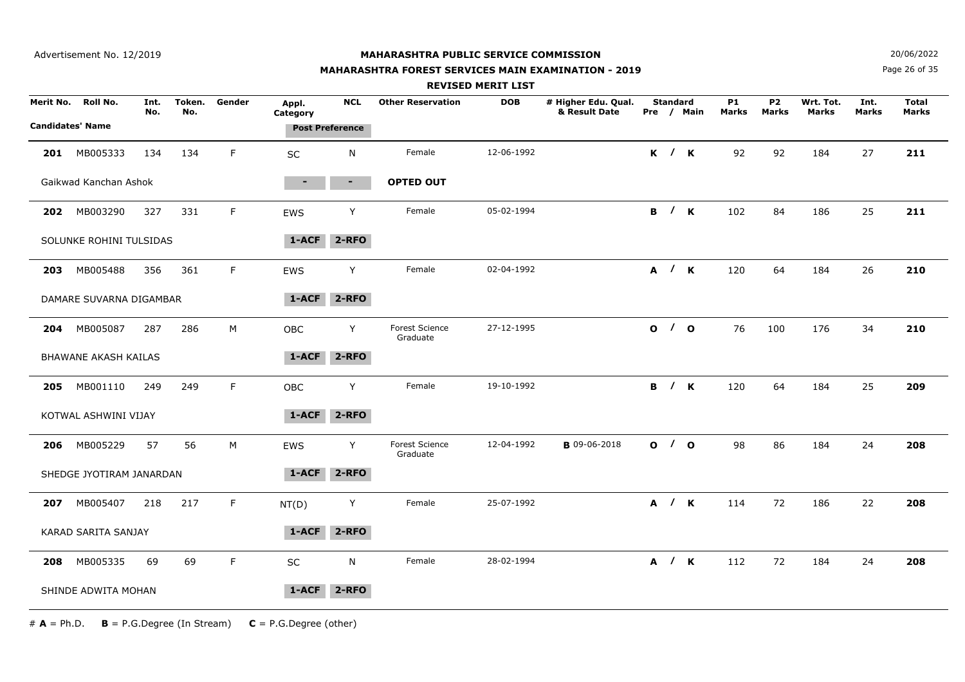Advertisement No. 12/2019

#### **MAHARASHTRA PUBLIC SERVICE COMMISSION**

## **MAHARASHTRA FOREST SERVICES MAIN EXAMINATION - 2019**

**N**  $20/06/2022$ 

Page 26 of 35

|     |                                               |             |               |        |                                             |            |                                   | <b>REVISED MERIT LIST</b> |                                      |                 |                     |                    |                           |                    |               |                              |
|-----|-----------------------------------------------|-------------|---------------|--------|---------------------------------------------|------------|-----------------------------------|---------------------------|--------------------------------------|-----------------|---------------------|--------------------|---------------------------|--------------------|---------------|------------------------------|
|     | Merit No. Roll No.<br><b>Candidates' Name</b> | Int.<br>No. | Token.<br>No. | Gender | Appl.<br>Category<br><b>Post Preference</b> | <b>NCL</b> | <b>Other Reservation</b>          | <b>DOB</b>                | # Higher Edu. Qual.<br>& Result Date | <b>Standard</b> | Pre / Main          | <b>P1</b><br>Marks | <b>P2</b><br><b>Marks</b> | Wrt. Tot.<br>Marks | Int.<br>Marks | <b>Total</b><br><b>Marks</b> |
| 201 | MB005333                                      | 134         | 134           | F      | SC                                          | N          | Female                            | 12-06-1992                |                                      |                 | K / K               | 92                 | 92                        | 184                | 27            | 211                          |
|     | Gaikwad Kanchan Ashok                         |             |               |        | ٠                                           | $\sim$     | <b>OPTED OUT</b>                  |                           |                                      |                 |                     |                    |                           |                    |               |                              |
| 202 | MB003290                                      | 327         | 331           | F      | EWS                                         | Y          | Female                            | 05-02-1994                |                                      |                 | B / K               | 102                | 84                        | 186                | 25            | 211                          |
|     | SOLUNKE ROHINI TULSIDAS                       |             |               |        | $1 - ACF$                                   | $2 - RFO$  |                                   |                           |                                      |                 |                     |                    |                           |                    |               |                              |
| 203 | MB005488                                      | 356         | 361           | F.     | <b>EWS</b>                                  | Y          | Female                            | 02-04-1992                |                                      |                 | A / K               | 120                | 64                        | 184                | 26            | 210                          |
|     | DAMARE SUVARNA DIGAMBAR                       |             |               |        | $1 - ACF$                                   | $2 - RFO$  |                                   |                           |                                      |                 |                     |                    |                           |                    |               |                              |
| 204 | MB005087                                      | 287         | 286           | M      | OBC                                         | Y          | <b>Forest Science</b><br>Graduate | 27-12-1995                |                                      |                 | 0/0                 | 76                 | 100                       | 176                | 34            | 210                          |
|     | <b>BHAWANE AKASH KAILAS</b>                   |             |               |        | 1-ACF                                       | $2 - RFO$  |                                   |                           |                                      |                 |                     |                    |                           |                    |               |                              |
| 205 | MB001110                                      | 249         | 249           | F      | <b>OBC</b>                                  | Y          | Female                            | 19-10-1992                |                                      |                 | <b>B</b> / <b>K</b> | 120                | 64                        | 184                | 25            | 209                          |
|     | KOTWAL ASHWINI VIJAY                          |             |               |        | 1-ACF                                       | $2 - RFO$  |                                   |                           |                                      |                 |                     |                    |                           |                    |               |                              |
| 206 | MB005229                                      | 57          | 56            | М      | EWS                                         | Y          | <b>Forest Science</b><br>Graduate | 12-04-1992                | <b>B</b> 09-06-2018                  |                 | 0/0                 | 98                 | 86                        | 184                | 24            | 208                          |
|     | SHEDGE JYOTIRAM JANARDAN                      |             |               |        | 1-ACF                                       | 2-RFO      |                                   |                           |                                      |                 |                     |                    |                           |                    |               |                              |
| 207 | MB005407                                      | 218         | 217           | F.     | NT(D)                                       | Y          | Female                            | 25-07-1992                |                                      |                 | A / K               | 114                | 72                        | 186                | 22            | 208                          |
|     | <b>KARAD SARITA SANJAY</b>                    |             |               |        | $1 - ACF$                                   | $2 - RFO$  |                                   |                           |                                      |                 |                     |                    |                           |                    |               |                              |
| 208 | MB005335                                      | 69          | 69            | F.     | SC                                          | N          | Female                            | 28-02-1994                |                                      |                 | A / K               | 112                | 72                        | 184                | 24            | 208                          |
|     | SHINDE ADWITA MOHAN                           |             |               |        | 1-ACF                                       | 2-RFO      |                                   |                           |                                      |                 |                     |                    |                           |                    |               |                              |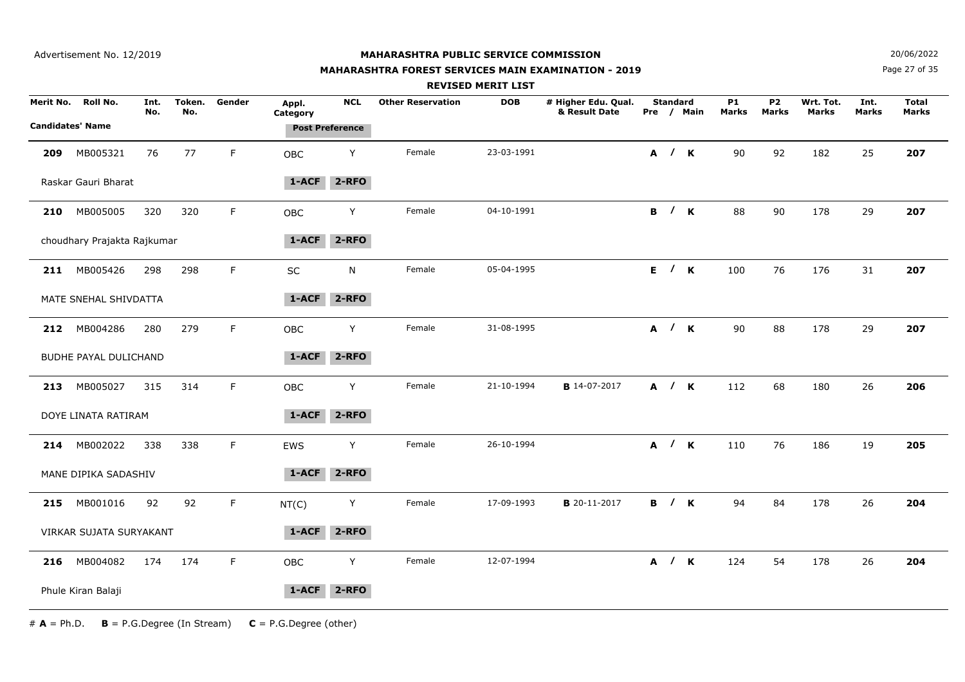Advertisement No. 12/2019

#### **MAHARASHTRA PUBLIC SERVICE COMMISSION**

## **MAHARASHTRA FOREST SERVICES MAIN EXAMINATION - 2019**

**N**  $20/06/2022$ 

Page 27 of 35

|     |                                               |             |               |             |                                             |            |                          | <b>REVISED MERIT LIST</b> |                                      |                 |                     |                    |                           |                           |                      |                              |
|-----|-----------------------------------------------|-------------|---------------|-------------|---------------------------------------------|------------|--------------------------|---------------------------|--------------------------------------|-----------------|---------------------|--------------------|---------------------------|---------------------------|----------------------|------------------------------|
|     | Merit No. Roll No.<br><b>Candidates' Name</b> | Int.<br>No. | Token.<br>No. | Gender      | Appl.<br>Category<br><b>Post Preference</b> | <b>NCL</b> | <b>Other Reservation</b> | <b>DOB</b>                | # Higher Edu. Qual.<br>& Result Date | <b>Standard</b> | Pre / Main          | <b>P1</b><br>Marks | <b>P2</b><br><b>Marks</b> | Wrt. Tot.<br><b>Marks</b> | Int.<br><b>Marks</b> | <b>Total</b><br><b>Marks</b> |
|     |                                               |             |               |             |                                             |            |                          |                           |                                      |                 |                     |                    |                           |                           |                      |                              |
| 209 | MB005321                                      | 76          | 77            | F           | OBC                                         | Y          | Female                   | 23-03-1991                |                                      |                 | A / K               | 90                 | 92                        | 182                       | 25                   | 207                          |
|     | Raskar Gauri Bharat                           |             |               |             | $1 - ACF$                                   | $2 - RFO$  |                          |                           |                                      |                 |                     |                    |                           |                           |                      |                              |
| 210 | MB005005                                      | 320         | 320           | $\mathsf F$ | OBC                                         | Y          | Female                   | 04-10-1991                |                                      |                 | <b>B</b> / <b>K</b> | 88                 | 90                        | 178                       | 29                   | 207                          |
|     | choudhary Prajakta Rajkumar                   |             |               |             | 1-ACF                                       | $2 - RFO$  |                          |                           |                                      |                 |                     |                    |                           |                           |                      |                              |
|     | 211 MB005426                                  | 298         | 298           | F.          | SC                                          | N          | Female                   | 05-04-1995                |                                      |                 | E / K               | 100                | 76                        | 176                       | 31                   | 207                          |
|     | MATE SNEHAL SHIVDATTA                         |             |               |             | 1-ACF                                       | 2-RFO      |                          |                           |                                      |                 |                     |                    |                           |                           |                      |                              |
|     | 212 MB004286                                  | 280         | 279           | F           | OBC                                         | Y          | Female                   | 31-08-1995                |                                      |                 | A / K               | 90                 | 88                        | 178                       | 29                   | 207                          |
|     | BUDHE PAYAL DULICHAND                         |             |               |             | 1-ACF                                       | $2 - RFO$  |                          |                           |                                      |                 |                     |                    |                           |                           |                      |                              |
|     | 213 MB005027                                  | 315         | 314           | F.          | OBC                                         | Y          | Female                   | 21-10-1994                | <b>B</b> 14-07-2017                  |                 | A / K               | 112                | 68                        | 180                       | 26                   | 206                          |
|     | DOYE LINATA RATIRAM                           |             |               |             | 1-ACF                                       | 2-RFO      |                          |                           |                                      |                 |                     |                    |                           |                           |                      |                              |
|     | 214 MB002022                                  | 338         | 338           | F.          | EWS                                         | Y          | Female                   | 26-10-1994                |                                      |                 | A / K               | 110                | 76                        | 186                       | 19                   | 205                          |
|     | MANE DIPIKA SADASHIV                          |             |               |             | 1-ACF                                       | 2-RFO      |                          |                           |                                      |                 |                     |                    |                           |                           |                      |                              |
| 215 | MB001016                                      | 92          | 92            | F.          | NT(C)                                       | Y          | Female                   | 17-09-1993                | <b>B</b> 20-11-2017                  |                 | <b>B</b> / <b>K</b> | 94                 | 84                        | 178                       | 26                   | 204                          |
|     | VIRKAR SUJATA SURYAKANT                       |             |               |             | $1 - ACF$                                   | $2 - RFO$  |                          |                           |                                      |                 |                     |                    |                           |                           |                      |                              |
|     | 216 MB004082                                  | 174         | 174           | F           | OBC                                         | Y          | Female                   | 12-07-1994                |                                      |                 | A / K               | 124                | 54                        | 178                       | 26                   | 204                          |
|     | Phule Kiran Balaji                            |             |               |             | 1-ACF                                       | $2 - RFO$  |                          |                           |                                      |                 |                     |                    |                           |                           |                      |                              |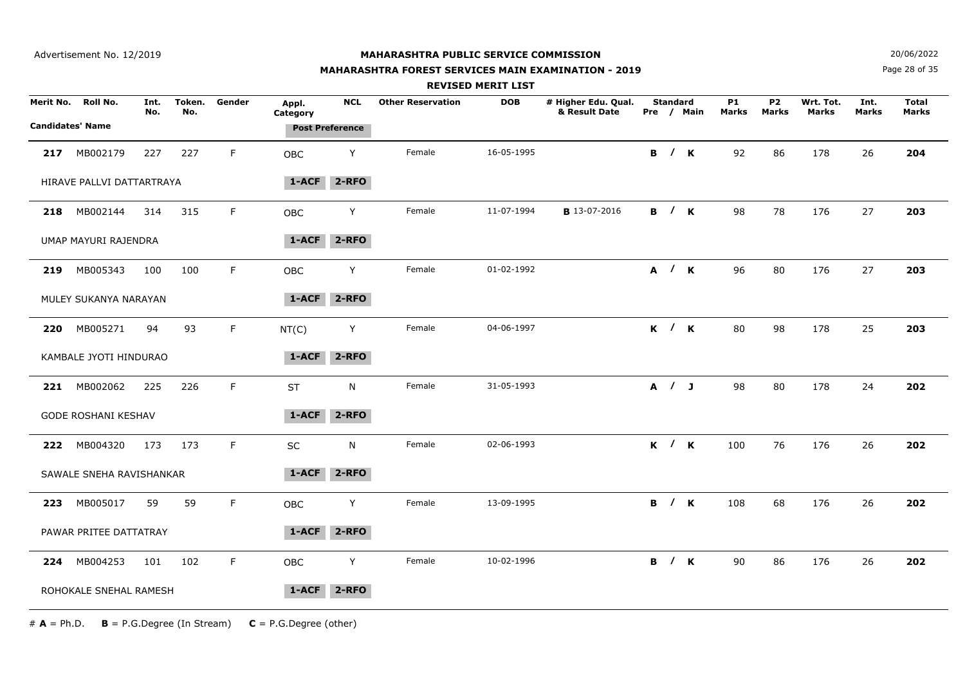## **MAHARASHTRA FOREST SERVICES MAIN EXAMINATION - 2019**

**N**  $20/06/2022$ 

Page 28 of 35

|           |                                            |             |               |             |                   |                                      |                          | <b>REVISED MERIT LIST</b> |                                      |       |                     |                     |                    |                    |                           |               |                              |
|-----------|--------------------------------------------|-------------|---------------|-------------|-------------------|--------------------------------------|--------------------------|---------------------------|--------------------------------------|-------|---------------------|---------------------|--------------------|--------------------|---------------------------|---------------|------------------------------|
| Merit No. | <b>Roll No.</b><br><b>Candidates' Name</b> | Int.<br>No. | Token.<br>No. | Gender      | Appl.<br>Category | <b>NCL</b><br><b>Post Preference</b> | <b>Other Reservation</b> | <b>DOB</b>                | # Higher Edu. Qual.<br>& Result Date |       | <b>Standard</b>     | Pre / Main          | <b>P1</b><br>Marks | <b>P2</b><br>Marks | Wrt. Tot.<br><b>Marks</b> | Int.<br>Marks | <b>Total</b><br><b>Marks</b> |
|           |                                            |             |               |             |                   |                                      |                          |                           |                                      |       |                     |                     |                    |                    |                           |               |                              |
| 217       | MB002179                                   | 227         | 227           | F           | <b>OBC</b>        | Y                                    | Female                   | 16-05-1995                |                                      |       |                     | <b>B</b> / <b>K</b> | 92                 | 86                 | 178                       | 26            | 204                          |
|           | HIRAVE PALLVI DATTARTRAYA                  |             |               |             | 1-ACF             | 2-RFO                                |                          |                           |                                      |       |                     |                     |                    |                    |                           |               |                              |
| 218       | MB002144                                   | 314         | 315           | $\mathsf F$ | OBC               | Y                                    | Female                   | 11-07-1994                | <b>B</b> 13-07-2016                  |       | B / K               |                     | 98                 | 78                 | 176                       | 27            | 203                          |
|           | UMAP MAYURI RAJENDRA                       |             |               |             | 1-ACF             | 2-RFO                                |                          |                           |                                      |       |                     |                     |                    |                    |                           |               |                              |
|           | 219 MB005343                               | 100         | 100           | F           | OBC               | Y                                    | Female                   | 01-02-1992                |                                      | A / K |                     |                     | 96                 | 80                 | 176                       | 27            | 203                          |
|           | MULEY SUKANYA NARAYAN                      |             |               |             | 1-ACF             | 2-RFO                                |                          |                           |                                      |       |                     |                     |                    |                    |                           |               |                              |
| 220       | MB005271                                   | 94          | 93            | $\mathsf F$ | NT(C)             | Y                                    | Female                   | 04-06-1997                |                                      |       |                     | $K$ / $K$           | 80                 | 98                 | 178                       | 25            | 203                          |
|           | KAMBALE JYOTI HINDURAO                     |             |               |             | 1-ACF             | $2 - RFO$                            |                          |                           |                                      |       |                     |                     |                    |                    |                           |               |                              |
|           | 221 MB002062                               | 225         | 226           | F           | <b>ST</b>         | N                                    | Female                   | 31-05-1993                |                                      | A / J |                     |                     | 98                 | 80                 | 178                       | 24            | 202                          |
|           | <b>GODE ROSHANI KESHAV</b>                 |             |               |             | 1-ACF             | 2-RFO                                |                          |                           |                                      |       |                     |                     |                    |                    |                           |               |                              |
|           | 222 MB004320                               | 173         | 173           | $\mathsf F$ | SC                | N                                    | Female                   | 02-06-1993                |                                      | K / K |                     |                     | 100                | 76                 | 176                       | 26            | 202                          |
|           | SAWALE SNEHA RAVISHANKAR                   |             |               |             | 1-ACF             | $2 - RFO$                            |                          |                           |                                      |       |                     |                     |                    |                    |                           |               |                              |
| 223       | MB005017                                   | 59          | 59            | F           | OBC               | Y                                    | Female                   | 13-09-1995                |                                      |       |                     | <b>B</b> / <b>K</b> | 108                | 68                 | 176                       | 26            | 202                          |
|           | PAWAR PRITEE DATTATRAY                     |             |               |             | 1-ACF             | $2 - RFO$                            |                          |                           |                                      |       |                     |                     |                    |                    |                           |               |                              |
|           | 224 MB004253                               | 101         | 102           | F           | OBC               | Y                                    | Female                   | 10-02-1996                |                                      |       | <b>B</b> / <b>K</b> |                     | 90                 | 86                 | 176                       | 26            | 202                          |
|           | ROHOKALE SNEHAL RAMESH                     |             |               |             | 1-ACF             | $2 - RFO$                            |                          |                           |                                      |       |                     |                     |                    |                    |                           |               |                              |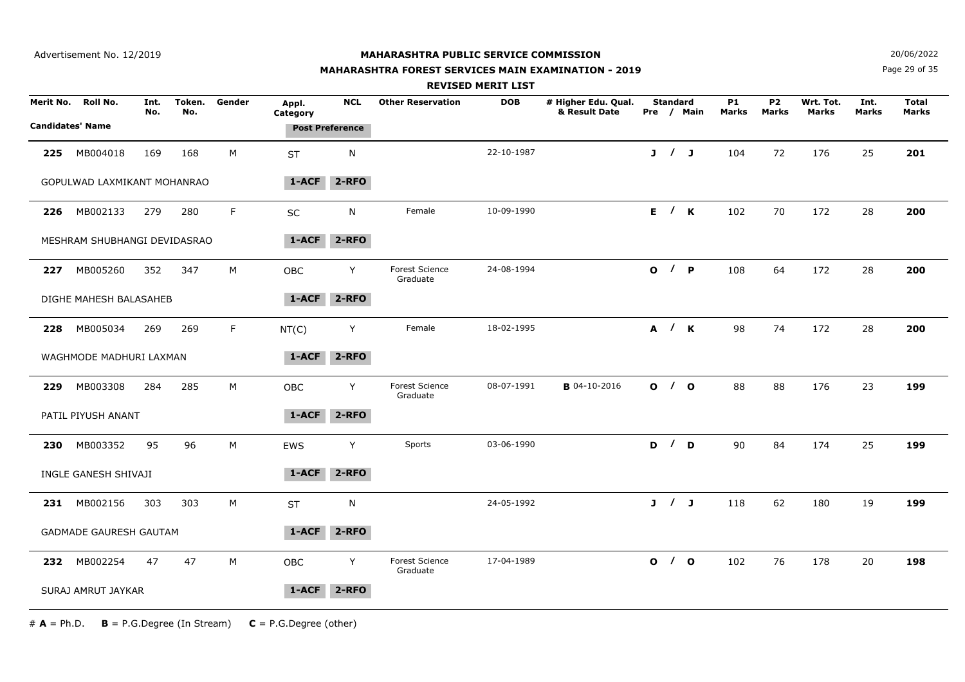## **MAHARASHTRA FOREST SERVICES MAIN EXAMINATION - 2019**

**N**  $20/06/2022$ 

Page 29 of 35

|           |                               |             |               |        |                   |                        |                                   | <b>REVISED MERIT LIST</b> |                                      |                 |            |                    |                           |                    |               |                              |
|-----------|-------------------------------|-------------|---------------|--------|-------------------|------------------------|-----------------------------------|---------------------------|--------------------------------------|-----------------|------------|--------------------|---------------------------|--------------------|---------------|------------------------------|
| Merit No. | Roll No.                      | Int.<br>No. | Token.<br>No. | Gender | Appl.<br>Category | <b>NCL</b>             | <b>Other Reservation</b>          | <b>DOB</b>                | # Higher Edu. Qual.<br>& Result Date | <b>Standard</b> | Pre / Main | <b>P1</b><br>Marks | <b>P2</b><br><b>Marks</b> | Wrt. Tot.<br>Marks | Int.<br>Marks | <b>Total</b><br><b>Marks</b> |
|           | <b>Candidates' Name</b>       |             |               |        |                   | <b>Post Preference</b> |                                   |                           |                                      |                 |            |                    |                           |                    |               |                              |
| 225       | MB004018                      | 169         | 168           | М      | <b>ST</b>         | N                      |                                   | 22-10-1987                |                                      | J / J           |            | 104                | 72                        | 176                | 25            | 201                          |
|           | GOPULWAD LAXMIKANT MOHANRAO   |             |               |        | $1 - ACF$         | $2 - RFO$              |                                   |                           |                                      |                 |            |                    |                           |                    |               |                              |
| 226       | MB002133                      | 279         | 280           | F      | SC                | N                      | Female                            | 10-09-1990                |                                      |                 | E / K      | 102                | 70                        | 172                | 28            | 200                          |
|           | MESHRAM SHUBHANGI DEVIDASRAO  |             |               |        | 1-ACF             | $2 - RFO$              |                                   |                           |                                      |                 |            |                    |                           |                    |               |                              |
| 227       | MB005260                      | 352         | 347           | M      | OBC               | Y                      | <b>Forest Science</b><br>Graduate | 24-08-1994                |                                      |                 | O / P      | 108                | 64                        | 172                | 28            | 200                          |
|           | DIGHE MAHESH BALASAHEB        |             |               |        | 1-ACF             | 2-RFO                  |                                   |                           |                                      |                 |            |                    |                           |                    |               |                              |
| 228       | MB005034                      | 269         | 269           | F      | NT(C)             | Y                      | Female                            | 18-02-1995                |                                      |                 | A / K      | 98                 | 74                        | 172                | 28            | 200                          |
|           | WAGHMODE MADHURI LAXMAN       |             |               |        | $1 - ACF$         | $2 - RFO$              |                                   |                           |                                      |                 |            |                    |                           |                    |               |                              |
| 229       | MB003308                      | 284         | 285           | M      | OBC               | Y                      | <b>Forest Science</b><br>Graduate | 08-07-1991                | <b>B</b> 04-10-2016                  |                 | 0/0        | 88                 | 88                        | 176                | 23            | 199                          |
|           | PATIL PIYUSH ANANT            |             |               |        | $1 - ACF$         | 2-RFO                  |                                   |                           |                                      |                 |            |                    |                           |                    |               |                              |
| 230       | MB003352                      | 95          | 96            | М      | EWS               | Y                      | Sports                            | 03-06-1990                |                                      |                 | D / D      | 90                 | 84                        | 174                | 25            | 199                          |
|           | INGLE GANESH SHIVAJI          |             |               |        | 1-ACF             | 2-RFO                  |                                   |                           |                                      |                 |            |                    |                           |                    |               |                              |
|           | 231 MB002156                  | 303         | 303           | M      | <b>ST</b>         | N                      |                                   | 24-05-1992                |                                      | J / J           |            | 118                | 62                        | 180                | 19            | 199                          |
|           | <b>GADMADE GAURESH GAUTAM</b> |             |               |        | 1-ACF             | 2-RFO                  |                                   |                           |                                      |                 |            |                    |                           |                    |               |                              |
|           | 232 MB002254                  | 47          | 47            | М      | OBC               | Y                      | <b>Forest Science</b><br>Graduate | 17-04-1989                |                                      |                 | 0/0        | 102                | 76                        | 178                | 20            | 198                          |
|           | SURAJ AMRUT JAYKAR            |             |               |        | 1-ACF             | $2 - RFO$              |                                   |                           |                                      |                 |            |                    |                           |                    |               |                              |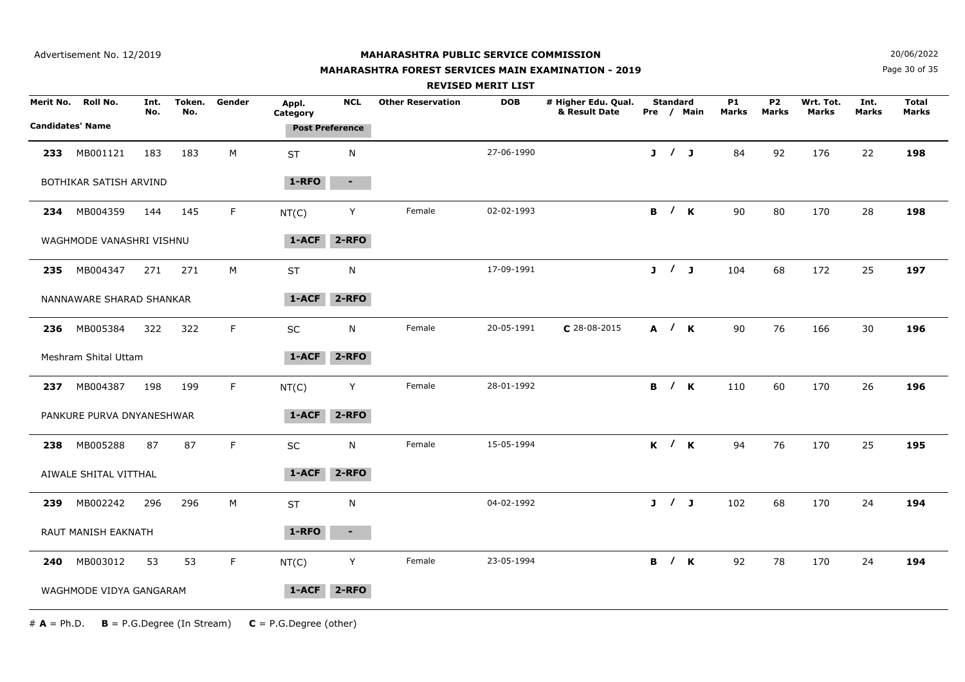#### **MAHARASHTRA FOREST SERVICES MAIN EXAMINATION - 2019**

**N**  $20/06/2022$ 

Page 30 of 35

|     |                           |             |               |        |                   |                        |                          | <b>REVISED MERIT LIST</b> |                                      |                 |                     |                           |                                |                    |                      |                       |  |
|-----|---------------------------|-------------|---------------|--------|-------------------|------------------------|--------------------------|---------------------------|--------------------------------------|-----------------|---------------------|---------------------------|--------------------------------|--------------------|----------------------|-----------------------|--|
|     | Merit No. Roll No.        | Int.<br>No. | Token.<br>No. | Gender | Appl.<br>Category | <b>NCL</b>             | <b>Other Reservation</b> | <b>DOB</b>                | # Higher Edu. Qual.<br>& Result Date | <b>Standard</b> | Pre / Main          | <b>P1</b><br><b>Marks</b> | P <sub>2</sub><br><b>Marks</b> | Wrt. Tot.<br>Marks | Int.<br><b>Marks</b> | <b>Total</b><br>Marks |  |
|     | <b>Candidates' Name</b>   |             |               |        |                   | <b>Post Preference</b> |                          |                           |                                      |                 |                     |                           |                                |                    |                      |                       |  |
| 233 | MB001121                  | 183         | 183           | M      | <b>ST</b>         | $\mathsf{N}$           |                          | 27-06-1990                |                                      | J / J           |                     | 84                        | 92                             | 176                | 22                   | 198                   |  |
|     | BOTHIKAR SATISH ARVIND    |             |               |        | 1-RFO             | $\sim 100$             |                          |                           |                                      |                 |                     |                           |                                |                    |                      |                       |  |
| 234 | MB004359                  | 144         | 145           | F.     | NT(C)             | Y                      | Female                   | 02-02-1993                |                                      |                 | B / K               | 90                        | 80                             | 170                | 28                   | 198                   |  |
|     | WAGHMODE VANASHRI VISHNU  |             |               |        | 1-ACF             | $2 - RFO$              |                          |                           |                                      |                 |                     |                           |                                |                    |                      |                       |  |
|     | 235 MB004347              | 271         | 271           | М      | <b>ST</b>         | N                      |                          | 17-09-1991                |                                      |                 | J / J               | 104                       | 68                             | 172                | 25                   | 197                   |  |
|     | NANNAWARE SHARAD SHANKAR  |             |               |        | 1-ACF             | $2 - RFO$              |                          |                           |                                      |                 |                     |                           |                                |                    |                      |                       |  |
| 236 | MB005384                  | 322         | 322           | F.     | <b>SC</b>         | N                      | Female                   | 20-05-1991                | $C$ 28-08-2015                       |                 | A / K               | 90                        | 76                             | 166                | 30                   | 196                   |  |
|     | Meshram Shital Uttam      |             |               |        | 1-ACF             | 2-RFO                  |                          |                           |                                      |                 |                     |                           |                                |                    |                      |                       |  |
| 237 | MB004387                  | 198         | 199           | F      | NT(C)             | Y                      | Female                   | 28-01-1992                |                                      |                 | <b>B</b> / <b>K</b> | 110                       | 60                             | 170                | 26                   | 196                   |  |
|     | PANKURE PURVA DNYANESHWAR |             |               |        | $1 - ACF$         | 2-RFO                  |                          |                           |                                      |                 |                     |                           |                                |                    |                      |                       |  |
| 238 | MB005288                  | 87          | 87            | F.     | SC                | $\mathsf{N}$           | Female                   | 15-05-1994                |                                      |                 | K / K               | 94                        | 76                             | 170                | 25                   | 195                   |  |
|     | AIWALE SHITAL VITTHAL     |             |               |        | 1-ACF             | 2-RFO                  |                          |                           |                                      |                 |                     |                           |                                |                    |                      |                       |  |
| 239 | MB002242                  | 296         | 296           | M      | <b>ST</b>         | N                      |                          | 04-02-1992                |                                      | J / J           |                     | 102                       | 68                             | 170                | 24                   | 194                   |  |
|     | RAUT MANISH EAKNATH       |             |               |        | 1-RFO             | $\blacksquare$         |                          |                           |                                      |                 |                     |                           |                                |                    |                      |                       |  |
| 240 | MB003012                  | 53          | 53            | F      | NT(C)             | Y                      | Female                   | 23-05-1994                |                                      |                 | <b>B</b> / <b>K</b> | 92                        | 78                             | 170                | 24                   | 194                   |  |
|     | WAGHMODE VIDYA GANGARAM   |             |               |        | 1-ACF             | 2-RFO                  |                          |                           |                                      |                 |                     |                           |                                |                    |                      |                       |  |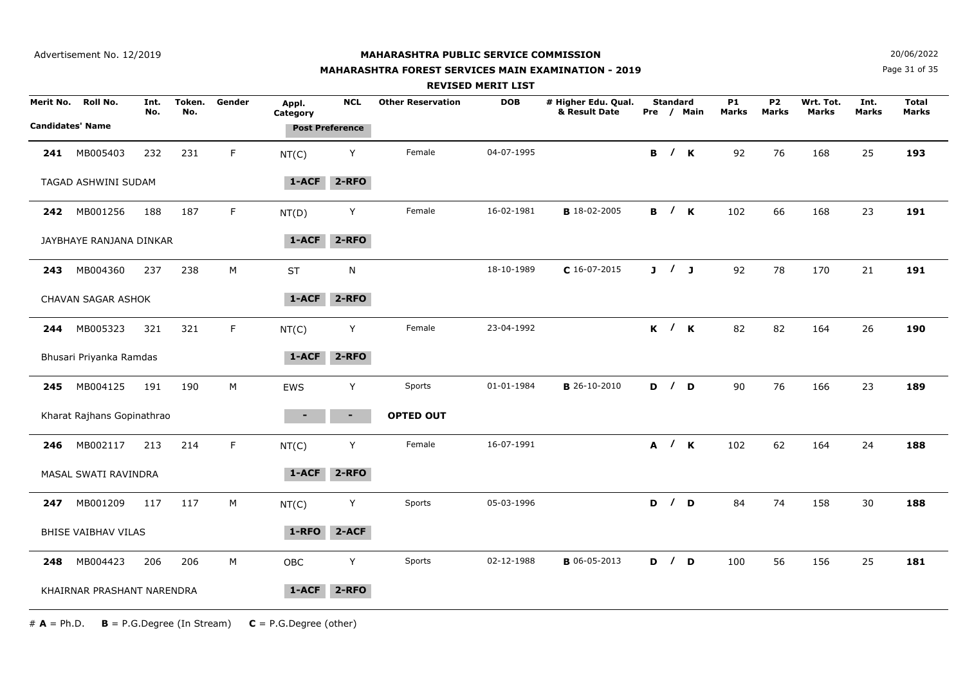Advertisement No. 12/2019

## **MAHARASHTRA PUBLIC SERVICE COMMISSION**

#### **MAHARASHTRA FOREST SERVICES MAIN EXAMINATION - 2019**

**N**  $20/06/2022$ 

Page 31 of 35

|                         |                            |             |               |             |                   |                        |                          | <b>REVISED MERIT LIST</b> |                                      |                 |                     |                    |                           |                           |                      |                       |  |
|-------------------------|----------------------------|-------------|---------------|-------------|-------------------|------------------------|--------------------------|---------------------------|--------------------------------------|-----------------|---------------------|--------------------|---------------------------|---------------------------|----------------------|-----------------------|--|
| Merit No.               | <b>Roll No.</b>            | Int.<br>No. | Token.<br>No. | Gender      | Appl.<br>Category | <b>NCL</b>             | <b>Other Reservation</b> | <b>DOB</b>                | # Higher Edu. Qual.<br>& Result Date | <b>Standard</b> | Pre / Main          | <b>P1</b><br>Marks | <b>P2</b><br><b>Marks</b> | Wrt. Tot.<br><b>Marks</b> | Int.<br><b>Marks</b> | <b>Total</b><br>Marks |  |
| <b>Candidates' Name</b> |                            |             |               |             |                   | <b>Post Preference</b> |                          |                           |                                      |                 |                     |                    |                           |                           |                      |                       |  |
| 241                     | MB005403                   | 232         | 231           | F           | NT(C)             | Y                      | Female                   | 04-07-1995                |                                      |                 | <b>B</b> / <b>K</b> | 92                 | 76                        | 168                       | 25                   | 193                   |  |
|                         | TAGAD ASHWINI SUDAM        |             |               |             | $1-ACF$           | $2 - RFO$              |                          |                           |                                      |                 |                     |                    |                           |                           |                      |                       |  |
| 242                     | MB001256                   | 188         | 187           | F           | NT(D)             | Y                      | Female                   | 16-02-1981                | <b>B</b> 18-02-2005                  |                 | <b>B</b> / <b>K</b> | 102                | 66                        | 168                       | 23                   | 191                   |  |
|                         | JAYBHAYE RANJANA DINKAR    |             |               |             | 1-ACF             | 2-RFO                  |                          |                           |                                      |                 |                     |                    |                           |                           |                      |                       |  |
| 243                     | MB004360                   | 237         | 238           | M           | <b>ST</b>         | N                      |                          | 18-10-1989                | $C$ 16-07-2015                       | J / J           |                     | 92                 | 78                        | 170                       | 21                   | 191                   |  |
|                         | CHAVAN SAGAR ASHOK         |             |               |             | 1-ACF             | $2 - RFO$              |                          |                           |                                      |                 |                     |                    |                           |                           |                      |                       |  |
| 244                     | MB005323                   | 321         | 321           | F           | NT(C)             | Y                      | Female                   | 23-04-1992                |                                      |                 | $K$ / $K$           | 82                 | 82                        | 164                       | 26                   | 190                   |  |
|                         | Bhusari Priyanka Ramdas    |             |               |             | $1 - ACF$         | 2-RFO                  |                          |                           |                                      |                 |                     |                    |                           |                           |                      |                       |  |
| 245                     | MB004125                   | 191         | 190           | M           | <b>EWS</b>        | Y                      | Sports                   | 01-01-1984                | <b>B</b> 26-10-2010                  | D / D           |                     | 90                 | 76                        | 166                       | 23                   | 189                   |  |
|                         | Kharat Rajhans Gopinathrao |             |               |             |                   | ٠.                     | <b>OPTED OUT</b>         |                           |                                      |                 |                     |                    |                           |                           |                      |                       |  |
| 246                     | MB002117                   | 213         | 214           | $\mathsf F$ | NT(C)             | Y                      | Female                   | 16-07-1991                |                                      |                 | A / K               | 102                | 62                        | 164                       | 24                   | 188                   |  |
|                         | MASAL SWATI RAVINDRA       |             |               |             | 1-ACF             | 2-RFO                  |                          |                           |                                      |                 |                     |                    |                           |                           |                      |                       |  |
| 247                     | MB001209                   | 117         | 117           | М           | NT(C)             | Y                      | Sports                   | 05-03-1996                |                                      |                 | D / D               | 84                 | 74                        | 158                       | 30                   | 188                   |  |
|                         | BHISE VAIBHAV VILAS        |             |               |             | 1-RFO             | $2-ACF$                |                          |                           |                                      |                 |                     |                    |                           |                           |                      |                       |  |
| 248                     | MB004423                   | 206         | 206           | М           | OBC               | Y                      | Sports                   | 02-12-1988                | <b>B</b> 06-05-2013                  | D / D           |                     | 100                | 56                        | 156                       | 25                   | 181                   |  |
|                         | KHAIRNAR PRASHANT NARENDRA |             |               |             | 1-ACF             | $2 - RFO$              |                          |                           |                                      |                 |                     |                    |                           |                           |                      |                       |  |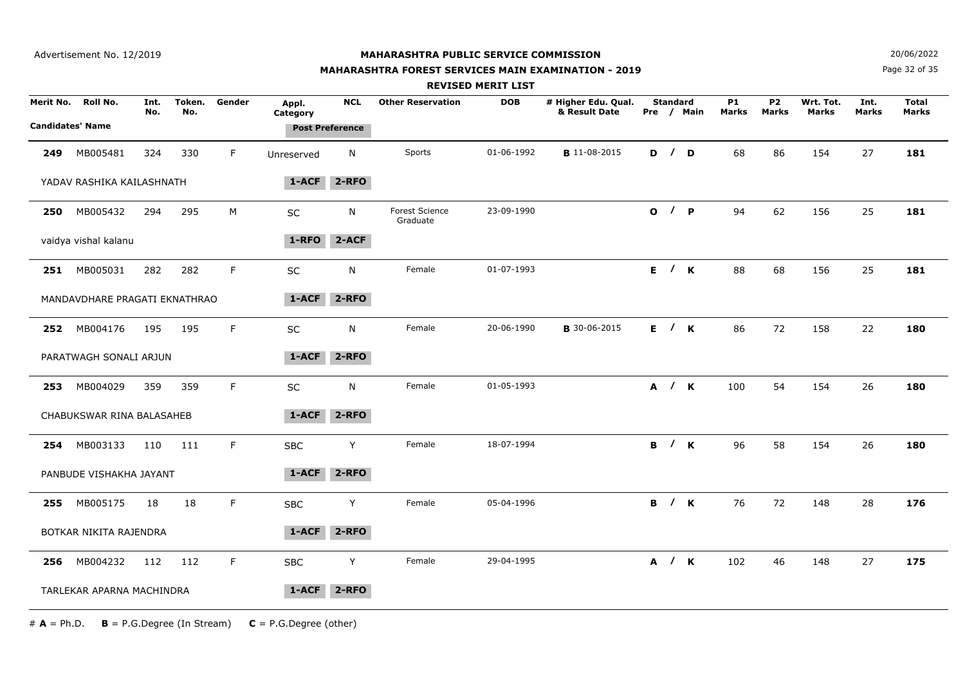## **MAHARASHTRA FOREST SERVICES MAIN EXAMINATION - 2019**

**N**  $20/06/2022$ 

Page 32 of 35

|           |                                            |             |               |             |                   |                                      |                                   | <b>REVISED MERIT LIST</b> |                                      |                 |                     |                    |                    |                    |               |                              |
|-----------|--------------------------------------------|-------------|---------------|-------------|-------------------|--------------------------------------|-----------------------------------|---------------------------|--------------------------------------|-----------------|---------------------|--------------------|--------------------|--------------------|---------------|------------------------------|
| Merit No. | <b>Roll No.</b><br><b>Candidates' Name</b> | Int.<br>No. | Token.<br>No. | Gender      | Appl.<br>Category | <b>NCL</b><br><b>Post Preference</b> | <b>Other Reservation</b>          | <b>DOB</b>                | # Higher Edu. Qual.<br>& Result Date | <b>Standard</b> | Pre / Main          | <b>P1</b><br>Marks | <b>P2</b><br>Marks | Wrt. Tot.<br>Marks | Int.<br>Marks | <b>Total</b><br><b>Marks</b> |
| 249       | MB005481                                   | 324         | 330           | F.          | Unreserved        | N                                    | Sports                            | 01-06-1992                | <b>B</b> 11-08-2015                  | D / D           |                     | 68                 | 86                 | 154                | 27            | 181                          |
|           | YADAV RASHIKA KAILASHNATH                  |             |               |             | 1-ACF             | $2 - RFO$                            |                                   |                           |                                      |                 |                     |                    |                    |                    |               |                              |
| 250       | MB005432                                   | 294         | 295           | M           | <b>SC</b>         | N                                    | <b>Forest Science</b><br>Graduate | 23-09-1990                |                                      | O / P           |                     | 94                 | 62                 | 156                | 25            | 181                          |
|           | vaidya vishal kalanu                       |             |               |             | 1-RFO             | $2-ACF$                              |                                   |                           |                                      |                 |                     |                    |                    |                    |               |                              |
|           | 251 MB005031                               | 282         | 282           | $\mathsf F$ | SC                | N                                    | Female                            | 01-07-1993                |                                      | E / K           |                     | 88                 | 68                 | 156                | 25            | 181                          |
|           | MANDAVDHARE PRAGATI EKNATHRAO              |             |               |             | 1-ACF             | 2-RFO                                |                                   |                           |                                      |                 |                     |                    |                    |                    |               |                              |
| 252       | MB004176                                   | 195         | 195           | F           | SC                | N                                    | Female                            | 20-06-1990                | <b>B</b> 30-06-2015                  |                 | E / K               | 86                 | 72                 | 158                | 22            | 180                          |
|           | PARATWAGH SONALI ARJUN                     |             |               |             | 1-ACF             | $2 - RFO$                            |                                   |                           |                                      |                 |                     |                    |                    |                    |               |                              |
| 253       | MB004029                                   | 359         | 359           | F.          | SC                | N                                    | Female                            | 01-05-1993                |                                      | A / K           |                     | 100                | 54                 | 154                | 26            | 180                          |
|           | CHABUKSWAR RINA BALASAHEB                  |             |               |             | 1-ACF             | $2 - RFO$                            |                                   |                           |                                      |                 |                     |                    |                    |                    |               |                              |
| 254       | MB003133                                   | 110         | 111           | F.          | <b>SBC</b>        | Y                                    | Female                            | 18-07-1994                |                                      | B / K           |                     | 96                 | 58                 | 154                | 26            | 180                          |
|           | PANBUDE VISHAKHA JAYANT                    |             |               |             | 1-ACF             | 2-RFO                                |                                   |                           |                                      |                 |                     |                    |                    |                    |               |                              |
| 255       | MB005175                                   | 18          | 18            | F.          | <b>SBC</b>        | Y                                    | Female                            | 05-04-1996                |                                      |                 | <b>B</b> / <b>K</b> | 76                 | 72                 | 148                | 28            | 176                          |
|           | BOTKAR NIKITA RAJENDRA                     |             |               |             | 1-ACF             | 2-RFO                                |                                   |                           |                                      |                 |                     |                    |                    |                    |               |                              |
| 256       | MB004232                                   | 112         | 112           | F.          | <b>SBC</b>        | Y                                    | Female                            | 29-04-1995                |                                      |                 | A / K               | 102                | 46                 | 148                | 27            | 175                          |
|           | TARLEKAR APARNA MACHINDRA                  |             |               |             | 1-ACF             | $2 - RFO$                            |                                   |                           |                                      |                 |                     |                    |                    |                    |               |                              |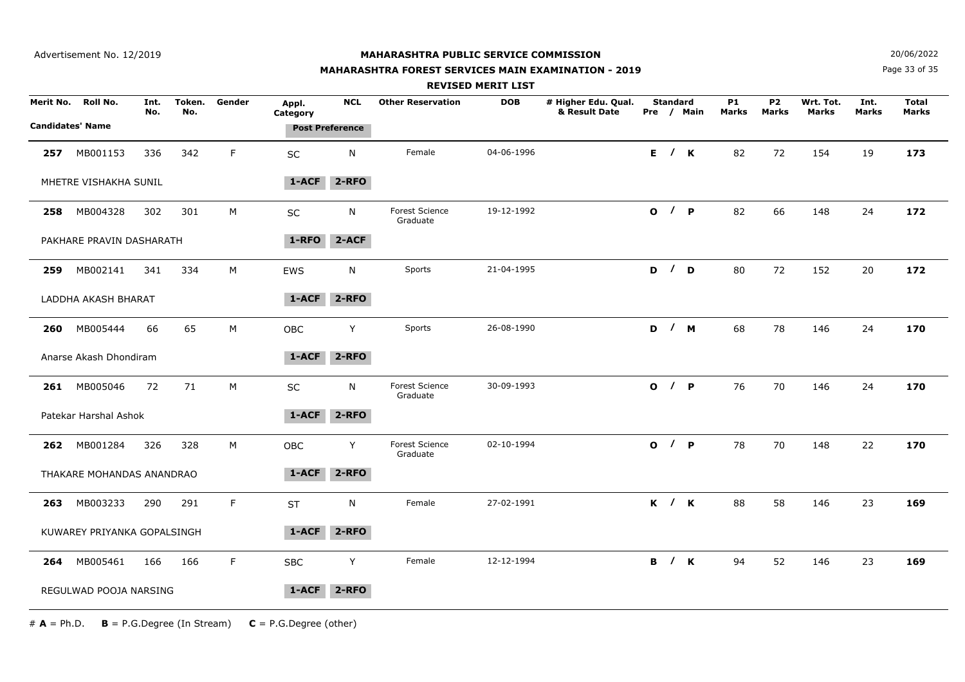## **MAHARASHTRA FOREST SERVICES MAIN EXAMINATION - 2019**

**N**  $20/06/2022$ 

Page 33 of 35

|           |                             |             |               |        |                   |                        |                                   | <b>REVISED MERIT LIST</b> |                                      |       |                 |            |                    |                           |                    |               |                              |
|-----------|-----------------------------|-------------|---------------|--------|-------------------|------------------------|-----------------------------------|---------------------------|--------------------------------------|-------|-----------------|------------|--------------------|---------------------------|--------------------|---------------|------------------------------|
| Merit No. | Roll No.                    | Int.<br>No. | Token.<br>No. | Gender | Appl.<br>Category | <b>NCL</b>             | <b>Other Reservation</b>          | <b>DOB</b>                | # Higher Edu. Qual.<br>& Result Date |       | <b>Standard</b> | Pre / Main | <b>P1</b><br>Marks | <b>P2</b><br><b>Marks</b> | Wrt. Tot.<br>Marks | Int.<br>Marks | <b>Total</b><br><b>Marks</b> |
|           | <b>Candidates' Name</b>     |             |               |        |                   | <b>Post Preference</b> |                                   |                           |                                      |       |                 |            |                    |                           |                    |               |                              |
| 257       | MB001153                    | 336         | 342           | F      | SC                | N                      | Female                            | 04-06-1996                |                                      |       |                 | E / K      | 82                 | 72                        | 154                | 19            | 173                          |
|           | MHETRE VISHAKHA SUNIL       |             |               |        | $1 - ACF$         | $2 - RFO$              |                                   |                           |                                      |       |                 |            |                    |                           |                    |               |                              |
| 258       | MB004328                    | 302         | 301           | М      | SC                | N                      | Forest Science<br>Graduate        | 19-12-1992                |                                      | O / P |                 |            | 82                 | 66                        | 148                | 24            | 172                          |
|           | PAKHARE PRAVIN DASHARATH    |             |               |        | 1-RFO             | $2-ACF$                |                                   |                           |                                      |       |                 |            |                    |                           |                    |               |                              |
| 259       | MB002141                    | 341         | 334           | М      | EWS               | N                      | Sports                            | 21-04-1995                |                                      |       |                 | D / D      | 80                 | 72                        | 152                | 20            | 172                          |
|           | LADDHA AKASH BHARAT         |             |               |        | 1-ACF             | 2-RFO                  |                                   |                           |                                      |       |                 |            |                    |                           |                    |               |                              |
| 260       | MB005444                    | 66          | 65            | М      | OBC               | Y                      | Sports                            | 26-08-1990                |                                      |       |                 | D / M      | 68                 | 78                        | 146                | 24            | 170                          |
|           | Anarse Akash Dhondiram      |             |               |        | $1-ACF$           | $2 - RFO$              |                                   |                           |                                      |       |                 |            |                    |                           |                    |               |                              |
| 261       | MB005046                    | 72          | 71            | М      | SC                | N                      | <b>Forest Science</b><br>Graduate | 30-09-1993                |                                      |       |                 | O / P      | 76                 | 70                        | 146                | 24            | 170                          |
|           | Patekar Harshal Ashok       |             |               |        | 1-ACF             | $2 - RFO$              |                                   |                           |                                      |       |                 |            |                    |                           |                    |               |                              |
| 262       | MB001284                    | 326         | 328           | M      | OBC               | Y                      | <b>Forest Science</b><br>Graduate | 02-10-1994                |                                      |       |                 | O / P      | 78                 | 70                        | 148                | 22            | 170                          |
|           | THAKARE MOHANDAS ANANDRAO   |             |               |        | 1-ACF             | $2 - RFO$              |                                   |                           |                                      |       |                 |            |                    |                           |                    |               |                              |
| 263       | MB003233                    | 290         | 291           | F      | ST                | N                      | Female                            | 27-02-1991                |                                      |       |                 | $K$ / $K$  | 88                 | 58                        | 146                | 23            | 169                          |
|           | KUWAREY PRIYANKA GOPALSINGH |             |               |        | 1-ACF             | 2-RFO                  |                                   |                           |                                      |       |                 |            |                    |                           |                    |               |                              |
| 264       | MB005461                    | 166         | 166           | F.     | <b>SBC</b>        | Y                      | Female                            | 12-12-1994                |                                      |       |                 | B / K      | 94                 | 52                        | 146                | 23            | 169                          |
|           | REGULWAD POOJA NARSING      |             |               |        | 1-ACF             | 2-RFO                  |                                   |                           |                                      |       |                 |            |                    |                           |                    |               |                              |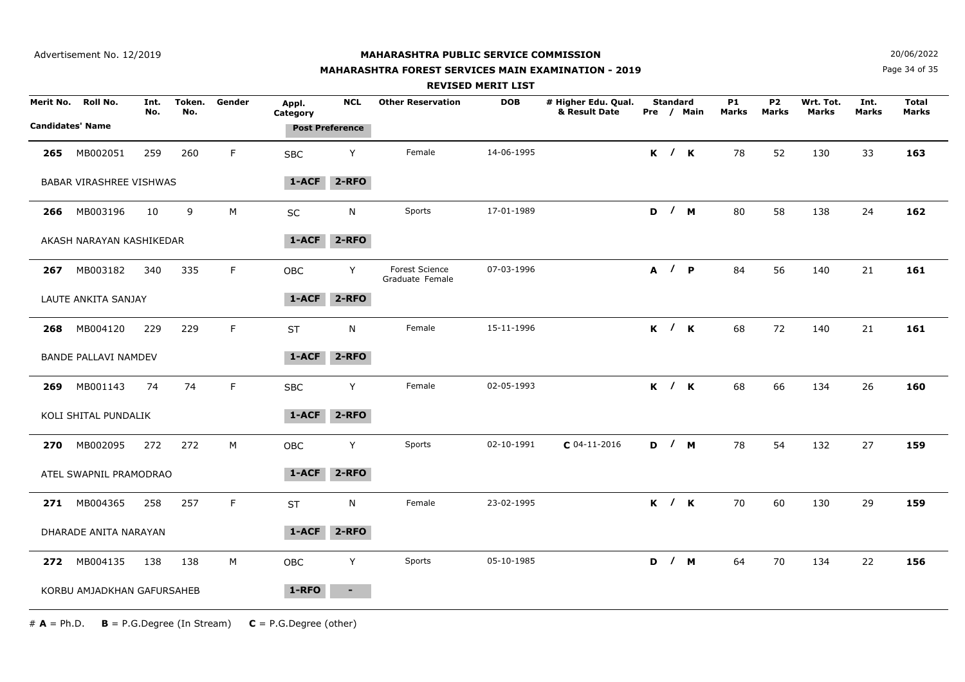## **MAHARASHTRA FOREST SERVICES MAIN EXAMINATION - 2019**

**N**  $20/06/2022$ 

Page 34 of 35

|                                      |                                |             |               |        |                   |                        |                                          | <b>REVISED MERIT LIST</b> |                                      |                 |            |                    |                           |                           |               |                              |
|--------------------------------------|--------------------------------|-------------|---------------|--------|-------------------|------------------------|------------------------------------------|---------------------------|--------------------------------------|-----------------|------------|--------------------|---------------------------|---------------------------|---------------|------------------------------|
| Merit No.<br><b>Candidates' Name</b> | Roll No.                       | Int.<br>No. | Token.<br>No. | Gender | Appl.<br>Category | <b>NCL</b>             | <b>Other Reservation</b>                 | <b>DOB</b>                | # Higher Edu. Qual.<br>& Result Date | <b>Standard</b> | Pre / Main | <b>P1</b><br>Marks | <b>P2</b><br><b>Marks</b> | Wrt. Tot.<br><b>Marks</b> | Int.<br>Marks | <b>Total</b><br><b>Marks</b> |
|                                      |                                |             |               |        |                   | <b>Post Preference</b> |                                          |                           |                                      |                 |            |                    |                           |                           |               |                              |
| 265                                  | MB002051                       | 259         | 260           | F      | <b>SBC</b>        | Υ                      | Female                                   | 14-06-1995                |                                      |                 | K / K      | 78                 | 52                        | 130                       | 33            | 163                          |
|                                      | <b>BABAR VIRASHREE VISHWAS</b> |             |               |        | 1-ACF             | $2 - RFO$              |                                          |                           |                                      |                 |            |                    |                           |                           |               |                              |
| 266                                  | MB003196                       | 10          | 9             | M      | <b>SC</b>         | N                      | Sports                                   | 17-01-1989                |                                      |                 | D / M      | 80                 | 58                        | 138                       | 24            | 162                          |
|                                      | AKASH NARAYAN KASHIKEDAR       |             |               |        | 1-ACF             | $2 - RFO$              |                                          |                           |                                      |                 |            |                    |                           |                           |               |                              |
| 267                                  | MB003182                       | 340         | 335           | F.     | <b>OBC</b>        | Y                      | <b>Forest Science</b><br>Graduate Female | 07-03-1996                |                                      |                 | A / P      | 84                 | 56                        | 140                       | 21            | 161                          |
|                                      | LAUTE ANKITA SANJAY            |             |               |        | 1-ACF             | $2 - RFO$              |                                          |                           |                                      |                 |            |                    |                           |                           |               |                              |
| 268                                  | MB004120                       | 229         | 229           | F      | <b>ST</b>         | N                      | Female                                   | 15-11-1996                |                                      |                 | $K$ / $K$  | 68                 | 72                        | 140                       | 21            | 161                          |
|                                      | <b>BANDE PALLAVI NAMDEV</b>    |             |               |        | 1-ACF             | $2 - RFO$              |                                          |                           |                                      |                 |            |                    |                           |                           |               |                              |
|                                      | 269 MB001143                   | 74          | 74            | F      | <b>SBC</b>        | Y                      | Female                                   | 02-05-1993                |                                      |                 | K / K      | 68                 | 66                        | 134                       | 26            | 160                          |
|                                      | KOLI SHITAL PUNDALIK           |             |               |        | 1-ACF             | $2 - RFO$              |                                          |                           |                                      |                 |            |                    |                           |                           |               |                              |
| 270                                  | MB002095                       | 272         | 272           | М      | OBC               | Y                      | Sports                                   | 02-10-1991                | $C$ 04-11-2016                       |                 | D / M      | 78                 | 54                        | 132                       | 27            | 159                          |
|                                      | ATEL SWAPNIL PRAMODRAO         |             |               |        | 1-ACF             | 2-RFO                  |                                          |                           |                                      |                 |            |                    |                           |                           |               |                              |
| 271                                  | MB004365                       | 258         | 257           | F.     | <b>ST</b>         | N                      | Female                                   | 23-02-1995                |                                      |                 | $K$ / $K$  | 70                 | 60                        | 130                       | 29            | 159                          |
|                                      | DHARADE ANITA NARAYAN          |             |               |        | 1-ACF             | $2 - RFO$              |                                          |                           |                                      |                 |            |                    |                           |                           |               |                              |
|                                      | 272 MB004135                   | 138         | 138           | М      | OBC               | Y                      | Sports                                   | 05-10-1985                |                                      |                 | D / M      | 64                 | 70                        | 134                       | 22            | 156                          |
|                                      | KORBU AMJADKHAN GAFURSAHEB     |             |               |        | 1-RFO             | $\sim$                 |                                          |                           |                                      |                 |            |                    |                           |                           |               |                              |